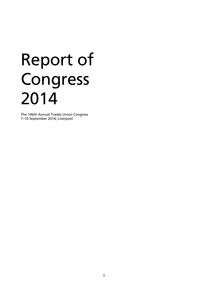# Report of Congress 2014

The 146th Annual Trades Union Congress 7–10 September 2014, Liverpool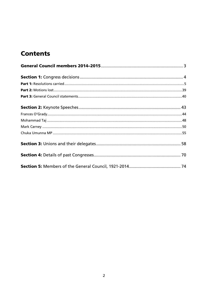# **Contents**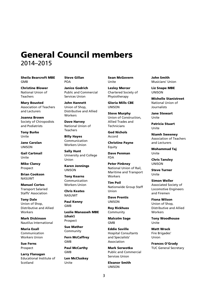# **General Council members**  2014–2015

**Sheila Bearcroft MBE GMB** 

POA

**Christine Blower**  National Union of Teachers

**Mary Bousted**  Association of Teachers and Lecturers

**Joanna Brown**  Society of Chiropodists and Podiatrists

**Tony Burke**  Unite

**Jane Carolan**  UNISON

**Gail Cartmail**  Unite

**Mike Clancy**  Prospect

**Brian Cookson**  NASUWT

**Manuel Cortes**  Transport Salaried Staffs' Association

**Tony Dale**  Union of Shop, Distributive and Allied **Workers** 

**Mark Dickinson**  Nautilus International

**Maria Exall**  Communication Workers Union

**Sue Ferns**  Prospect

**Larry Flanagan**  Educational Institute of Scotland

**Steve Gillan** 

**Janice Godrich**  Public and Commercial Services Union

**John Hannett**  Union of Shop, Distributive and Allied Workers

**Dave Harvey**  National Union of **Teachers** 

**Billy Hayes**  Communication Workers Union

**Sally Hunt**  University and College Union

**Karen Jennings**  UNISON

**Tony Kearns**  Communication Workers Union

**Chris Keates**  NASUWT

**Paul Kenny**  GMB

**Leslie Manasseh MBE (chair)**  Prospect

**Sue Mather**  Community

**Fern McCaffrey**  GMB

**Paul McCarthy** GMB

**Len McCluskey**  Unite

**Sean McGovern**  Unite

**Lesley Mercer**  Chartered Society of Physiotherapy

**Gloria Mills CBE**  UNISON

**Steve Murphy**  Union of Construction, Allied Trades and Technicians

**Ged Nichols**  Accord

**Christine Payne**  Equity

**Dave Penman**  FDA

**Peter Pinkney**  National Union of Rail, Maritime and Transport **Workers** 

**Tim Poil**  Nationwide Group Staff Union

**Dave Prentis**  UNISON

**Roy Rickhuss** Community

**Malcolm Sage**  GMB

**Eddie Saville**  Hospital Consultants and Specialists' Association

**Mark Serwotka**  Public and Commercial Services Union

**Eleanor Smith**  UNISON

**John Smith**  Musicians' Union

**Liz Snape MBE**  UNISON

**Michelle Stanistreet**  National Union of Journalists

**Jane Stewart**  Unite

**Patricia Stuart**  Unite

**Niamh Sweeney**  Association of Teachers and Lecturers

**Mohammad Taj**  Unite

**Chris Tansley**  UNISON

**Steve Turner**  Unite

**Simon Weller**  Associated Society of Locomotive Engineers and Firemen

**Fiona Wilson**  Union of Shop, Distributive and Allied **Workers** 

**Tony Woodhouse**  Unite

**Matt Wrack**  Fire Brigades' Union

**Frances O'Grady**  TUC General Secretary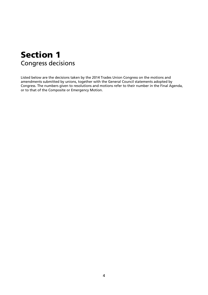# **Section 1**  Congress decisions

Listed below are the decisions taken by the 2014 Trades Union Congress on the motions and amendments submitted by unions, together with the General Council statements adopted by Congress. The numbers given to resolutions and motions refer to their number in the Final Agenda, or to that of the Composite or Emergency Motion.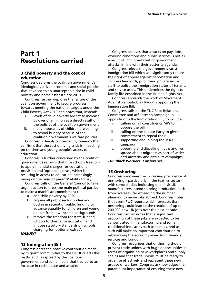# **Part 1 Resolutions carried**

# **3 Child poverty and the cost of education**

Congress deplores the coalition government's ideologically driven economic and social policies that have led to an unacceptable rise in child poverty and homelessness since 2010.

Congress further deplores the failure of the coalition government to secure progress towards meeting the national targets under the Child Poverty Act 2010 and notes that, instead:

- i. levels of child poverty are set to increase by over one million as a direct result of the policies of the coalition government
- ii. many thousands of children are coming to school hungry because of the coalition government's welfare policies.

Congress is deeply concerned by research that confirms that the cost of living crisis is impacting on children and young people's access to education.

Congress is further concerned by the coalition government's reforms that give schools freedom to apply financial charges for educational provision and 'optional extras', which is resulting in access to education increasingly being on the basis of parents' ability to pay.

Congress calls on the General Council to take urgent action to press the main political parties to make a manifesto commitment to:

- a. end child poverty by 2020
- b. require all public sector bodies and bodies in receipt of public funding to advance equality for children and young people from low-income backgrounds
- c. remove the freedom for state-funded schools to charge for education and impose statutory standards on schools charging for 'optional extras'.

# *NASUWT*

# **13 Immigration Bill**

Congress notes the positive contribution made by migrant communities to the UK. It rejects the myths and lies spread by the coalition government and some media that has led to an increase in racist abuse and attacks.

Congress believes that attacks on pay, jobs, working conditions and public services is not as a result of immigrants but of government attacks, in line with their austerity agenda.

Congress rejects the government's racist Immigration Bill which will significantly reduce the right of appeal against deportation and compels landlords, public and private sector staff to police the immigration status of tenants and service users. This undermines the right to family life enshrined in the Human Rights Act.

Congress applauds the work of Movement Against Xenophobia (MAX) in opposing the Immigration Bill.

Congress calls on the TUC Race Relations Committee and affiliates to campaign in opposition to the Immigration Bill, to include:

- i. calling on all constituency MPs to oppose the bill
- ii. calling on the Labour Party to give a commitment to repeal the Bill
- iii. supporting and joining the MAX campaign
- iv. opposing and dispelling myths and lies spread about migrants as part of wider anti-austerity and anti-cuts campaigns.

#### *TUC Black Workers' Conference*

# **15 Onshoring**

Congress welcomes the increasing prevalence of onshoring – particularly in the textiles sector – with some studies indicating one in six UK manufacturers intend to bring production back from overseas, far exceeding the number planning to move jobs abroad. Congress notes the recent PwC report, which forecasts that onshoring could lead to the creation of up to 200,000 new UK jobs over the next decade. Congress further notes that a significant proportion of these jobs are expected to be concentrated in manufacturing and some traditional industries such as textiles, and as such will make an important contribution to rebalancing the economy away from financial services and London.

Congress recognises that onshoring should present trade unions with huge opportunities in terms of organising new workplaces and supply chains and that trade unions must be ready to organise effectively and represent these new groups of workers. Congress acknowledges the paramount importance of ensuring these new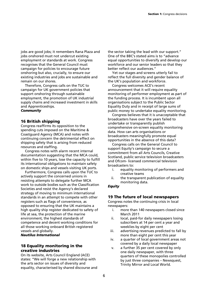jobs are good jobs; it remembers Rana Plaza and jobs onshored must not undercut existing employment or standards at work. Congress recognises that the General Council must campaign for policies to encourage future onshoring but also, crucially, to ensure our existing industries and jobs are sustainable and remain on our shores.

Therefore, Congress calls on the TUC to campaign for UK government policies that support onshoring through sustainable employment, the promotion of UK industrial supply chains and increased investment in skills and Apprenticeships.

#### *Community*

#### **16 British shipping**

Congress reaffirms its opposition to the spending cuts imposed on the Maritime & Coastguard Agency (MCA) and notes with continuing concern the detrimental effect on shipping safety that is arising from reduced resources and staffing.

Congress notes with alarm recent internal documentation suggesting that the MCA could, within five to 10 years, lose the capacity to fulfill its international obligations to maintain safety on domestic ships and vessels visiting UK ports.

Furthermore, Congress calls upon the TUC to actively support the concerned unions in resisting attempts to delegate further MCA work to outside bodies such as the Classification Societies and resist the Agency's declared strategy of moving to minimum international standards in an attempt to compete with other registers such as flags of convenience, as opposed to ensuring that the UK maintains a high quality ship register dedicated to safety of life at sea, the protection of the marine environment, the highest standards of competence and decent working conditions for all those working onboard British registered vessels and globally.

*Nautilus International* 

# **18 Equality monitoring in the creative industries**

On its website, Arts Council England (ACE) states: "We will forge a new relationship with the arts sector on issues of diversity and equality, characterised by shared discourse and the sector taking the lead with our support." One of the BBC's stated aims is to "advance equal opportunities to diversify and develop our workforce and our senior leaders so that they better reflect our audiences."

Yet our stages and screens utterly fail to reflect the full diversity and gender balance of the UK's population and workforce.

Congress welcomes ACE's recent announcement that it will require equality monitoring of performer employment as part of the funding process. It is incumbent upon all organisations subject to the Public Sector Equality Duty and in receipt of large sums of public money to undertake equality monitoring.

Congress believes that it is unacceptable that broadcasters have over the years failed to undertake or transparently publish comprehensive on-screen equality monitoring data. How can arts organisations or broadcasters meaningfully promote equal opportunities in the absence of this data?

Congress calls on the General Council to support Equity's campaign to secure a commitment from all Arts Councils, Creative Scotland, public service television broadcasters and Ofcom- licensed commercial television broadcasters to:

- i. equality monitoring of performers and creative teams
- ii. the transparent publication of equality monitoring data.

# *Equity*

# **19 The future of local newspapers**

Congress notes the continuing crisis in local newspapers:

- i. more than 140 newspapers closed since March 2011
- ii. local, paid-for daily newspapers losing subscribers at 14 per cent a year and weeklies by eight per cent
- iii. advertising revenues predicted to fall by more than eight per cent this year
- iv. a quarter of local government areas not covered by a daily local newspaper
- v. a further 35 per cent covered by only one daily newspaper, with three quarters of these monopolies controlled by just three companies – Newsquest, Trinity Mirror and Local World.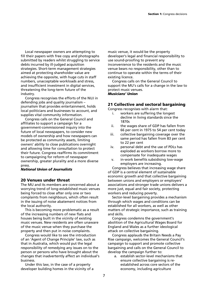Local newspaper owners are attempting to fill their papers with free copy and photographs submitted by readers whilst struggling to service debts incurred by ill-judged acquisition strategies. Short-term management strategies aimed at protecting shareholder value are achieving the opposite, with huge cuts in staff numbers, unacceptable workloads and stress, and insufficient investment in digital services, threatening the long-term future of the industry.

Congress recognises the efforts of the NUJ in defending jobs and quality journalism – journalism that provides entertainment, holds local politicians and businesses to account, and supplies vital community information.

Congress calls on the General Council and affiliates to support a campaign for a government-commissioned inquiry into the future of local newspapers, to consider new models of ownership and how newspapers can be protected as community assets, limiting owners' ability to close publications overnight and allowing time for consultation to protect their future. Congress reaffirms its commitment to campaigning for reform of newspaper ownership, greater plurality and a more diverse press.

#### *National Union of Journalists*

#### **20 Venues under threat**

The MU and its members are concerned about a worrying trend of long-established music venues being forced to close after only one or two complaints from neighbours, which often result in the issuing of noise abatement notices from the local authority.

This is becoming more problematic as a result of the increasing numbers of new flats and houses being built in the vicinity of existing music venues. New residents are often unaware of the music venue when they purchase the property and then put in noise complaints.

Congress would like to see the introduction of an 'Agent of Change Principle' law, such as that in Australia, which would put the legal responsibility of remedying any issues on to the person or persons who have brought about the changes that inadvertently affect an individual's business.

Under this law, in the case of a property developer building homes in the vicinity of a

music venue, it would be the property developer's legal and financial responsibility to use sound-proofing to prevent any inconvenience to the residents and the music venue bears no responsibility, other than to continue to operate within the terms of their existing licence.

Congress calls on the General Council to support the MU's calls for a change in the law to protect music venues. *Musicians' Union* 

# **21 Collective and sectoral bargaining**

Congress recognises with alarm that:

- i. workers are suffering the longest decline in living standards since the 1870s
- ii. the wages share of GDP has fallen from 66 per cent in 1975 to 54 per cent today
- iii. collective bargaining coverage over the same period has fallen from 83 per cent to 22 per cent
- iv. personal debt and the use of PDLs has exploded as workers borrow more to compensate for inadequate wages
- v. in-work benefits subsidising low-wage employers are increasing.

Congress believes that increasing wage share of GDP is a central element of sustainable economic growth and that collective bargaining between unions and employers or employers' associations and stronger trade unions delivers a more just, equal and fair society, protecting workers and reducing poverty.

Sector-level bargaining provides a mechanism through which wages and conditions can be established for all workers, as well as other matters of strategic importance, such as training and skills.

Congress condemns the government's abolition of the Agricultural Wages Board for England and Wales as a further ideological attack on collective bargaining.

Congress applauds the Britain Needs a Pay Rise campaign, welcomes the General Council's campaign to support and promote collective bargaining and calls on the General Council to develop the campaign further to:

a. establish sector-level mechanisms that ensure collective bargaining is reestablished across core sectors of the economy, including agriculture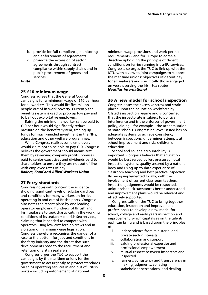- b. provide for full compliance, monitoring and enforcement of agreements
- c. promote the extension of sector agreements through contract compliance within supply chains and in public procurement of goods and services.

#### *Unite*

# **25 £10 minimum wage**

Congress agrees that the General Council campaigns for a minimum wage of £10 per hour for all workers. This would lift five million people out of in-work poverty. Currently the benefits system is used to prop up low pay and to bail out exploitative employers.

Raising the minimum a worker can be paid to £10 per hour would significantly reduce pressure on the benefits system, freeing up funds for much-needed investment in the NHS, education and other welfare programmes.

While Congress realises some employers would claim not to be able to pay £10, Congress believes the government should means-test them by reviewing company profits, bonuses paid to senior executives and dividends paid to shareholders to ensure they are not out of line with employee rates of pay.

# *Bakers, Food and Allied Workers Union*

# **27 Ferry standards**

Congress notes with concern the evidence showing significant levels of substandard pay and conditions for many workers on ferries operating in and out of British ports. Congress also notes the recent plans by one leading operator employing hundreds of British and Irish seafarers to seek drastic cuts in the working conditions of its seafarers on Irish Sea services, claiming that it needed to compete with operators using low-cost foreign crews and in violation of minimum wage legislation. Congress therefore recognises the danger of a race to the bottom for jobs and conditions in the ferry industry and the threat that such developments pose to the recruitment and retention of British seafarers.

Congress urges the TUC to support the campaigns by the maritime unions for the government to act urgently to protect standards on ships operating services in and out of British ports – including enforcement of national

minimum wage provisions and work permit requirements – and for Europe to agree a directive upholding the principle of decent conditions on ferries running intra-EU services. Congress also urges the TUC to link up with the ICTU with a view to joint campaigns to support the maritime unions' objectives of decent pay for all seafarers and specifically those engaged on vessels serving the Irish Sea routes. *Nautilus International* 

# **36 A new model for school inspection**

Congress notes the excessive stress and strain placed upon the education workforce by Ofsted's inspection regime and is concerned that the inspectorate is subject to political interference and is the enforcer of government policy, aiding – for example – the academisation of state schools. Congress believes Ofsted has no adequate systems to achieve consistency between inspections, undermines attempts at school improvement and risks children's education.

School and college accountability is important. Congress believes that education would be best served by less pressured, local inspection systems, quality assured by a national body and using up-to-date experience of classroom teaching and best practice inspection. By being implemented locally, with the involvement of current classroom teachers, inspection judgments would be respected, unique school circumstances better understood, and improvement plans would be relevant and effectively supported.

Congress calls on the TUC to bring together education, inspection and improvement professionals to develop a new model for school, college and early years inspection and improvement, which capitalises on the talents each can bring and is based upon the principles of:

- i. independence from ministerial and private sector interests
- ii. collaboration and support
- iii. valuing professional expertise and professional empowerment
- iv. mutual respect between inspectors and inspected
- v. fairness, consistency and transparency in making judgments, collating stakeholder perceptions, and dealing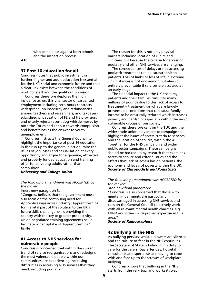with complaints against both schools and the inspection process.

# *ATL*

# **37 Post-16 education for all**

Congress notes that public investment in further, higher and adult education is essential for the UK's social and economic future and that a clear link exists between the conditions of work for staff and the quality of provision.

Congress therefore deplores the high incidence across this vital sector of casualised employment including zero-hours contracts; widespread job insecurity and redundancies among teachers and researchers; and taxpayersubsidised privatisation of FE and HE provision, and utterly rejects recent dog-whistle moves by both the Tories and Labour towards compulsion and benefit loss as the answer to youth unemployment.

Congress instructs the General Council to highlight the importance of post-16 education in the run-up to the general election, raise the issues of job losses and casualisation at every opportunity and argue for a genuine, attractive and properly funded education and training offer for all young adults rather than compulsion.

*University and College Union* 

#### *The following amendment was ACCEPTED by the mover:*

Insert new paragraph 3:

"Congress believes that the government must also focus on the continuing need for Apprenticeships across industry. Apprenticeships form a vital part of the solution to the UK's future skills challenge, skills providing the country with the key to greater productivity. Union-negotiated training agreements could facilitate wider uptake of Apprenticeships." *Unite* 

# **41 Access to NHS services for vulnerable people**

Congress is concerned that within the current trend of service reorganisations and redesigns the most vulnerable people within our communities are experiencing increasing difficulties in accessing NHS services that they need, including podiatry.

The reason for this is not only physical barriers including location of clinics and clinicians but because the criteria for accessing podiatry and other NHS services are changing.

The consequences of delays or not accessing podiatric treatment can be catastrophic to patients. Loss of limbs or loss of life in extreme circumstances is not uncommon but almost entirely preventable if services are accessed at an early stage.

The financial impact to the UK economy, patients and their families runs into many millions of pounds due to this lack of access to treatment – treatment for what are largely preventable conditions that can cause family income to be drastically reduced which increases poverty and hardship, especially within the most vulnerable groups of our society.

Congress therefore calls on the TUC and the wider trade union movement to campaign to highlight the issues of access criteria to services and the location of services, within the All Together for the NHS campaign and wider public sector campaigns. These campaigns should be backed up by research that examines access to service and criteria issues and the effects that lack of access has on patients, the economy and levels of poverty within the UK. *Society of Chiropodists and Podiatrists* 

# *The following amendment was ACCEPTED by the mover:*

Add new final paragraph:

"Congress is also concerned that those with mental impairments are particularly disadvantaged in accessing NHS services and calls on the General Council to actively work with all relevant mental health charities, e.g. MIND and others with proven expertise in this area."

*Society of Radiographers* 

# **42 Bullying in the NHS**

As bullying persists, whistle-blowers are silenced and the culture of fear in the NHS continues. The Secretary of State is failing in his duty to care for the carers. Day after day, hospital consultants and specialists are having to cope with and face up to the stresses of workplace bullying.

Congress knows that bullying in the NHS starts from the very top, and works its way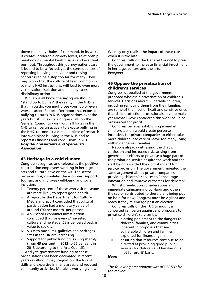down the many chains of command. In its wake it creates intolerable anxiety levels, relationship breakdowns, mental health issues and eventual burn out. Throughout this journey patient care is bound to be affected, yet the consequences of reporting bullying behaviour and raising concerns can be a step too far for many. They may worry that the culture of fear, common in so many NHS institutions, will lead to even more victimisation, isolation and in many cases disciplinary action.

While we all know the saying we should "stand up to bullies" the reality in the NHS is that if you do, you might lose your job or even worse, career. Report after report has exposed bullying cultures in NHS organisations over the years but still it exists. Congress calls on the General Council to work with affiliates in the NHS to campaign actively to expose bullying in the NHS, to conduct a detailed piece of research into workplace bullying in the NHS and to report its findings and conclusions in 2015. *Hospital Consultants and Specialists Association* 

# **43 Heritage in a cold climate**

Congress recognises and celebrates the positive contribution employees working in heritage, arts and culture have on the UK. The sector provides jobs, stimulates the economy, supports tourism, and improves well-being and social inclusion.

- i Twenty per cent of those who visit museums are more likely to report good health.
- ii A report by the Department for Culture, Media and Sport concluded that cultural participation had a monetary value of around £90 per month, per person.
- iii An Oxford Economics investigation concluded that for every £1 invested in culture and heritage, £5 is delivered back in value to society.
- iv Visits to museums, galleries and heritages sites in the UK are increasing.
- v Support for public funding is rising sharply (from 49 per cent in 2012 to 56 per cent in 2013 according to the Arts Council).

And yet, government funding to these organisations has been decimated in recent years resulting in pay stagnation, the loss of skills and expertise in many areas, and reduced community activities. Morale is worryingly low. We may only realise the impact of these cuts when it is too late.

Congress calls on the General Council to press the government to increase financial investment in heritage, culture and the arts. *Prospect* 

# **46 Oppose the privatisation of children's services**

Congress is appalled at the governmentproposed wholesale privatisation of children's services. Decisions about vulnerable children, including removing them from their families, are some of the most difficult and sensitive ones that child protection professionals have to make yet Michael Gove considered this work could be outsourced for profit.

Congress believes establishing a market in child protection would create perverse incentives for private companies to either take more children into care or leave too many living within dangerous families.

Napo is already witnessing the chaos, confusion and increased risks arising from government efforts to privatise a huge part of the probation service despite the work and the staff being awarded the gold standard for service provision. The government repeated the same argument about private companies providing children's services to "encourage innovation and improve outcomes for children".

Whilst pre-election considerations and immediate campaigning by Napo and others in the sector contributed to these plans being put on hold for now, Congress must be vigilant and ready if they re-emerge post an election.

Congress calls on the TUC to mount a concerted campaign against any proposals to privatise children's services by:

- i. alerting parliament to the dangers to children, families, and communities inherent in proposals that see vulnerable children and families exploited for financial gain
- ii. ensuring that resources continue to be directed at providing good public services for children and families on a 'not for profit' basis.

#### *Napo*

*The following amendment was ACCEPTED by the mover:*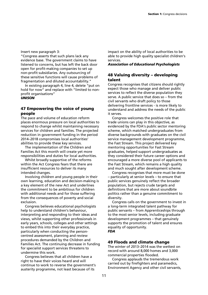Insert new paragraph 3:

"Congress asserts that such plans lack any evidence base. The government claims to have listened to concerns, but has left the back door open for profit-making companies to set up non-profit subsidiaries. Any outsourcing of these sensitive functions will cause problems of fragmentation and diluted accountability."

In existing paragraph 4, line 4, delete "put on hold for now" and replace with "limited to nonprofit organisations"

*UNISON* 

# **47 Empowering the voice of young people**

The pace and volume of education reform places enormous pressure on local authorities to respond to change whilst maintaining necessary services for children and families. The projected reduction in government funding in the period 2014–2018 compromises local authorities' abilities to provide these key services.

The implementation of the Children and Families Act this month will create yet more responsibilities and duties for local authorities.

Whilst broadly supportive of the reforms within the Act Congress fears that there are insufficient resources to deliver its many intended changes.

Involving children and young people in their own learning, education and decision-making is a key element of the new Act and underlines the commitment to be ambitious for children with additional needs and for those suffering from the consequences of poverty and social exclusion.

Congress believes educational psychologists help to understand children's behaviour, interpreting and responding to their ideas and views, whilst supporting other professionals in early years, schools, colleges and other settings to embed this into their everyday practice, particularly when conducting the personcentred assessment, planning and review procedures demanded by the Children and Families Act. The continuing decrease in funding for specialist support services threatens to undermine this work.

Congress believes that all children have a right to have their voices heard and will continue to work to reverse the government's austerity programme, not least because of its

impact on the ability of local authorities to be able to provide high quality specialist children's services.

# *Association of Educational Psychologists*

# **48 Valuing diversity – developing talent**

Congress recognises that citizens should rightly expect those who manage and deliver public services to reflect the diverse population they serve. A public service that does so – from the civil servants who draft policy to those delivering frontline services - is more likely to understand and address the needs of the public it serves.

Congress welcomes the positive role that trade unions can play in this objective, as evidenced by the FDA's public sector mentoring scheme, which matched undergraduates from diverse backgrounds with graduates on the civil service management development programme, the Fast Stream. This project delivered key mentoring opportunities for Fast Stream graduates, helped support undergraduates as they considered their future career options and encouraged a more diverse pool of applicants to the Fast Stream, which remains a high quality and much sought after development scheme.

Congress recognises that more must be done – particularly at senior levels – to ensure that public services genuinely reflect the broader population, but rejects crude targets and definitions that are more about soundbite politics rather than a genuine commitment to diversity.

Congress calls on the government to invest in a long-term integrated talent pathway for public servants – from Apprenticeships through to the most senior levels, including graduate development programmes – that genuinely supports the promotion of talent and ensures equality of opportunity. *FDA* 

# **49 Floods and climate change**

The winter of 2013–2014 was the wettest on record with around 8,000 homes and 3,000 commercial properties flooded.

Congress applauds the tremendous work carried out by firefighters and paramedics, Environment Agency and other civil servants,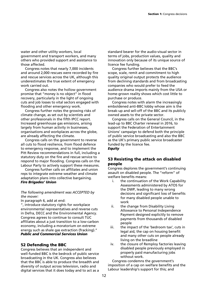water and other utility workers, local government and transport workers, and many others who provided support and assistance to those affected.

Congress notes that nearly 7,000 incidents and around 2,000 rescues were recorded by fire and rescue services across the UK, although this underestimates the true extent of emergency work carried out.

Congress also notes the hollow government promise that "money is no object" in flood recovery, particularly in the light of ongoing cuts and job losses to vital sectors engaged with flooding and other emergency work.

Congress further notes the growing risks of climate change, as set out by scientists and other professionals in the fifth IPCC report. Increased greenhouse gas emissions, arising largely from human activity in businesses, organisations and workplaces across the globe, are already affecting the climate.

Congress calls on the government to reverse all cuts to flood resilience, from flood defence to emergency response, and to implement the Pitt Review recommendations in full, including a statutory duty on the fire and rescue service to respond to major flooding. Congress calls on the Labour Party to actively support these measures.

Congress further calls on affiliates and union reps to integrate extreme weather and climate adaptation plans into collective bargaining. *Fire Brigades' Union* 

#### *The following amendment was ACCEPTED by the mover:*

In paragraph 6, add at end:

", introduce statutory rights for workplace environmental representatives and reverse cuts in Defra, DECC and the Environmental Agency. Congress agrees to continue to consult TUC affiliates about a just transition to a low-carbon economy, including a moratorium on extreme energy such as shale gas extraction (fracking)." *Public and Commercial Services Union* 

# **52 Defending the BBC**

Congress believes that an independent and well-funded BBC is the bedrock of public service broadcasting in the UK. Congress also believes that the BBC is able to produce the breadth and diversity of output across television, radio and digital services that it does today and to act as a standard bearer for the audio-visual sector in terms of jobs, production values, quality and innovation only because of its unique source of licence fee funding.

Congress further believes that the BBC's scope, scale, remit and commitment to high quality original output protects the audience from declining standards and from broadcasting companies who would prefer to feed the audience drama imports mainly from the USA or home-grown reality shows which cost little to purchase or produce.

Congress notes with alarm the increasingly emboldened anti-BBC lobby whose aim is the break-up and sell-off of the BBC and its publicly owned assets to the private sector.

Congress calls on the General Council, in the lead-up to BBC Charter renewal in 2016, to support the Federation of Entertainment Unions' campaign to defend both the principle of public service broadcasting and also the BBC as the UK's primary public service broadcaster funded by the licence fee. *Equity* 

# **53 Resisting the attack on disabled people**

Congress deplores the government's continuing assault on disabled people. The "reform" of welfare benefits means:

- i. the continuation of the Work Capability Assessments administered by ATOS for the DWP, leading to many wrong decisions and significant loss of benefits for many disabled people unable to work
- ii. the change from Disability Living Allowance to Personal Independence Payment designed explicitly to remove payments from thousands of disabled people
- iii. the impact of the 'bedroom tax', cuts in legal aid, the cap on housing benefit and many other cuts on people already living on the breadline
- iv. the closure of Remploy factories leaving disabled people previously employed in properly paid manufacturing jobs without work.

Congress condemns the government's imposition of a cap on welfare benefits and the Labour leadership's support for this; and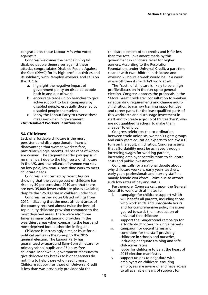congratulates those Labour MPs who voted against it.

Congress welcomes the campaigning by disabled people themselves against these attacks, congratulates Disabled People Against the Cuts (DPAC) for its high-profile activities and its solidarity with Remploy workers, and calls on the TUC to:

- a. highlight the negative impact of government policy on disabled people both in and out of work
- b. encourage trade union branches to give active support to local campaigns by disabled people, especially those led by disabled people themselves
- c. lobby the Labour Party to reverse these measures when in government.

#### *TUC Disabled Workers' Conference*

#### **54 Childcare**

Lack of affordable childcare is the most persistent and disproportionate financial disadvantage that women workers face, particularly single parents, 90 per cent of whom are women. The stagnant gender pay gap is in no small part due to the high costs of childcare in the UK, and the reliance of women workers on low-paid, low status, part-time work to meet childcare needs.

Congress is concerned by recent figures showing that the average cost of childcare has risen by 30 per cent since 2010 and that there are now 35,000 fewer childcare places available, despite the 125,000 rise in children under four.

Congress further notes Ofsted ratings from 2012 indicating that the most affluent areas of the country received almost twice the level of top quality childcare provision compared to the most deprived areas. There were also three times as many outstanding providers in the wealthiest areas when comparing the least and most deprived local authorities in England.

Childcare is increasingly a major issue for all political parties in the run-up to the 2015 general election. The Labour Party has guaranteed wraparound 8am–6pm childcare for primary school pupils and 25 hours free childcare. Meanwhile, government measures to give childcare tax breaks to higher earners do nothing to help those who need it most. Childcare support for those on Universal Credit is less than was previously provided via the

childcare element of tax credits and is far less than the total investment made by this government in childcare relief for higher earners. According to the Resolution Foundation, under Universal Credit, a part-time cleaner with two children in childcare and working 25 hours a week would be £7 a week worse off than if she didn't work at all.

The "cost'' of childcare is likely to be a high profile discussion in the run-up to general election. Congress opposes the proposals in the "More Great Childcare'' consultation to weaken safeguarding requirements and change adultchild ratios, to narrow training opportunities and career paths for the least qualified parts of this workforce and discourage investment in staff and to create a group of EY 'teachers', who are not qualified teachers, to make them cheaper to employ.

Congress celebrates the co-ordination between trade unionists, women's rights groups and early years education experts to achieve a U turn on the adult: child ratios. Congress asserts that affordability must be achieved through increasing wages for working parents, increasing employer contributions to childcare costs and public investment.

Congress calls for a national debate about why childcare workers, early years teachers, early years professionals and nursery staff – a mainly female workforce – continue to attract such low rates of pay and status.

Furthermore, Congress calls upon the General Council to work with affiliates to:

- i. campaign for childcare support which will benefit all parents, including those who work shifts and unsociable hours and for comprehensive policy measures geared towards the introduction of universal free childcare
- ii. support the Gingerbread campaign for affordable childcare for single parents
- iii. campaign for decent terms and conditions for the staff providing childcare in schools and nurseries, including adequate training and safe child/carer ratios
- iv. lobby for childcare to be at the heart of 2015 election manifestos
- v. support unions to negotiate with employers on childcare, ensuring employees are aware of and have access to all available means of support for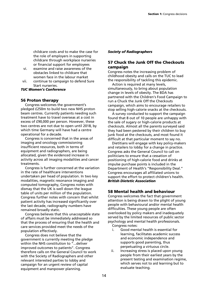childcare costs and to make the case for the role of employers in supporting childcare through workplace nurseries or financial support for employees

- vi. examine and raise awareness of the obstacles linked to childcare that women face in the labour market
- vii. continue to campaign to defend Sure Start nurseries.

*TUC Women's Conference* 

# **56 Proton therapy**

Congress welcomes the government's pledged £250m to build two new NHS proton beam centres. Currently patients needing such treatment have to travel overseas at a cost in excess of £90,000 per person. However, these two centres are not due to open until 2018, by which time Germany will have had a centre operational for a decade.

Congress is concerned that in the areas of imaging and oncology commissioning insufficient resources, both in terms of equipment and radiographers, are being allocated, given the evidenced increase in activity across all imaging modalities and cancer treatments.

Congress is further concerned at the variation in the rate of healthcare interventions undertaken per head of population. In two key modalities, magnetic resonance imaging and computed tomography, Congress notes with dismay that the UK is well down the league table of units per million of the population. Congress further notes with concern that whilst patient activity has increased significantly over the last decade, radiography numbers have remained broadly static.

Congress believes that this unacceptable state of affairs must be immediately addressed so that the process of ensuring that the health and care services provided meet the needs of the population effectively.

Congress does not believe that the government is currently meeting the pledge within the NHS constitution to "...deliver improved outcomes to patients". Congress therefore calls on the General Council to work with the Society of Radiographers and other relevant interested parties to lobby and campaign for an urgent review of capital equipment and manpower planning.

#### *Society of Radiographers*

# **57 Chuck the Junk Off the Checkouts campaign**

Congress notes the increasing problem of childhood obesity and calls on the TUC to lead the responsibility of tackling this epidemic.

Action is required at many levels, simultaneously, to bring about population change in levels of obesity. The BDA has partnered with the Children's Food Campaign to run a Chuck the Junk Off the Checkouts campaign, which aims to encourage retailers to stop selling high-calorie snacks at the checkouts.

A survey conducted to support the campaign found that 8 out of 10 people are unhappy with the sale of sugary or high-calorie products at checkouts. Almost all the parents surveyed said they had been pestered by their children to buy junk food at the checkouts, and most found it difficult at that particular moment to say no.

Dietitians will engage with key policy-makers and retailers to lobby for a change in practice. Congress asks the General Council to call on politicians to ensure that a cessation of positioning of high-calorie food and drinks at impulse purchase points is included in the Department of Health's "Responsibility Deal." Congress encourages all affiliated unions to support the effort to protect children's health. *British Dietetic Association* 

# **58 Mental health and behaviour**

Congress welcomes the fact that government attention is being drawn to the plight of young people with behavioural and/or mental health difficulties. These young people are often overlooked by policy makers and inadequately served by the limited resources of public sector psychology and mental health professionals. Congress notes:

- i. Good mental health is essential for learning, facilitates academic success and economic independence and supports good parenting, thus perpetuating a virtuous circle.
- ii. Increasing stress is placed upon young people from their earliest years by the present testing and examination regime, which serves not to aid learning but to evaluate teaching.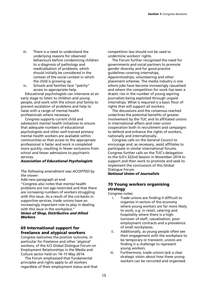- iii. There is a need to understand the underlying reasons for observed behaviours before condemning children to a diagnosis of pathology and medicalisation of problems, which should initially be considered in the context of the social context in which the child is growing up.
- iv. Schools and families face "patchy" access to appropriate help.

Educational psychologists can intervene at an early stage to listen to children and young people, and work with the school and family to prevent escalation of problems and help to liaise with a range of mental health professionals where necessary.

Congress supports current child and adolescent mental health initiatives to ensure that adequate numbers of educational psychologists and other well-trained primary mental health workers are available within communities so that access to the appropriate professional is faster and work is completed more quickly, resulting in fewer exclusions from school and fewer admissions to psychiatric services.

# *Association of Educational Psychologists*

# *The following amendment was ACCEPTED by the mover:*

Add new paragraph at end:

"Congress also notes that mental health problems are not age-restricted and that there are increasing numbers of workers struggling with this issue. As a result of the cut-backs in supportive services, trade unions have an increasingly important role to play in dealing with this issue in the workplace."

#### *Union of Shop, Distributive and Allied Workers*

# **69 International support for freelance and atypical workers**

Congress welcomes the positive outcome, in particular for freelance and other 'atypical' workers, of the ILO Global Dialogue Forum on Employment Relationships in the Media and Culture sector held on 14–15 May 2014.

The Forum emphasised that fundamental principles and rights apply to all workers regardless of their employment status and that competition law should not be used to undermine workers' rights.

The Forum further recognised the need for governments and social partners to promote gender diversity and for good practice guidelines covering internships, Apprenticeships, volunteering and other placement schemes. The media industry is one where jobs have become increasingly casualised and where the competition for work has seen a drastic rise in the number of young aspiring journalists being exploited through unpaid internships. What is required is a basic floor of rights that will support all workers.

The discussions and the consensus reached underlines the potential benefits of greater involvement by the TUC and its affiliated unions in international affairs and inter-union cooperation both in recruitment and campaigns to defend and enhance the rights of workers, nationally and internationally.

Congress calls on the General Council to encourage and, as necessary, assist affiliates to participate in similar international forums. Congress further calls on the TUC's delegation to the ILO's 322nd Session in November 2014 to support and then work to promote and seek to implement the conclusions of this Global Dialogue Forum.

*National Union of Journalists* 

# **70 Young workers organising strategy**

Congress notes:

- i. Trade unions are finding it difficult to organise in sectors of the economy where young workers are far more likely to work, e.g. in retail, catering and hospitality where there is a highturnover of staff, casualisation, poor employment contracts and a prevalence of small workplaces.
- ii. Additionally, as young people often see their engagement with the workplace to be temporary or transient, unions are finding it a challenge to represent young workers.
- iii. Furthermore, trade unions lack a clear strategic vision about how these young workers can be recruited and organised.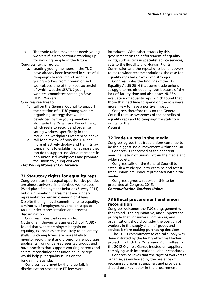iv. The trade union movement needs young workers if it is to continue standing up for working people of the future.

Congress further notes:

a. Leading young members in the TUC have already been involved in successful campaigns to recruit and organise young workers from non-unionised workplaces, one of the most successful of which was the SERTUC young workers' committee campaign Save HMV Workers.

Congress resolves to:

- 1. call on the General Council to support the creation of a TUC young workers organising strategy that will be developed by the young members, alongside the Organising Department, which seeks to recruit and organise young workers, specifically in the casualised workplaces referenced above.
- 2. call for a review of how the TUC can more effectively deploy and train its lay companions to establish what more they can do to support individual members in non-unionised workplaces and promote the union to young workers.

# *TUC Young Workers' Conference*

# **71 Statutory rights for equality reps**

Congress notes that equal opportunities policies are almost universal in unionised workplaces (Workplace Employment Relations Survey 2011) but discrimination, harassment and underrepresentation remain common problems. Despite the high level commitments to equality, a minority of employers have taken steps to tackle under-representation and prevent discrimination.

Congress notes that research from Nottingham University Business School (NUBS) found that where employers bargain on equality, EO policies are less likely to be 'empty shells'. Such employers are more likely to monitor recruitment and promotion, encourage applicants from under-represented groups and have practices that support working parents and carers. It concluded that union equality reps would help put equality issues on the bargaining agenda.

Congress is alarmed by the large falls in discrimination cases since ET fees were

introduced. With other attacks by this government on the enforcement of equality rights, such as cuts in specialist advice services, cuts to the Equality and Human Rights Commission and the repeal of tribunal powers to make wider recommendations, the case for equality reps has grown even stronger.

Congress notes the findings of the TUC Equality Audit 2014 that some trade unions struggle to recruit equality reps because of the lack of facility time and also notes NUBS's evaluation of equality reps, which found that those that had time to spend on the role were more likely to have a positive impact.

Congress therefore calls on the General Council to raise awareness of the benefits of equality reps and to campaign for statutory rights for them. *Accord* 

# **72 Trade unions in the media**

Congress agrees that trade unions continue to be the biggest social movement within the UK.

Congress is concerned at the apparent marginalisation of unions within the media and wider society.

Congress calls on the General Council to establish a study group to examine and test if trade unions are under-represented within the media.

Congress agrees a report on this to be presented at Congress 2015. *Communication Workers Union* 

# **73 Ethical procurement and union recognition**

Congress welcomes the TUC's engagement with the Ethical Trading Initiative, and supports the principle that consumers, companies, and organisations should consider the position of workers in the supply chain of goods and services before making purchasing decisions.

The TUC's commitment to ethical supply was demonstrated by the highly effective Playfair project in which the Organising Committee for the 2012 Olympic Games insisted on suppliers complying with international labour standards.

Congress believes that the right of workers to organise, as evidenced by the presence of recognised unions at suppliers and providers, should be a key factor in the procurement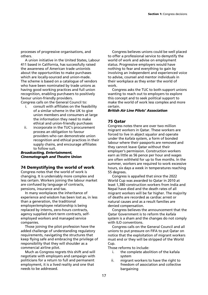processes of progressive organisations, and others.

A union initiative in the United States, Labour 411 based in California, has successfully raised the awareness of American trade unionists about the opportunities to make purchases which are locally-sourced and union-made. The scheme is based on a catalogue of vendors who have been nominated by trade unions as having good working practices and full union recognition, enabling purchasers to positively favour union-friendly providers.

Congress calls on the General Council to:

- i. consult with affiliates on the feasibility of a similar scheme in the UK to give union members and consumers at large the information they need to make ethical and union-friendly purchases
- ii. incorporate in the TUC's procurement process an obligation to favour providers who can demonstrate union recognition and ethical practices in their supply chains, and encourage affiliates to follow suit.

#### *Broadcasting, Entertainment, Cinematograph and Theatre Union*

# **74 Demystifying the world of work**

Congress notes that the world of work is changing. It is undeniably more complex and less certain. Workers joining the labour market are confused by language of contracts, pensions, insurance and tax.

In many workplaces the inheritance of experience and wisdom has been lost as, in less than a generation, the traditional employer/employee relationship is being replaced by interns, zero-hours contracts, agency supplied short-term contracts, selfemployed workers and managed service companies.

Those joining the pilot profession have the added challenge of understanding regulatory requirements, navigating the structures that keep flying safe and embracing the privilege of responsibility that they will shoulder as a commercial airline pilot.

Much as Congress regrets this shift and will negotiate with employers and campaign with politicians for a return to full and permanent employment, it is a lived reality and one that needs to be addressed.

Congress believes unions could be well placed to offer a professional service to demystify the world of work and advise on employment status. Progressive employers would have nothing to fear and everything to gain by involving an independent and experienced voice to advise, counsel and mentor individuals in their workplace as they enter the world of work.

Congress asks the TUC to both support unions wanting to reach out to employers to explore this concept and to seek political support to make the world of work less complex and more certain.

#### *British Air Line Pilots' Association*

# **75 Qatar**

Congress notes there are over two million migrant workers in Qatar. These workers are forced to live in abject squalor and operate under the *kafala* system, a form of bonded labour where their passports are removed and they cannot leave Qatar without their employer's permission. Construction workers earn as little as 56 pence per hour and wages are often withheld for up to five months. In the summer, workers are required to work excessive hours, six days a week in temperatures reaching 55 degrees.

Congress is appalled that since the 2022 World Cup was awarded to Qatar in 2010 at least 1,380 construction workers from India and Nepal have died and the death rates of all migrant workers will be far higher. The majority of deaths are recorded as cardiac arrest or natural causes and as a result families are denied compensation.

Congress believes the announcement that the Qatar Government is to reform the *kafala* system is a sham and the changes do not comply with ILO conventions.

Congress calls on the General Council and all unions to put pressure on FIFA to put Qatar on notice that the exploitation of migrant workers must end or they will be stripped of the World Cup.

Those reforms to include:

- i. the complete abolition of the kafala system
- ii. migrant workers to have the right to freedom of association and collective bargaining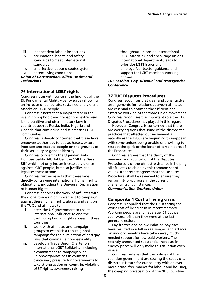- iii. independent labour inspections
- iv. occupational health and safety standards to meet international standards
- v. an effective labour disputes system
- vi. decent living conditions.

#### *Union of Construction, Allied Trades and Technicians*

# **76 International LGBT rights**

Congress notes with concern the findings of the EU Fundamental Rights Agency survey showing an increase of deliberate, sustained and violent attacks on LGBT people.

Congress asserts that a major factor in the rise in homophobic and transphobic extremism is the punitive and discriminatory laws in countries such as Russia, India, Nigeria and Uganda that criminalise and stigmatise LGBT communities.

Congress is deeply concerned that these laws empower authorities to abuse, harass, extort, imprison and execute people on the grounds of their sexuality or gender identity.

Congress condemns the Ugandan Anti-Homosexuality Bill, dubbed the 'Kill the Gays Bill' which not only incites increased violence against LGBT people, but also justifies and legalises these actions.

Congress further asserts that these laws directly contravene international human rights obligations, including the Universal Declaration of Human Rights.

Congress endorses the work of affiliates with the global trade union movement to campaign against these human rights abuses and calls on the TUC and affiliates to:

- i. press the UK government to use its international influence to end the continuing human rights abuses in these countries
- ii. work with affiliates and campaign groups to establish a robust global campaign for the elimination of anti gay laws that criminalise homosexuality
- iii. develop a Trade Union Charter on International LGBT Solidarity, including a commitment to campaign with unions/organisations in countries concerned; pressure for governments to take strong action on countries violating LGBT rights; awareness-raising

throughout unions on international LGBT atrocities; and encourage unions' international departments/leads to prioritise LGBT issues and employer/contractor guidance and support for LGBT members working abroad.

#### *TUC Lesbian, Gay, Bisexual and Transgender Conference*

# **77 TUC Disputes Procedures**

Congress recognises that clear and constructive arrangements for relations between affiliates are essential to optimise the efficient and effective working of the trade union movement. Congress recognises the important role the TUC Disputes Procedures has played in this regard.

However, Congress is concerned that there are worrying signs that some of the discredited practices that affected our movement as recently as the 1980s are beginning to reappear, with some unions being unable or unwilling to respect the spirit or the letter of certain parts of the Procedures.

Congress agrees that the clarity of the meaning and application of the Disputes Procedures is of the utmost assistance in helping all affiliates to abide by this common set of values. It therefore agrees that the Disputes Procedures shall be reviewed to ensure they remain fit-for-purpose in the current challenging circumstances.

# *Communication Workers Union*

# **Composite 1 Cost of living crisis**

Congress is appalled that the UK is facing the worst cost of living crisis in recent memory. Working people are, on average, £1,600 per year worse off than they were at the last general election.

Pay freezes and below-inflation pay rises have resulted in a fall in real wages, and attacks on in-work benefits have taken away muchneeded support for low-paid workers. The recently announced substantial increases in energy prices will only make this situation even worse.

Congress believes that the policies of the coalition government are sowing the seeds of a disastrous future for our country with an ever more brutal free market for labour and housing, the creeping privatisation of the NHS, punitive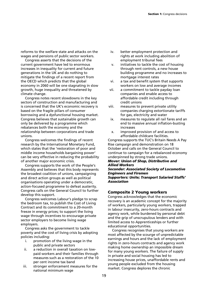reforms to the welfare state and attacks on the wages and pensions of public sector workers.

Congress asserts that the decisions of the current government have led to enormous increases in inequality for current and future generations in the UK and do nothing to mitigate the findings of a recent report from the OECD which predicts that the global economy in 2060 will be one stagnating in slow growth, huge inequality and threatened by climate change.

Congress notes recent slowdowns in the key sectors of construction and manufacturing and is concerned that the UK's economic recovery is based on the fragile pillars of consumer borrowing and a dysfunctional housing market. Congress believes that sustainable growth can only be delivered by a programme which rebalances both the economy and the relationship between corporations and trade unions.

Congress welcomes the findings of recent research by the International Monetary Fund, which states that the 'restoration of poor and middle income households bargaining power' can be very effective in reducing the probability of another major economic crisis.

Congress supports the work of the People's Assembly and believes that this body represents the broadest coalition of unions, campaigning and direct action groups as well as political organisations operating under a democratic, action-focused programme to defeat austerity. Congress calls on the General Council to further develop this support.

Congress welcomes Labour's pledge to scrap the bedroom tax, to publish the Cost of Living Contract and its commitment to a 20-month freeze in energy prices; to support the living wage through incentives to encourage private sector employers to become living wage employers.

Congress asks the government to tackle poverty and the cost of living crisis by adopting policies including:

- i. promotion of the living wage in the public and private sectors
- ii. a reduction in overall taxation on lowpaid workers and their families through measures such as a restoration of the 10 per cent income tax band
- iii. stronger enforcement measures for the national minimum wage
- iv. better employment protection and rights at work including abolition of employment tribunal fees
- v. initiatives to tackle the cost of housing through rent controls, a new house building programme and no increases to mortgage interest rates
- vi. a tax and benefit system that supports workers on low and average incomes
- vii. a commitment to tackle payday loan companies and enable access to affordable credit including through credit unions
- viii. measures to prevent private utility companies charging extortionate tariffs for gas, electricity and water
- ix. measures to regulate all rail fares and an end to massive annual inflation-busting increases
- x. improved provision of and access to affordable childcare facilities.

Congress supports the TUC's Britain Needs A Pay Rise campaign and demonstration on 18 October and calls on the General Council to continue to campaign for a rebalanced economy underpinned by strong trade unions.

#### *Mover: Union of Shop, Distributive and Allied Workers*

*Seconder: Associated Society of Locomotive Engineers and Firemen Supporters: Unite; Transport Salaried Staffs' Association* 

# **Composite 2 Young workers**

Congress acknowledges that the economic recovery is an academic concept for the majority of workers, particularly young workers, trapped in labour insecurity, zero-hours contracts and agency work, while burdened by personal debt and the grip of unscrupulous lenders and with limited access to Apprenticeships or further educational opportunities.

Congress recognises that young workers are most affected by the scourge of unpredictable earnings and hours and the lack of employment rights in zero-hours contracts and agency work making home ownership an impossible dream for many young workers. The failure of supply in private and social housing has led to increasing house prices, unaffordable rents and young people excluded from the housing market. Congress deplores the chronic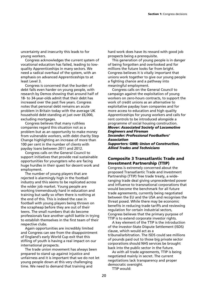uncertainty and insecurity this leads to for young workers.

Congress acknowledges the current system of vocational education has failed, leading to lowquality Apprenticeships in many sectors. We need a radical overhaul of the system, with an emphasis on advanced Apprenticeships to at least Level 3.

Congress is concerned that the burden of debt falls even harder on young people, with research by Demos showing that around half of 18- to 34-year-olds admit that their debt has increased over the past five years. Congress notes that personal debt remains an acute problem in Britain today with the average UK household debt standing at just over £6,000, excluding mortgages.

Congress believes that many ruthless companies regard this situation not as a problem but as an opportunity to make money from vulnerable workers, with debt charity Step Change highlighting an increase of more than 100 per cent in the number of clients with payday loans between 2011 and 2012.

Congress calls on the General Council to support initiatives that provide real sustainable opportunities for youngsters who are facing huge hurdles in their quest for decent work and employment.

The number of young players that are rejected is alarmingly high in the football industry and this seems to be replicated across the wider job market. Young people are working tremendously hard in education and training but sadly so often there is nothing at the end of this. This is indeed the case in football with young players being thrown on the scrapheap before they are out of their teens. The small numbers that do become professionals face another uphill battle in trying to establish themselves in the first team of their respective clubs.

Again opportunities are incredibly limited and Congress can see from the disappointment of England's early World Cup exit that this stifling of youth is having a real impact on our international prospects.

The trade union movement has always been prepared to stand up against injustice and unfairness and it is important that we do not let young people down at this very challenging time. We need to demand that training and

hard work does have its reward with good job prospects being a prerequisite.

This generation of young people is in danger of being forgotten and overlooked and for millions the future looks far from bright. Congress believes it is vitally important that unions work together to give our young people a fighting chance and a pathway into meaningful employment.

Congress calls on the General Council to campaign against the exploitation of young workers on zero-hours contracts, to support the work of credit unions as an alternative to exploitative payday loan companies and for more access to education and high quality Apprenticeships for young workers and calls for rent controls to be introduced alongside a programme of social housing construction. *Mover: Associated Society of Locomotive Engineers and Fireman Seconder: Professional Footballers' Association Supporters: GMB; Union of Construction,* 

*Allied Trades and Technicians* 

# **Composite 3 Transatlantic Trade and Investment Partnership (TTIP)**

Congress is extremely concerned about the proposed Transatlantic Trade and Investment Partnership (TTIP) free trade treaty, a wideranging trade deal giving unprecedented power and influence to transnational corporations that would become the benchmark for all future trade agreements, currently being negotiated between the EU and the USA and recognises the threat posed. While there may be economic benefits in reducing trade tariffs and reviewing regulation for certain industrial sectors, Congress believes that the primary purpose of TTIP is to extend corporate investor rights.

A key element of the TTIP is the introduction of the Investor-State Dispute Settlement (ISDS) clause, which would act as a tribunal/arbitration. The ISDS could see millions of pounds paid out to those big private sector corporations should NHS services be brought back into the public sector in the future.

As with all trade agreements, TTIP is being negotiated mainly in secret. The current negotiations lack transparency and proper democratic oversight.

TTIP would: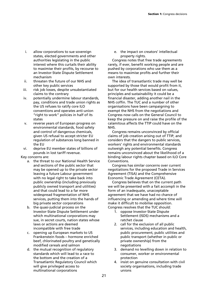- i. allow corporations to sue sovereign states, elected governments and other authorities legislating in the public interest where this curtails their ability to maximise their profits, by recourse to an Investor-State Dispute Settlement mechanism
- ii. threaten the future of our NHS and other key public services
- iii. risk job losses, despite unsubstantiated claims to the contrary
- iv. potentially undermine labour standards, pay, conditions and trade union rights as the US refuses to ratify core ILO conventions and operates anti-union "right to work" policies in half of its states
- v. reverse years of European progress on environmental standards, food safety and control of dangerous chemicals, given US refusal to accept stricter EU regulation of substances long banned in the EU

vi. deprive EU member states of billions of pounds in lost tariff revenue.

#### Key concerns are:

- a. the threat to our National Health Service and sections of the public sector that may be opened up to the private sector leaving a future Labour government with no legal right to take back into public ownership (including previously publicly owned transport and utilities) and that could lead to a far more widespread fragmentation of NHS services, putting them into the hands of big private sector corporations
- b. the quasi-judicial process on the Investor-State Dispute Settlement under which multinational corporations may sue, in secret courts, nation states whose laws or actions are deemed incompatible with free trade
- c. opening up European markets to US Frankenstein foods – hormone enriched beef, chlorinated poultry and genetically modified cereals and salmon
- d. the mutual recognition of regulatory standards which will lead to a race to the bottom and the creation of a Transatlantic Regulatory Council which will give privileged access to multinational corporations

e. the impact on creators' intellectual property rights.

Congress notes that free trade agreements rarely, if ever, benefit working people and are pushed by corporations who use them as a means to maximise profits and further their own interests.

The idea of transatlantic trade may well be supported by those that would profit from it, but for our health services based on values, principles and sustainability it could be a financial disaster, adding another nail in the NHS coffin. The TUC and a number of other organisations have been campaigning to exempt the NHS from the negotiations and Congress now calls on the General Council to keep the pressure on and raise the profile of the calamitous affects the TTIP could have on the NHS.

Congress remains unconvinced by official claims of job creation arising out of TTIP, and considers that the dangers to public services, workers' rights and environmental standards outweigh any potential benefits. Congress remains unconvinced about the likelihood of a binding labour rights chapter based on ILO Core Conventions.

Congress has similar concerns over current negotiations for the proposed Trade in Services Agreement (TISA) and the Comprehensive Economic Trade Agreement (CETA).

Congress believes that on the current path we will be presented with a fait accompli in the form of an inadequate, unacceptable agreement that we have had no chance of influencing or amending and where time will make it difficult to mobilise opposition. Congress resolves that the TUC should:

- 1. oppose Investor-State Dispute Settlement (ISDS) mechanisms and a ratchet clause
- 2. call for the exclusion of all public services, including education and health, public procurement, public utilities and public transport (whether in public or private ownership) from the negotiations
- 3. demand no levelling down in relation to consumer, worker or environmental protection
- 4. insist on genuine consultation with civil society organisations, including trade unions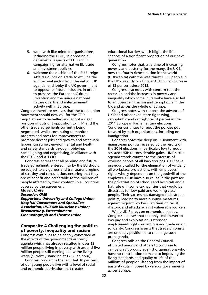- 5. work with like-minded organisations, including the ETUC, in opposing all detrimental aspects of TTIP and in campaigning for alternative EU trade and investment policies
- 6. welcome the decision of the EU Foreign Affairs Council on Trade to exclude the audio-visual sector from the initial TTIP agenda, and lobby the UK government to oppose its future inclusion, in order to preserve the European Cultural Exception and the unique national nature of arts and entertainment activity within Europe.

Congress therefore resolves that the trade union movement should now call for the TTIP negotiations to be halted and adopt a clear position of outright opposition to TTIP, and the other trade agreements currently being negotiated, whilst continuing to monitor progress and press for improvements to promote decent jobs and growth and safeguard labour, consumer, environmental and health and safety standards through lobbying, campaigning and negotiating, in alliance with the ETUC and AFLCIO.

Congress agrees that all pending and future trade agreements entered into by the EU should be subject to a vigorous and transparent regime of scrutiny and consultation, ensuring that they are of benefit and acceptable to the millions of people affected by their content, in all countries covered by the agreement.

#### *Mover: Unite Seconder: GMB*

*Supporters: University and College Union; Hospital Consultants and Specialists Association; UNISON; Musicians' Union; Broadcasting, Entertainment, Cinematograph and Theatre Union* 

# **Composite 4 Challenging the politics of poverty, inequality and racism**

Congress continues to be deeply concerned at the effects of the government's austerity agenda which has already resulted in over 13 million people living in poverty with around five million people still earning below the living wage (currently standing at £7.65 an hour).

Congress condemns the fact that 10 per cent of our young people live with a level of social and economic deprivation that creates

educational barriers which blight the life chances of a significant proportion of our next generation.

Congress notes that, at a time of increasing poverty and austerity for the many, the UK is now the fourth richest nation in the world (GDP/capita) with the wealthiest 1,000 people in the UK currently worth over £518bn, an increase of 13 per cent since 2013.

Congress also notes with concern that the recession and the increases in poverty and inequality which come in its wake have also led to an upsurge in racism and xenophobia in the UK and across the whole of Europe.

Congress notes with concern the advance of UKIP and other even more right-wing, xenophobic and outright racist parties in the 2014 European Parliamentary elections. Congress continues to reject the policies put forward by such organisations, including on immigration.

Congress notes the deep disillusionment with mainstream politics revealed by the results of the 2014 elections. In particular, low turnout assisted UKIP to considerable gains. UKIP's true agenda stands counter to the interests of working people of all backgrounds. UKIP have previously called for the elimination of virtually all workplace protections, with employees' rights wholly dependent on the goodwill of the employer. UKIP have also called in the past for the privatisation of schools and hospitals and a flat rate of income tax, policies that would be disastrous for low-paid and working class people. Their success has damaged mainstream politics, leading to more punitive measures against migrant workers, legitimising racist rhetoric and attacks against vulnerable workers.

While UKIP preys on economic anxieties, Congress believes that the only real answer to low pay and exploitation is stronger employment rights protections and trade union solidarity. Congress asserts that trade unionists are uniquely positioned to challenge such propaganda.

Congress calls on the General Council, affiliated unions and others to continue to campaign vigorously against organisations who have no contribution to make to improving the living standards and quality of life of the millions of people suffering from the impact of austerity cuts imposed by various governments across Europe.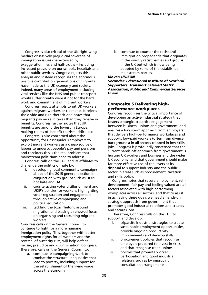Congress is also critical of the UK right-wing media's obsessively prejudicial coverage of immigration issues characterised by exaggeration, lies and half-truths – including increased pressure on our schools, hospitals and other public services. Congress rejects this analysis and instead recognises the enormous positive contribution generations of migrants have made to the UK economy and society. Indeed, many areas of employment including vital services like the NHS and public transport would suffer greatly were it not for the hard work and commitment of migrant workers.

Congress rejects attempts to pit UK workers against migrant workers or claimants. It rejects the divide and rule rhetoric and notes that migrants pay more in taxes than they receive in benefits. Congress further notes that UK benefits are among the lowest in Europe, making claims of 'benefit tourism' ridiculous

Congress is also concerned about the opportunity for unscrupulous employers to exploit migrant workers as a cheap source of labour to undercut people's pay and pensions and considers this is the real problem that mainstream politicians need to address.

Congress calls on the TUC and its affiliates to challenge the politics of hate by:

- i. developing local community campaigns ahead of the 2015 general election in conjunction with groups such as HOPE not hate and UAF
- ii. counteracting voter disillusionment and UKIP's policies for workers, highlighting voter registration and engagement through active campaigning and political education
- iii. tackling the toxic rhetoric around migration and placing a renewed focus on organising and recruiting migrant workers.

Congress calls on the General Council to continue to fight for a more humane immigration policy. This, together with better employment rights for all workers and the reversal of austerity cuts, will help defeat racism, prejudice and discrimination. Congress, therefore, calls on the General Council to:

a. continue its campaigning work to combat the structural inequalities that lead to poverty, including support for the establishment of the living wage across the economy

b. continue to counter the racist anti immigration propaganda that originates in the overtly racist parties and groups in the UK but which is now being adopted by some of the established mainstream parties.

*Mover: UNISON* 

*Seconder: Educational Institute of Scotland Supporters: Transport Salaried Staffs' Association; Public and Commercial Services Union* 

# **Composite 5 Delivering highperformance workplaces**

Congress recognises the critical importance of developing an active industrial strategy that fosters strategic, tripartite engagement between business, unions and government, and ensures a long-term approach from employers that delivers high-performance workplaces and supports low-paid workers (often from diverse backgrounds) in all sectors trapped in low skills jobs. Congress is profoundly concerned that the current hands-off approach from government is hurting UK workers and business and the wider UK economy, and that government should make far more effective use of the levers at its disposal to support industry and the public sector in areas such as procurement, taxation and skills policy.

Congress notes that secure employment, selfdevelopment, fair pay and feeling valued are all factors associated with high-performing workplaces across all sectors, and that to assist in achieving these goals we need a hands-on strategic approach from government that promotes good industrial relations and creates and secures jobs.

Therefore, Congress calls on the TUC to support and develop:

- i. tripartite industrial strategies to create sustainable employment opportunities, provide ongoing productivity improvements and develop skills
- ii. procurement policies that recognise employers prepared to invest in skills and that recognise trade unions
- iii. policies that promote worker participation and good industrial relations such as by improving consultation arrangements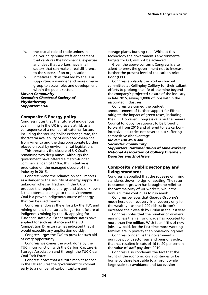- iv. the crucial role of trade unions in delivering genuine staff engagement that captures the knowledge, expertise and ideas that workers have in all sectors that can make a real difference to the success of an organisation
- v. initiatives such as that led by the FDA supporting a younger and more diverse group to access roles and development within the public sector.

*Mover: Community Seconder: Chartered Society of Physiotherapy Supporter: FDA* 

# **Composite 6 Energy policy**

Congress notes that the future of indigenous coal mining in the UK is gravely at risk as a consequence of a number of external factors including the sterling/dollar exchange rate, the short-term availability of displaced cheap coal from America and the disproportionate burden placed on coal by environmental legislation.

This threatens the closure of UK Coal's remaining two deep mines. Although the government have offered a match-funded commercial loan of £10m, this initiative is predicated on the managed closure of the industry in 2015.

Congress views the reliance on coal imports as a danger to the security of energy supply. It is unknown whether fracking in the UK will produce the required energy, and also unknown is the potential damage to the environment. Coal is a proven indigenous source of energy that can be used cleanly.

Congress endorses the efforts by the TUC and mining unions to ensure a longer term future of indigenous mining by the UK applying for European state aid. Other member states have applied for such assistance and the EU Competition Directorate has indicated that it would expedite any application quickly.

Congress urges the TUC to press for such aid at every opportunity.

Congress welcomes the work done by the TUC in conjunction with the Carbon Capture & Storage Association and through the TUC Clean Coal Task Force.

Congress notes that a future market for coal in the UK requires the government to commit early to a number of carbon capture and

storage plants burning coal. Without this technology the government's environmental targets for CO<sub>2</sub> will not be achieved.

Given the above concerns Congress is also asked to press the government not to increase further the present level of the carbon price floor (CPF).

Congress applauds the workers buyout committee at Kellingley Colliery for their valiant efforts to prolong the life of the mine beyond the company's projected closure of the industry in late 2015, saving 1,000s of jobs within the associated industries.

Congress welcomed the budget announcement of further support for EIIs to mitigate the impact of green taxes, including the CPF. However, Congress calls on the General Council to lobby for support to be brought forward from 2016 and offered to less carbonintensive industries not covered but suffering competitive disadvantage.

# *Mover: BACM–TEAM Seconder: Community Supporters: National Union of Mineworkers; National Association of Colliery Overmen, Deputies and Shotfirers*

# **Composite 7 Public sector pay and living standards**

Congress is appalled that the squeeze on living standards shows no sign of abating. The return to economic growth has brought no relief to the vast majority of UK workers, while the bonus culture continues to run amok.

Congress believes that George Osborne's much-heralded 'recovery' is a recovery only for the wealthy – as the 1,000 richest Briton's increased their wealth by £70bn in the last year.

Congress notes that the number of workers earning less than a living wage has rocketed to more than five million. With four-fifths of new jobs low-paid, for the first time more working families are in poverty than non-working ones.

Congress condemns the government's punitive public sector pay and pensions policy that has resulted in cuts of 16 to 20 per cent in the value of staff pay since 2010.

Congress also condemns the fact that the brunt of the economic crisis continues to be borne by those least able to afford it while large-scale tax avoidance and tax evasion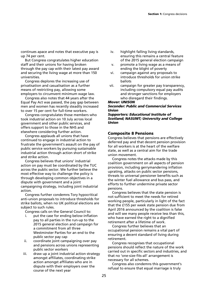continues apace and notes that executive pay is up 74 per cent.

But Congress congratulates higher education staff and their unions for having broken through the pay cap with their latest pay award and securing the living wage at more than 150 universities.

Congress deplores the increasing use of privatisation and casualisation as a further means of restricting pay, allowing some employers to circumvent minimum wage law.

Congress also notes that 44 years after the Equal Pay Act was passed, the pay gap between men and women has recently steadily increased to over 15 per cent for full-time workers.

Congress congratulates those members who took industrial action on 10 July across local government and other public services, and offers support to those in the NHS and elsewhere considering further action.

Congress applauds all unions that have continued to engage in industrial action to frustrate the government's assault on the pay of public service workers by pursuing sustainable industrial action through action short of strike and strike action.

Congress believes that unions' industrial action on pay must be coordinated by the TUC across the public sector. We further believe the most effective way to challenge the policy is through developing common objectives in a dispute with government and a joint campaigning strategy, including joint industrial action.

Congress further condemns Tory hypocritical anti-union proposals to introduce thresholds for strike ballots, when no UK political elections are subject to such rules.

Congress calls on the General Council to:

- i. put the case for ending below-inflation pay to all parties in the run-up to the 2015 general election and campaign for a commitment from all three Westminster Parties for an end to the public sector pay cap
- ii. coordinate joint campaigning over pay and pensions across unions representing public sector workers
- iii. draw up a joint industrial action strategy amongst affiliates, coordinating strike action amongst affiliates who are in dispute with their employers over the course of the next year
- iv. highlight falling living standards, ensuring this remains a central feature of the 2015 general election campaign
- v. promote a living wage as a means of ending the blight of poverty
- vi. campaign against any proposals to introduce thresholds for union strike ballots
- vii. campaign for greater pay transparency, including compulsory equal pay audits and stronger sanctions for employers who disregard their findings.

#### *Mover: UNISON*

#### *Seconder: Public and Commercial Services Union*

*Supporters: Educational Institute of Scotland; NASUWT; University and College Union* 

#### **Composite 8 Pensions**

Congress believes that pensions are effectively deferred pay and that decent pension provision for all workers is at the heart of the welfare state, as well as a central aim for the trade union movement.

Congress notes the attacks made by this coalition government on all aspects of pension provision, including gerrymandering inflation uprating, attacks on public sector pensions, threats to universal pensioner benefits such as the winter fuel allowance and bus pass, and efforts to further undermine private sector pensions.

Congress believes that the state pension is not sufficient to meet the needs for retired working people, particularly in light of the fact that the £155 per week state pension due from April 2016 announced by the coalition is false and will see many people receive less than this, who have earned the right to a dignified retirement after a lifetime of work.

Congress further believes that an occupational pension remains a vital part of ensuring a decent standard of living during retirement.

Congress recognises that occupational pensions should reflect the nature of the work carried out in specific sectors and industries, and that no 'one-size-fits-all' arrangement is necessary for all schemes.

Congress also condemns this government's refusal to ensure that equal marriage is truly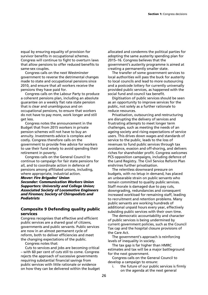equal by ensuring equality of provision for survivor benefits in occupational schemes. Congress will continue to fight to overturn laws that allow pensions to offer reduced benefits to same-sex couples.

Congress calls on the next Westminster government to reverse the detrimental changes made to state and occupational pensions since 2010, and ensure that all workers receive the pensions they have paid for.

Congress calls on the Labour Party to produce a coherent pensions plan, including an absolute guarantee on a weekly flat rate state pension that is clear and unambiguous and on occupational pensions, to ensure that workers do not have to pay more, work longer and still get less.

Congress notes the announcement in the Budget that from 2015 workers in private pension schemes will not have to buy an annuity. Investments advice is complex and costly. Congress therefore calls on the government to provide free advice for workers to use their fund wisely to avoid spending their retirement in poverty.

Congress calls on the General Council to continue to campaign for fair state pensions for all, and to coordinate action in defence of pensions among affiliated unions, including, where appropriate, industrial action.

*Mover: Fire Brigades' Union* 

*Seconder: Communication Workers Union Supporters: University and College Union; Associated Society of Locomotive Engineers and Firemen; Society of Chiropodists and Podiatrists* 

# **Composite 9 Defending quality public services**

Congress recognises that effective and efficient public services are a shared goal of citizens, governments and public servants. Public services are now in an almost permanent cycle of reform, both to deliver efficiencies and meet the changing expectations of the public.

Congress notes that:

Cuts to services and jobs are becoming critical – with 60 per cent of cuts still to come. Congress rejects the approach of successive governments requiring substantial financial savings from public services with little rationale or evidence on how they can be delivered within the budget

allocated and condemns the political parties for adopting the same austerity spending plan for 2015–16. Congress believes that the government's austerity programme is aimed at creating a permanently smaller state.

The transfer of some government services to local authorities will pass the buck for austerity to local councils and lead to more outsourcing and a postcode lottery for currently universally provided public services, as happened with the social fund and council tax benefit.

Digitisation of public services should be seen as an opportunity to improve services for the public, not solely as a further rationale to reduce resources.

Privatisation, outsourcing and restructuring are disrupting the delivery of services and frustrating attempts to meet longer term challenges, such as meeting the needs of an ageing society and rising expectations of service users. This drives down wages and standards of service to the public, leads to the loss of revenues to fund public services through tax avoidance, evasion and off-shoring, and delivers riches for shareholder profit. Congress welcomes PCS opposition campaigns, including defence of the Land Registry. The Civil Service Reform Plan enshrines further privatisation.

The relentless downward pressure on budgets, with no letup in demand, has placed an unbearable strain on public servants who remain committed to quality public services. Staff morale is damaged due to pay cuts, downgrading, redundancies and consequent increased workload for remaining staff, leading to recruitment and retention problems. Many public servants are working hundreds of additional unpaid hours every year, effectively subsiding public services with their own time.

The democratic accountability and character of public services is being undermined by current government policies, such as the Council Tax cap and the hospital closure provisions of the Care Act.

The government's approach is reinforcing levels of inequality in society.

The tax gap is far higher than HMRC estimates and tax will be a major battleground for the next government.

Congress calls on the General Council to develop a campaign to ensure:

i. the future of our public services is firmly on the agenda at the next general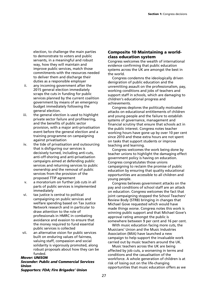election, to challenge the main parties to demonstrate to voters and public servants, in a meaningful and robust way, how they will maintain and improve public services, match those commitments with the resources needed to deliver them and discharge their duties as a responsible employer

- ii. any incoming government after the 2015 general election immediately scraps the cuts in funding for public services planned by the current coalition government by means of an emergency budget immediately following the general election.
- iii. the general election is used to highlight private sector failure and profiteering, and the benefits of public sector provision, with a major anti-privatisation event before the general election and a training programme on campaigning against privatisation
- iv. the tide of privatisation and outsourcing that is disfiguring our services is decisively turned, including anti-cuts, anti-off-shoring and anti-privatisation campaigns aimed at defending public services and returning services to public ownership and the removal of public services from the provision of the proposed TTIP agreement
- v. a moratorium on further job cuts in all parts of public services is implemented immediately
- vi. tax justice is central to political campaigning on public services and welfare spending based on Tax Justice Network research and in particular to draw attention to the role of professionals in HMRC in combating avoidance and evasion to ensure that the money required to fund essential public services is collected
- vii. an alternative vision for public services built on enduring values of fairness, valuing staff, compassion and social solidarity is vigorously promoted, along robust proposals about how they can be funded.

#### *Mover: UNISON*

# *Seconder: Public and Commercial Services Union*

*Supporters: FDA; Fire Brigades' Union* 

# **Composite 10 Maintaining a worldclass education system**

Congress welcomes the wealth of international evidence confirming that public education systems across the UK are amongst the best in the world.

Congress condemns the ideologically driven denigration of public education and the unremitting assault on the professionalism, pay, working conditions and jobs of teachers and support staff in schools, which are damaging to children's educational progress and achievements.

Congress deplores the politically motivated attacks on educational entitlements of children and young people and the failure to establish systems of governance, management and financial scrutiny that ensure that schools act in the public interest. Congress notes teacher working hours have gone up by over 10 per cent since 2010 and these extra hours are not spent on tasks that support students or improve teaching and learning.

Congress welcomes the work being done by teacher unions to highlight the damaging effect government policy is having on education. Congress congratulates those unions campaigning to reclaim the promise of public education by ensuring that quality educational opportunities are accessible to all children and young people.

Congress believes government attacks on the pay and conditions of school staff are an attack on education. Congress welcomes the fact that joint campaigning stopped the School Teachers' Review Body (STRB) bringing in changes that Michael Gove requested which would have made things worse. Congress notes this work is winning public support and that Michael Gove's approval rating amongst the public is somewhere between 9 per cent and 16 per cent.

With music education facing more cuts, the Musicians' Union and the Music Industries Association (MIA) have launched a new campaign to help support the invaluable work carried out by music teachers around the UK.

Music teachers across the UK are being affected by job cuts, a worsening in terms and conditions and the casualisation of the workforce. A whole generation of children is at risk of losing out on the life-changing opportunities that music education offers as we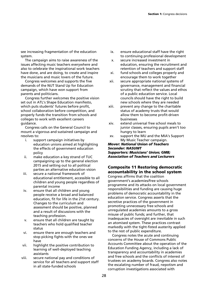see increasing fragmentation of the education system.

The campaign aims to raise awareness of the issues affecting music teachers everywhere and also to celebrate the inspirational work teachers have done, and are doing, to create and inspire the musicians and music lovers of the future.

Congress welcomes and supports the five demands of the NUT Stand Up for Education campaign, which have won support from parents and politicians.

Congress further welcomes the positive vision set out in ATL's Shape Education manifesto, which puts students' futures before profit, school collaboration before competition, and properly funds the transition from schools and colleges to work with excellent careers guidance.

Congress calls on the General Council to mount a vigorous and sustained campaign and resolves to:

- i. support campaign initiatives by education unions aimed at highlighting the effects of government education policy
- ii. make education a key strand of TUC campaigning up to the general election 2015 and setting out to all political parties an alternative education vision
- iii. secure a national framework of educational entitlement, accessible to all children and young people regardless of parental income
- iv. ensure that all children and young people receive a broad and balanced education, fit for life in the 21st century. Changes to the curriculum and assessment should be positive, planned and a result of discussions with the teaching profession.
- v. ensure that all children are taught by teachers who hold qualified teacher status
- vi. ensure there are enough teachers and stop picking fights with the ones we have
- vii. highlight the positive contribution to learning of well-deployed teaching assistants
- viii. secure national pay and conditions of service for all teachers and support staff in all state-funded schools
- ix. ensure educational staff have the right to continuing professional development
- x. secure increased investment in education, ensuring the recruitment and retention of teachers and support staff
- xi. fund schools and colleges properly and encourage them to work together
- xii. secure appropriate national systems of governance, management and financial scrutiny that reflect the values and ethos of a public education service. Local councils should have the right to build new schools where they are needed
- xiii. prevent any change to the charitable status of academy trusts that would allow them to become profit-driven businesses
- xiv. extend universal free school meals to junior classes, ensuring pupils aren't too hungry to learn
- xv. support the MU and the MIA's Support My Music Teacher campaign.

*Mover: National Union of Teachers Seconder: NASUWT Supporters: Musicians' Union; GMB; Association of Teachers and Lecturers* 

# **Composite 11 Restoring democratic accountability in the school system**

Congress affirms that the coalition government's academies/free schools programme and its attacks on local government responsibilities and funding are causing huge problems of democratic accountability in the education service. Congress asserts that the secretive practices of the government in promoting unnecessary free schools and unregulated academies amounts to a gross misuse of public funds; and further, that inadequacies of oversight are inevitable in such an atomised system. These practices contrast markedly with the tight-fisted austerity applied to the rest of public expenditure.

Congress notes the acute and continuing concerns of the House of Commons Public Accounts Committee about the operation of the Education Funding Agency, including a lack of transparency and accountability in academies and free schools and the conflicts of interest of trustees on academy boards. Congress also notes the escalating number of fraud, nepotism and corruption investigations associated with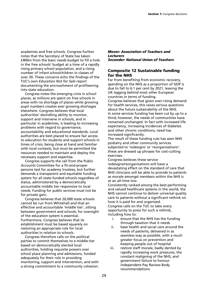academies and free schools. Congress further notes that the Secretary of State has taken £400m from the basic needs budget to fill a hole in the free schools' budget at a time of a rapidly rising primary school population, and a rising number of infant schoolchildren in classes of over 30. These concerns echo the findings of the TUC's own *Education Not for Sale* report documenting the encroachment of profiteering into state education.

Congress notes the emerging crisis in school places, as millions are spent on free schools in areas with no shortage of places while growing pupil numbers creates ever growing shortages elsewhere. Congress believes that local authorities' dwindling ability to monitor, support and intervene in schools, and in particular in academies, is leading to increasing problems with regard to governance, accountability and educational standards. Local authorities are best placed to ensure fair access to education for students and support schools in times of crisis, being close at hand and familiar with local contexts, but must be permitted the resources needed to maintain and deploy the necessary support and expertise.

Congress supports the call from the Public Accounts Committee for a fit-and-proper persons test for academy trustees, but further demands a transparent and equitable funding system for all state-funded schools regardless of status, administered by a democratically accountable middle tier responsive to local needs. Funding for public services must not be for private gain.

Congress believes that 26,000 state schools cannot be run from Whitehall and that an effective and accountable 'middle tier', sitting between government and schools, for oversight of the education system is essential. Furthermore, Congress believes that its establishment must be based squarely on restoring an appropriate role for local authorities in relation to schools.

Congress therefore calls on the political parties to commit themselves to a middle-tier based on democratically elected local authorities, holding requisite powers over school place planning and admissions, funded adequately for their role in providing monitoring, support and intervention, and with a strong commitment to a community cohesion.

#### *Mover: Association of Teachers and Lecturers Seconder: National Union of Teachers*

# **Composite 12 Sustainable funding for the NHS**

Far from benefiting from economic recovery, spending on the NHS as a proportion of GDP is due to fall to 6.1 per cent by 2021, leaving the UK lagging behind most other European countries in terms of funding. Congress believes that given ever-rising demand for health services, this raises serious questions about the future sustainability of the NHS. In some services funding has been cut by up to a third; however, the needs of communities have remained unchanged. In fact with increased life expectancy, increasing incidences of diabetes and other chronic conditions, need has increased significantly.

The result of these funding cuts has seen NHS podiatry and other community services subjected to 'redesigns' or 'reorganisations': these are dressed up phrases for cost-cutting exercises.

Congress believes these service redesigns/reorganisations will have a devastating effect on the standard of care that NHS clinicians will be able to provide to patients as morale amongst members within the NHS is at an all-time low.

Consistently ranked among the best-performing and valued healthcare systems in the world, the NHS cannot continue to deliver universal quality care to patients without a significant rethink on how it is paid for and organised.

Congress calls on the TUC to take every opportunity to press for such a rethink, including how to:

- i. ensure that the NHS has the funding through taxation that it needs
- ii. base health and social care around the needs of patients, delivered in as seamless way as possible, with a much greater focus on prevention and keeping people out of hospital
- iii. restore staff morale, badly dented by rapidly increasing work pressures, the constant maligning of the NHS, and government failure to honour independent Pay Review Body recommendations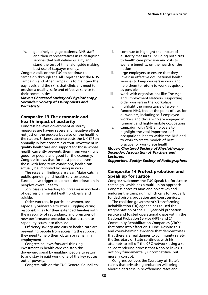iv. genuinely engage patients, NHS staff and their representatives in re-designing services that will deliver quality and stand the test of time, alongside making best use of taxpayer money.

Congress calls on the TUC to continue to campaign through the All Together for the NHS campaign and other campaigns to maintain the pay levels and the skills that clinicians need to provide a quality, safe and effective service to their communities.

#### *Mover: Chartered Society of Physiotherapy Seconder: Society of Chiropodists and Podiatrists*

# **Composite 13 The economic and health impact of austerity**

Congress believes government austerity measures are having severe and negative effects not just on the pockets but also on the health of the nation. Sickness absence costs the UK £15bn annually in lost economic output. Investment in quality healthcare and support for those whose health currently prevents them from working is good for people and good for the economy. Congress knows that for most people, even those with long-term conditions, health can actually be improved by being in work.

The research findings are clear. Major cuts in public spending and health services across Europe have triggered a drastic deterioration in people's overall health.

Job losses are leading to increases in incidents of depression, mental health problems and suicide.

Older workers, in particular women, are especially vulnerable to stress, juggling caring responsibilities for their extended families with the insecurity of redundancy and pressures of new performance procedures that accelerate capability issues into dismissal.

Efficiency savings and cuts to health care are preventing people from accessing the support they need to help them obtain or remain in employment.

Congress believes forward-thinking investment in health care can stop this downward spiral by enabling people to return to and stay in paid work, one of the key routes out of poverty.

Congress calls on the TUC General Council to:

- i. continue to highlight the impact of austerity measures, including both cuts to health care provision and cuts to welfare benefits, on the health of the nation
- ii. urge employers to ensure that they invest in effective occupational health services to keep workers in work and help them to return to work as quickly as possible
- iii. work with organisations like The Age and Employment Network supporting older workers in the workplace
- iv. highlight the importance of a wellfunded NHS, free at the point of use, for all workers, including self-employed workers and those who are engaged in itinerant and highly mobile occupations
- v. campaign with NHS employers to highlight the vital importance of occupational health within the NHS and to work to create models of best practice for workplace health.

# *Mover: Chartered Society of Physiotherapy Seconder: Association of Teachers and Lecturers*

*Supporters: Equity; Society of Radiographers* 

# **Composite 14 Protect probation and Speak up for Justice**

Congress welcomes the TUC Speak Up for Justice campaign, which has a multi-union approach. Congress notes its aims and objectives and endorses the campaign, which calls for properly funded prison, probation and court services.

The coalition government's Transforming Rehabilitation (TR) agenda has caused the fragmentation of the 106-year-old probation service and foisted operational chaos within the National Probation Service (NPS) and 21 Community Rehabilitation Companies (CRCs) that came into effect on 1 June. Despite this, and overwhelming evidence that demonstrates that there is a real danger to community safety, the Secretary of State continues with his attempts to sell off the CRC network using a socalled tendering process that Napo believes is not only fundamentally uncompetitive, but morally corrupt.

Congress believes the Secretary of State's claims that privatising probation will bring about a decrease in re-offending rates and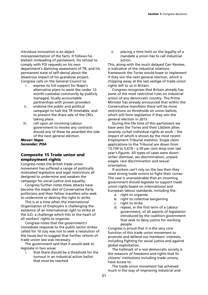introduce innovation is an abject misrepresentation of the facts. It follows his blatant misleading of parliament, his refusal to comply with FOI requests on his own department's damning assessment of TR, and his permanent state of self-denial about the disastrous impact of his grandiose project. Congress calls on the General Council to:

- i. express its full support for Napo's alternative plans to assist the under 12 month custodial community by publicly managed, locally accountable partnerships with proven providers
- ii. endorse the public and political campaign to halt the TR timetable, and to prevent the share sale of the CRCs taking place
- iii. call upon an incoming Labour government to revoke any contracts should any of these be awarded this side of the next general election.

#### *Mover: Napo Seconder: POA*

# **Composite 15 Trade union and employment rights**

Congress notes the British trade union movement has suffered a range of politically motivated legislative and legal restrictions all designed to undermine and weaken the campaign for social justice and equality.

Congress further notes these attacks have become the staple diet of Conservative Party politicians and their fellow travellers who seek to undermine or destroy the right to strike.

This is at a time when the International Organisation of Employers is challenging the existence of an international right to strike at the ILO, a challenge which hits to the heart of all workers' rights to organise.

Congress notes that the government's immediate response to the public sector strikes called for 10 July was not to seek a resolution of the issues but to suggest that further reform of trade union law was necessary.

The government said that it would seek to legislate in two areas:

i. that there should be a threshold for the turnout in an industrial action ballot that must be reached

ii. placing a time limit on the legality of a mandate a union has to call industrial action.

This, along with the much delayed Carr Review, is indicative of the industrial relations framework the Tories would hope to implement if they win the next general election, which is chipping away at the last vestige of trade union rights left to us in Britain.

Congress recognises that Britain already has some of the most restrictive rules on industrial action of any democratic country. The Prime Minister has already announced that within the Conservative manifesto there will be more restrictions on thresholds on union ballots, which will form legislation if they win the general election in 2015.

During the life time of this parliament we have seen the Tories and their LibDem allies severely curtail individual rights at work – the impact of which is shown by the most recent Employment Tribunal statistics. Single claim applications to the Tribunal are down from 13,739 to 5,619 – a 59 per cent drop over last year's figures. All types of cases were down: unfair dismissal, sex discrimination, unpaid wages, race discrimination and sexual orientation.

If workers can't rely on the law then they need strong trade unions to fight their corner. The case is unanswerable that an incoming government should legislate to support trade union rights based on international and European labour standards, including the:

- a. right to organise
- b. right to collective bargaining
- c. right to strike
- d. repeal, in the first term of a Labour government, of all aspects of legislation introduced by the coalition government that seek to deny justice for working people.

Congress is proud that it is the very core function of this trade union movement to promote and defend our members' interests, including fighting for social justice and against global exploitation.

The hallmark of a real democratic society is the measure of freedoms and rights that its citizens' institutions including trade unions, have access to.

The trade union movement has achieved much in the way of improving industrial and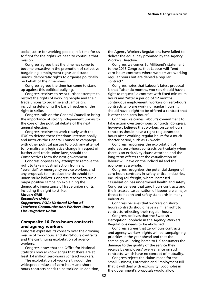social justice for working people; it is time for us to fight for the rights we need to continue that mission.

Congress agrees that the time has come to become proactive in the promotion of collective bargaining, employment rights and trade unions' democratic rights to organise politically on behalf of their members.

Congress agrees the time has come to stand up against this political bullying.

Congress resolves to resist further attempts to restrict the rights of working people and their trade unions to organise and campaign, including defending the basic freedom of the right to strike.

Congress calls on the General Council to bring the importance of strong independent unions to the core of the political debate of the next general election.

Congress resolves to work closely with the ITUC to defend these freedoms internationally and instructs the General Council to campaign with other political parties to block any attempt to formalise any legislative change in respect of further anti-trade union laws, should the Conservatives form the next government.

Congress opposes any attempt to remove the right to take industrial action from any "essential" or emergency service workers and any proposals to introduce the threshold for union strike ballots. Congress resolves to run a major positive campaign explaining the democratic importance of trade union rights, including the right to strike.

#### *Mover: GMB*

*Seconder: Unite* 

*Supporters: POA; National Union of Teachers; Communication Workers Union; Fire Brigades' Union* 

# **Composite 16 Zero-hours contracts and agency workers**

Congress expresses its concern over the growing misuse of zero-hours and short-hours contracts and the continuing exploitation of agency workers.

Congress notes that the Office for National Statistics now acknowledges that there are at least 1.4 million zero-hours contract workers.

The exploitation of workers through the widespread misuse of zero-hours and shorthours contracts needs to be tackled. In addition, the Agency Workers Regulations have failed to deliver the equal pay promised by the Agency Workers Directive.

Congress welcomes Ed Miliband's statement to the 2013 Congress that Labour will "end zero-hours contracts where workers are working regular hours but are denied a regular contract".

Congress notes that Labour's latest proposal is that "after six months, workers should have a right to request" a contract with fixed minimum hours and "after a period of 12 months continuous employment, workers on zero-hours contracts who are working regular hours … should have a right to be offered a contract that is other than zero-hours".

Congress welcomes Labour's commitment to take action over zero-hours contracts. Congress, however, believes that workers on zero-hours contracts should have a right to guaranteed hours after working regular hours for a much shorter period, such as 12 weeks.

Congress recognises the exploitation of enforced zero-hours contracts particularly when there is an exclusivity clause attached and the long-term effects that the casualisation of labour will have on the individual and the economy as a whole.

Congress recognises the potential danger of zero hours contracts in safety-critical industries, including rail freight, where increased casualisation has undermined health and safety. Congress believes that zero hours contracts and the increased casualisation of labour are a major threat to health and safety standards in many industries.

Congress believes that workers on shorthours contracts should have a similar right to contracts reflecting their regular hours.

Congress believes that the Swedish Derogation loophole in the Agency Workers Regulations needs to be abolished.

Congress agrees that zero-hours contracts and agency workers' rights will be campaigning priorities in the year ahead and that the campaign will bring home to UK consumers the damage to the quality of the service they receive by employers' over-reliance on such contracts, which have no concept of mutuality.

Congress rejects the claims made for the Small Business, Enterprise and Employment Bill that it will deal with exclusivity. Loopholes in the government's proposals would allow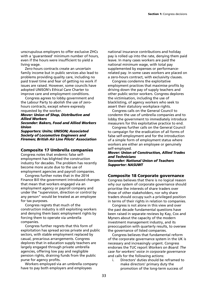unscrupulous employers to offer exclusive ZHCs with a 'guaranteed' minimum number of hours, even if the hours were insufficient to yield a living wage.

Zero-hours contracts create an uncertain family income but in public services also lead to problems providing quality care, including no paid travel time and fear of getting no work if issues are raised. However, some councils have adopted UNISON's Ethical Care Charter to improve care and employment conditions.

Congress agrees to lobby government and the Labour Party to abolish the use of zerohours contracts, except where expressly requested by the worker.

#### *Mover: Union of Shop, Distributive and Allied Workers*

#### *Seconder: Bakers, Food and Allied Workers Union*

*Supporters: Unite; UNISON; Associated Society of Locomotive Engineers and Firemen; British Air Line Pilots' Association* 

# **Composite 17 Umbrella companies**

Congress notes that endemic false selfemployment has blighted the construction industry for decades. The problem has recently become more acute due to the use of employment agencies and payroll companies.

Congress further notes that in the 2014 Finance Bill the government introduced changes that mean that workers engaged via an employment agency or payroll company and under the "supervision, direction or control by any person" would be treated as an employee for tax purposes.

Congress regrets that much of the construction industry is still exploiting workers and denying them basic employment rights by forcing them to operate via umbrella companies.

Congress further regrets that this form of exploitation has spread across private and public sectors, with stable employment replaced by casual, precarious arrangements. Congress deplores that in education supply teachers are largely engaged through private umbrella agencies, offering low pay and negligible pension rights, draining funds from the public purse for agency profits.

Workers employed via an umbrella company have to pay both employers and employees

national insurance contributions and holiday pay is rolled up into the rate, denying them paid leave. In many cases workers are paid the national minimum wage, with total pay supplemented by expenses or performancerelated pay. In some cases workers are placed on a zero-hours contract, with exclusivity clauses.

Congress condemns the exploitative employment practices that maximise profits by driving down the pay of supply teachers and other public sector workers. Congress deplores the victimisation, including the use of blacklisting, of agency workers who seek to assert their statutory workplace rights.

Congress calls on the General Council to condemn the use of umbrella companies and to lobby the government to immediately introduce measurers for this exploitative practice to end.

Congress further calls on the General Council to campaign for the eradication of all forms of false self-employment and for the introduction of a simple form of employment status where workers are either an employee or genuinely self-employed.

# *Mover: Union of Construction, Allied Trades and Technicians Seconder: National Union of Teachers Supporter: NASUWT*

# **Composite 18 Corporate governance**

Congress believes that there is no logical reason why our system of corporate governance should prioritise the interests of share traders over those of other stakeholders, nor why share traders should occupy such a privileged position in terms of their rights in relation to companies.

Congress is not alone in this view and over the past decade fundamental questions have been raised in separate reviews by Kay, Cox and Myners about the capacity of the modern investment management industry, and its preoccupation with quarterly results, to oversee the governance of listed companies.

Congress believes that fundamental reform of the corporate governance system in the UK is necessary and increasingly urgent. Congress endorses the TUC report *Workers on Board: The case for workers' voice in corporate governance* and calls for the following actions:

i. Directors' duties should be reframed to make directors' primary duty the promotion of the long-term success of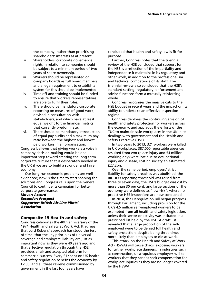the company, rather than prioritising shareholders' interests as at present.

- ii. Shareholders' corporate governance rights in relation to companies should be subject to a minimum period of two years of share ownership.
- iii. Workers should be represented on company boards as full board members and a legal requirement to establish a system for this should be implemented.
- iv. Time off and training should be funded to ensure that workers representatives are able to fulfil their roles.
- v. There should be mandatory corporate reporting on measures of good work, devised in consultation with stakeholders, and which have at least equal weight to the financial metrics that currently predominate.
- vi. There should be mandatory introduction of equal pay audits and a maximum pay ratio between the highest and lowest paid workers in an organisation.

Congress believes that giving workers a voice in company decision-making would be one important step toward creating the long-term corporate culture that is desperately needed in the UK if we are to build a stronger and fairer economy.

Our long-run economic problems are well evidenced; now is the time to start shaping the solutions and Congress calls upon the General Council to continue its campaign for better corporate governance.

#### *Mover: Accord Seconder: Prospect Supporter: British Air Line Pilots' Association*

# **Composite 19 Health and safety**

Congress celebrates the 40th anniversary of the 1974 Health and Safety at Work Act. It agrees that Lord Robens' approach has stood the test of time, that the key principles of universal coverage and employers' liability are just as important now as they were 40 years ago and that effective regulation through the HSE provides a fair and accepted platform for commercial success. Every £1 spent on UK health and safety regulation benefits the economy by £2.35, and all three reviews commissioned by government in the last four years have

concluded that health and safety law is fit for purpose.

Further, Congress notes that the triennial review of the HSE concluded that support for the HSE is a reflection of the impartiality and independence it maintains in its regulatory and other work, in addition to the professionalism and technical competence of its staff. The triennial review also concluded that the HSE's standard setting, regulatory, enforcement and advice functions form a mutually reinforcing whole.

Congress recognises the massive cuts to the HSE budget in recent years and the impact on its ability to undertake an effective inspection regime.

Congress deplores the continuing erosion of health and safety protection for workers across the economy, and applauds the efforts of the TUC to maintain safe workplaces in the UK in its dealings with government and the Health and Safety Executive (HSE).

In two years to 2013, 321 workers were killed in UK workplaces, 387,000 reportable absences resulted from workplace injury and 54 million working days were lost due to occupational injury and disease, costing society an estimated £27.2bn.

Over the same period, employers' strict liability for safety breaches was abolished, the RIDDOR reporting threshold was raised from three to seven days, the HSE's budget was cut by more than 30 per cent, and large sections of the economy were defined as "low-risk", where no proactive HSE inspections are now conducted.

In 2014, the Deregulation Bill began progress through Parliament, including provision for the UK's 4.5 million self-employed workers to be exempted from all health and safety legislation, unless their sector or activity was included in a prescribed list held by the HSE. A draft list revealed that a large proportion of the selfemployed were to be denied full health and safety protection, despite being three times more likely than employees to die at work.

This attack on the Health and Safety at Work Act (HSWA) will cause chaos, exposing workers to further workplace dangers. In industries such as construction, unscrupulous employers will tell workers that they cannot seek compensation for workplace injuries as they are no longer covered by the HSWA.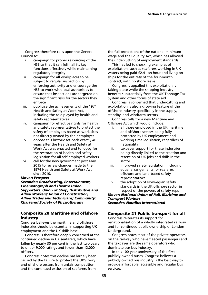Congress therefore calls upon the General Council to:

- i. campaign for proper resourcing of the HSE so that it can fulfil all its key functions effectively while maintaining regulatory integrity
- ii. campaign for all workplaces to be subject to regular inspection by enforcing authority and encourage the HSE to work with local authorities to ensure that inspections are targeted on the significant risks for the sectors they enforce
- iii. publicise the achievements of the 1974 Health and Safety at Work Act, including the role played by health and safety representatives
- iv. campaign for effective rights for health and safety representatives to protect the safety of employees based at work sites not directly owned by their employer
- v. oppose this historic set-back exactly 40 years after the Health and Safety at Work Act was enacted and to lobby for the restoration of health and safety legislation for all self-employed workers
- vi. call for the new government post May 2015 to review changes made to the 1974 Health and Safety at Work Act since 2010.

#### *Mover: Prospect*

*Seconder: Broadcasting, Entertainment, Cinematograph and Theatre Union Supporters: Union of Shop, Distributive and Allied Workers; Union of Construction, Allied Trades and Technicians; Community; Chartered Society of Physiotherapy* 

# **Composite 20 Maritime and offshore industry**

Congress believes the maritime and offshore industries should be essential in supporting UK employment and the UK skills base.

Congress is therefore deeply concerned at the continued decline in UK seafarers, which have fallen by nearly 30 per cent in the last two years to under 9,000 ratings and fewer than 12,000 officers.

Congress notes this decline has largely been caused by the failure to protect the UK's ferry and offshore sectors from unfair competition and the continued exclusion of seafarers from

the full protections of the national minimum wage and the Equality Act, which has allowed the undercutting of employment standards.

This has led to shocking examples of exploitation, such as seafarers working in UK waters being paid £2.41 an hour and living on ships for the entirety of the four-month contract, with no shore leave.

Congress is appalled this exploitation is taking place while the shipping industry benefits substantially from the UK Tonnage Tax System and other forms of state aid.

Congress is concerned that undercutting and exploitation is also a growing feature of the offshore industry specifically in the supply, standby, and windfarm sectors.

Congress calls for a new Maritime and Offshore Act which would include:

- i. all those employed in the UK maritime and offshore sectors being fully protected by UK employment and working time legislation, regardless of nationality
- ii. taxpayer support for these industries being directly linked to the creation and retention of UK jobs and skills in the sector
- iii. improved safety legislation, including equal arrangements for seafarer, offshore and land-based safety representatives
- iv. the adoption of Norwegian safety standards in the UK offshore sector in respect of the powers of safety reps.

#### *Mover: National Union of Rail, Maritime and Transport Workers Seconder: Nautilus International*

# **Composite 21 Public transport for all**

Congress reiterates its support for renationalisation of a wholly integrated railway and for continued public ownership of London Underground.

Congress notes most of the private operators on the railway who have fleeced passengers and the taxpayer are the same operators who dominate our bus industry.

In this 100-year anniversary of the first publicly owned buses, Congress believes a publicly owned bus industry is the best way to provide affordable, accessible and regular bus services.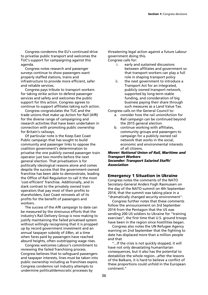Congress condemns the EU's continued drive to privatise public transport and welcomes the TUC's support for campaigning against this agenda.

Congress notes research and passenger surveys continue to show passengers want properly staffed stations, trains and infrastructure to provide more efficient, safer and reliable services.

Congress pays tribute to transport workers for taking strike action to defend passenger services and safety and welcomes the public support for this action. Congress agrees to continue to support affiliates taking such action.

Congress congratulates the TUC and the trade unions that make up Action for Rail (AfR) for the diverse range of campaigning and research activities that have been undertaken in connection with promoting public ownership for Britain's railways.

Of particular note is the Keep East Coast Public campaign that has sought to build community and passenger links to oppose the coalition government's determination to privatise the one publicly owned passenger train operator just two months before the next general election. That privatisation is for politically ideological reasons alone and comes despite the success that the government-owned franchise has been able to demonstrate, leading the Office of Rail Regulation to call it the most 'cost-efficient' franchise. Additionally, and in stark contrast to the privately owned train operators that pay most of their profits to shareholders, East Coast reinvests all of its profits for the benefit of passengers and workers.

The success of the AfR campaign to date can be measured by the strenuous efforts that the industry's Rail Delivery Group is now making to justify maintaining the failed privatised system without willingly recognising that it is propped up by record government investment and an annual taxpayer subsidy of £4bn, at a time when fares paid by passengers have reached absurd heights, often outstripping wage rises.

Congress welcomes Labour's commitment to reviewing the failed franchising process. Congress believes that to safeguard passengers and taxpayer interests, lines must be taken into public ownership including as franchises expire. Congress condemns rail industry attempts to undermine political/democratic processes by

threatening legal action against a future Labour government doing this. Congress calls for:

- i. early and sustained discussions between affiliates and government so that transport workers can play a full role in shaping transport policy
- ii. the next government to introduce a Transport Act for an integrated, publicly owned transport network, supported by long-term stable funding, and consideration of big business paying their share through such measures as a Land Value Tax.

Congress calls on the General Council to:

- a. consider how the rail union/Action for Rail campaign can be continued beyond the 2015 general election
- b. continue working with affiliates, community groups and passengers to campaign for a publicly owned rail network that works in the social, economic and environmental interests of all citizens.

#### *Mover: National Union of Rail, Maritime and Transport Workers Seconder: Transport Salaried Staffs' Association*

# **Emergency 1 Situation in Ukraine**

Congress notes the comments of the NATO Secretary-General Anders Fogh Rasmussen on the day of the NATO summit on 4th September 2014, that the summit was taking place in a "dramatically changed security environment".

Congress further notes that these comments follow the announcement on 3rd September 2014 from the Pentagon that the US was sending 200 US soldiers to Ukraine for "training exercises", the first time that U.S. ground troops have been in the region since hostilities began.

Congress also notes the UN Refugee Agency warning on 2nd September that the fighting to date has displaced more than a million people and that

"...If the crisis is not quickly stopped, it will have not only devastating humanitarian consequences, but it also has the potential to destabilize the whole region...after the lessons of the Balkans, it is hard to believe a conflict of these proportions could unfold in the European continent."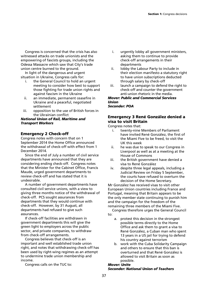Congress is concerned that the crisis has also witnessed attacks on trade unionists and the empowering of fascists groups, including the Odessa Massacre which saw that City's trade union centre burned to the ground.

In light of the dangerous and urgent situation in Ukraine, Congress calls for:

- i. the General Council to hold an urgent meeting to consider how best to support those fighting for trade union rights and against fascism in the Ukraine
- ii. an immediate, permanent ceasefire in Ukraine and a peaceful, negotiated settlement
- iii. opposition to the use of British forces in the Ukrainian conflict

#### *National Union of Rail, Maritime and Transport Workers*

# **Emergency 2 Check-off**

Congress notes with concern that on 1 September 2014 the Home Office announced the withdrawal of check-off with effect from 1 December 2014.

Since the end of July a number of civil service departments have announced that they are considering ending check-off. Congress notes that the Minister for the Cabinet Office, Francis Maude, urged government departments to review check-off and has stated that it is undesirable.

A number of government departments have consulted civil service unions, with a view to giving three months notice of the withdrawal of check-off. PCS sought assurances from departments that they would continue with check-off. However, by 31 August, all departments had refused to give such assurances.

If check-off facilities are withdrawn in government departments this will give the green light to employers across the public sector, and private companies, to withdraw from check-off arrangements.

Congress believes that check-off is an important and well established trade union right, and notes that withdrawing check-off has been used by right-wing regimes as an attempt to undermine trade union membership and income.

Congress calls on the TUC to:

- i. urgently lobby all government ministers, asking them to continue to provide check-off arrangements in their departments
- ii. lobby the Labour Party to include in their election manifesto a statutory right to have union subscriptions deducted through salary by check-off
- iii. launch a campaign to defend the right to check-off and counter the government anti-union rhetoric in the media.

#### *Mover: Public and Commercial Services Union Seconder: POA*

# **Emergency 3 René González denied a visa to visit Britain**

Congress notes that:

- i. twenty-nine Members of Parliament have invited René González, the first of the Miami Five to be freed, to visit the UK this week
- ii. he was due to speak to our Congress in Liverpool as well as at a meeting at the House of Commons
- iii. the British government have denied a visa to René González
- iv. despite three legal appeals, including a Judicial Review on Friday 5 September, the courts have refused to overturn the decision of the Home Secretary.

Mr González has received visas to visit other European Union countries including France and Portugal, meaning that Britain appears to be the only member state continuing to punish him and the campaign for the freedom of the remaining three members of the Miami Five.

Congress therefore urges the General Council to:

- a. protest this decision in the strongest possible terms directly to the Home Office and ask them to grant a visa to René González, a Cuban man who spent 13 years in a US jail for trying to defend his country against terrorism
- b. work with the Cuba Solidarity Campaign and others to ensure that this ban is overturned and that René González is allowed to visit Britain as soon as possible.

#### *Mover: Unite Seconder: National Union of Teachers*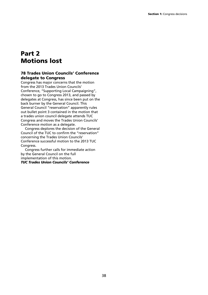# **Part 2 Motions lost**

# **78 Trades Union Councils' Conference delegate to Congress**

Congress has major concerns that the motion from the 2013 Trades Union Councils' Conference, "Supporting Local Campaigning", chosen to go to Congress 2013, and passed by delegates at Congress, has since been put on the back burner by the General Council. This General Council "reservation" apparently rules out bullet point 3 contained in the motion that a trades union council delegate attends TUC Congress and moves the Trades Union Councils' Conference motion as a delegate.

Congress deplores the decision of the General Council of the TUC to confirm the "reservation" concerning the Trades Union Councils' Conference successful motion to the 2013 TUC Congress.

Congress further calls for immediate action by the General Council on the full implementation of this motion. *TUC Trades Union Councils' Conference*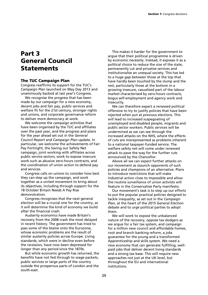# **Part 3 General Council Statements**

#### **The TUC Campaign Plan**

Congress reaffirms its support for the TUC's *Campaign Plan* launched on May Day 2013 and unaminously backed at last year's Congress.

We recognise the progress that has been made by our campaign for a new economy, decent jobs and fair pay, public services and welfare fit for the 21st century, stronger rights and unions, and corporate governance reform to deliver more democracy at work.

We welcome the campaign activities that have been organised by the TUC and affiliates over the past year, and the progress and plans for the year ahead set out in the *General Council Report* and *Campaign Plan* update. In particular, we welcome the achievements of Fair Pay Fortnight, the Saving our Safety Net campaign, joint working with affiliates across public service sectors, work to expose insecure work such as abusive zero-hours contracts, and the coordination of union action to defend pay and services.

Congress calls on unions to consider how best they can step up the campaign, and work together as a united movement to bring about its objectives, including through support for the 18 October Britain Needs A Pay Rise demonstration.

Congress recognises that the next general election will be a crucial one for the country, as it will determine the kind of economy we build after the financial crash.

Austerity economics have made Britain's recovery from the 2008 crash the most delayed in recent history. The government has tried to pass some of the blame onto the Eurozone, whose economic problems are the result of similar austerity policies across Europe. Living standards, which were in decline even before the recession, have now been depressed for longer than any period since the 1870s.

But while economic growth has returned, the benefits have not fed through to wage packets, public services or large parts of the country outside the prosperous parts of London and the south-east.

This makes it harder for the government to argue that their political programme is driven by economic necessity. Instead, it exposes it as a political choice to reduce the size of the state, permanently cut and privatise services and institutionalise an unequal society. This has led to a huge gap between those at the top that have hardly been touched by the slump and the rest, particularly those at the bottom in a growing insecure, casualised part of the labour market characterised by zero-hours contracts, bogus self-employment and agency work and insecurity.

We can therefore expect a renewed political offensive to try to justify policies that have been rejected when put at previous elections. This will lead to increased scapegoating of unemployed and disabled people, migrants and public sector workers. Public services will be undermined as we can see through the increased attacks on the NHS, where the effects of cuts are misrepresented as problems inherent to a national taxpayer-funded service. The welfare safety net will come under renewed attack to pave the way for the further cuts announced by the Chancellor.

Above all we can expect further attacks on our movement as staunch opponents of such policies and champions of an alternative. Plans to introduce restrictions that will make industrial action close to impossible and allow the routine surveillance of union activists will feature in the Conservative Party manifesto.

Our movement's task is to step up our efforts to put the popular practical policies designed to tackle inequality, as set out in the *Campaign Plan,* at the heart of the 2015 General Election debate and to urge political parties to adopt them.

We will work to expose the unbalanced nature of the recovery, oppose tax dodgers as we argue for a fair tax system, and campaign for a million new council and affordable homes, root and branch banking reform, a jobs guarantee for the young and a transformed Apprenticeship and skills system. We need a new economy that can generate fulfilling, wellpaid jobs that deliver decent living standards and a strong tax base. This will require new approaches not just at the UK level, but throughout the EU and international institutions.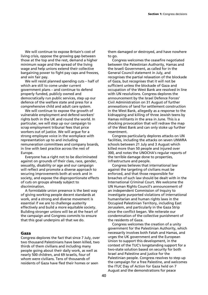We will continue to expose Britain's cost of living crisis, oppose the growing gap between those at the top and the rest, demand a higher minimum wage and the spread of the living wage and help unions extend their collective bargaining power to fight pay caps and freezes, and win fair pay.

We will resist planned spending cuts – half of which are still to come under current government plans – and continue to defend properly funded, publicly owned and democratically run public services, step up our defence of the welfare state and press for a comprehensive child and adult care system.

We will continue to expose the growth of vulnerable employment and defend workers' rights both in the UK and round the world. In particular, we will step up our campaign to scrap employment tribunal fees that price workers out of justice. We will argue for a strong employee voice in the workplace with representation up to and including remuneration committees and company boards, in line with best practice across the rest of Europe.

Everyone has a right not to be discriminated against on grounds of their class, race, gender, sexuality, disability or age and our campaign will reflect and promote a diverse approach to securing improvements both at work and in society, and expose the disproportionate effects of cuts on groups already subject to discrimination.

A formidable union presence is the best way of giving working people decent standards at work, and a strong and diverse movement is essential if we are to challenge austerity effectively and build a more equitable society. Building stronger unions will be at the heart of the campaign and Congress commits to ensure that this goal underpins all that we do.

#### **Gaza**

Congress deplores the fact that since 7 July, over two thousand Palestinians have been killed, two thirds of them civilians and including many people going about their daily work, as well as nearly 500 children, and 69 Israelis, four of whom were civilians. Tens of thousands of residents of Gaza have fled their homes or seen

them damaged or destroyed, and have nowhere to go.

Congress welcomes the ceasefire negotiated between the Palestinian Authority, Hamas and the Israeli Government, as called for in the General Council statement in July, and recognises the partial relaxation of the blockade of Gaza, but recognises that it will not be sufficient unless the blockade of Gaza and occupation of the West Bank are resolved in line with UN resolutions. Congress deplores the announcement by the Israel Defence Forces' Civil Administration on 31 August of further annexations of land for settlement construction in the West Bank, allegedly as a response to the kidnapping and killing of three Jewish teens by Hamas militants in the area in June. This is a shocking provocation that will redraw the map of the West Bank and can only stoke up further resentment.

Congress particularly deplores attacks on UN facilities, including the attacks on seven UNWRA schools between 21 July and 3 August which killed more than 50 people and injured over 300, and notes the UNOCHA's regular reports of the terrible damage done to properties, infrastructure and people.

Congress believes that international law against the targeting of civilians must be enforced, and that those responsible for breaches of such law should be dealt with in the International Criminal Court. We welcome the UN Human Rights Council's announcement of an independent Commission of Inquiry to investigate purported violations of international humanitarian and human rights laws in the Occupied Palestinian Territory, including East Jerusalem, and particularly in the Gaza Strip since the conflict began. We reiterate our condemnation of the collective punishment of the residents of Gaza.

Congress welcomes the creation of a unity government for the Palestinian Authority, which necessarily involves both Fatah and Hamas, and urges the UK government and the European Union to support this development, in the context of the TUC's longstanding support for a two-state solution based on security for both Israel and Palestine and justice for the Palestinian people. Congress resolves to step up the campaign for a free Palestine, and welcomes the ITUC Day of Action for Gaza held on 7 August and the demonstrations for peace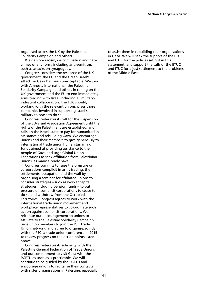organised across the UK by the Palestine Solidarity Campaign and others.

We deplore racism, descrimination and hate crimes of any form, including anti-semitism, such as attacks on synagogues.

Congress considers the response of the UK government, the EU and the UN to Israel's attack on Gaza has been unacceptable. We join with Amnesty International, the Palestine Solidarity Campaign and others in calling on the UK government and the EU to end immediately arms trading with Israel including all militaryindustrial collaboration. The TUC should, working with the relevant unions, press those companies involved in supporting Israel's military to cease to do so.

Congress reiterates its call for the suspension of the EU-Israel Association Agreement until the rights of the Palestinians are established, and calls on the Israeli state to pay for humanitarian assistance and rebuilding Gaza. We encourage unions and their members to give generously to international trade union humanitarian aid funds aimed at providing assistance to the people of Gaza and urge Global Union Federations to seek affiliation from Palestinian unions, as many already have.

Congress commits to raise the pressure on corporations complicit in arms trading, the settlements, occupation and the wall by organising a seminar for affiliated unions to consider strategies – such as worker capital strategies including pension funds – to put pressure on complicit corporations to cease to do so and withdraw from the Occupied Territories. Congress agrees to work with the international trade union movement and workplace representatives to co-ordinate such action against complicit corporations. We reiterate our encouragement to unions to affiliate to the Palestine Solidarity Campaign, urge union members to join the PSC Trade Union network, and agree to organise, jointly with the PSC, a trade union conference in 2015 to review progress on the action points listed above.

Congress reiterates its solidarity with the Palestine General Federation of Trade Unions, and our commitment to visit Gaza with the PGFTU as soon as is practicable. We will continue to be guided by the PGFTU and encourage unions to revitalise their contacts with sister organisations in Palestine, especially to assist them in rebuilding their organisations in Gaza. We will seek the support of the ETUC and ITUC for the policies set out in this statement, and support the calls of the ETUC and ITUC for a just settlement to the problems of the Middle East.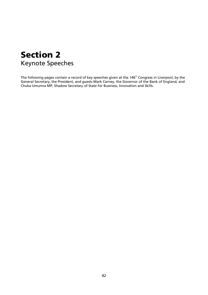# **Section 2**  Keynote Speeches

The following pages contain a record of key speeches given at the 146<sup>th</sup> Congress in Liverpool, by the General Secretary, the President, and guests Mark Carney, the Governor of the Bank of England, and Chuka Umunna MP, Shadow Secretary of State for Business, Innovation and Skills.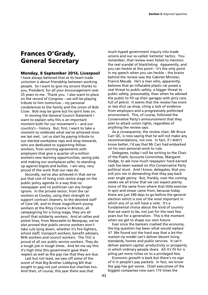# **Frances O'Grady, General Secretary**

#### **Monday, 8 September 2014, Liverpool**

I have always believed that at its heart trade unionism is about friendship between working people. So I want to give my sincere thanks to you, President, for all your encouragement over 25 years to me. Thank you. I also want to place on the record of Congress – we will be playing tribute to him tomorrow – my personal condolences to the family and the union of Bob Crow. Bob may be gone but his spirit lives on.

In moving the General Council Statement I want to explain why this is an important moment both for our movement's – and our country's – history. But, first, I want to take a moment to celebrate what we've achieved since we last met. Let us start by paying tribute to our elected workplace reps and shop stewards, who are dedicated to supporting fellow workers, from winning agreements with employers that give a quarter-of-a-million workers new learning opportunities, saving jobs and making our workplaces safer, to standing up against bigots and bullies. I am very, very proud of the work that our reps do.

Secondly, we've also achieved in that we've put that cost of living crisis centre stage on the public policy agenda in a way that no newspaper and no politician can any longer ignore. In the private sector, from the car workers at Cowley, using their strength to support contract cleaners, to the devoted staff of Care UK, and to those magnificent young workers at the Ritzy Cinema in Brixton, all campaigning for a living wage, they are all proof that solidarity workers. And at rallies and picket lines, from Newcastle to Newquay, we've also proved that public service workers won't take cuts lying down, whether it's fire-fighters, school staff, transport workers, benefit advisers, NHS workers and council workers. The TUC is proud of all our public service workers. They do a tough job in tough times. And let me say this: it's high time this government gave them respect as well as the pay rise that they are due.

Last but not least, we saw off some of the worst of that Big Brother Lobbying Bill that sought to gag not just unions but charities too. And then, of course, this year there was that

much-hyped government inquiry into trade unions and our so-called 'extreme' tactics. You remember, that review even failed to mention the real scandal of blacklisting. Apparently, and you can heckle at this point – it's the only point in my speech when you can heckle – the brains behind the review was the Cabinet Minister, Francis Maude. He's a man who, apparently, believes that an inflatable plastic rat posed a real threat to public safety, a bigger threat to public safety, presumably, than when he advised the public to fill up their garages with jerry cans full of petrol. It seems that the review has more or less shut up shop, citing a lack of evidence from employers and a progressively politicised environment. This, of course, followed the Conservative Party's announcement that they plan to attack union rights, regardless of anything the review says.

As a consequence, the review chair, Mr Bruce Carr QC, is now saying that he will not make any recommendations, not one. In fact, if I didn't know better, I'd say that Mr Carr had embarked on his own personal work to rule.

Delegates, today I will be writing to the Chair of the Public Accounts Committee, Margaret Hodge, to ask how much taxpayers' hard earned cash has been wasted on this Conservative Party political stunt. And I know, delegates, that you will join me in demanding that they pay back ever single penny. But, frankly, over the coming weeks we all know that we can expect plenty more of the same from where that little exercise in spin and smear came from, because today there are just 240 days to go before the general election which is one of the most important in which any of us will have a vote. It's a fundamental choice about the kind of country that we want to be, not just for the next few years but for a generation. This is the moment when we get to shape our own future.

Ever since the bankers crashed the economy, the big question has been what would replace it? We found out the hard way that a let-themarket-rip model can't deliver decent living standards, homes and public services. It can't deliver patient capital, productivity or prosperity in which ordinary people share. All it's fit for is piling yet more riches on to a privileged few.

Economic growth is back but there's no sign of it in people's pay packets. In fact, we know the gap has got worse. Chief executives of the biggest companies now earn 175 times the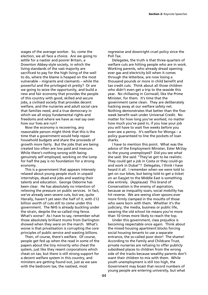wages of the average worker. So, come the election, we all face a choice. Are we going to settle for a nastier and poorer Britain, a Downton Abbey-style society, in which the living standards of the vast majority are sacrificed to pay for the high living of the well to do, where the blame is heaped on the most vulnerable – migrants and claimants – while the powerful and the privileged sit pretty? Or are we going to seize the opportunity, and build a new and fair economy that provides the people of this country with good, skilled and secure jobs, a civilised society that provides decent welfare, and the nurseries and adult social care that families need, and a true democracy in which we all enjoy fundamental rights and freedoms and where we have as real say over how our lives are run?

Now the economy is recovering, any reasonable person might think that this is the time that a government would help repair household budgets and share the proceeds of growth more fairly. But the jobs that are being created too often are low paid and insecure. While there's nothing wrong with being genuinely self employed, working on the lump for half the pay is no foundation for a strong economy.

This is a government that appears intensely relaxed about young people stuck in unpaid internships, dead-end jobs and wasting their talents and education. George Osborne has been clear. He has absolutely no intention of relieving the pressure on public services. In fact, we've already seen severe cuts, but we, quite literally, haven't yet seen the half of it, with £12 billion worth of cuts still to come under this government. The NHS is already buckling under the strain, despite the so-called ring fence. What's worse? As I have to say, remember what those absolutely brilliant mums from Darlington showed when they were on the march. What's worse is that privatisation is corrupting the core principles of public service and wasting billions.

Then, of course, there's welfare. Of course, people get fed up when the read in some of the papers about the tiny minority who cheat the system, just like they resent corporations which cheat on tax, but there is still strong support for a decent welfare system in this country, and ministers are getting found out, just as we saw with the bedroom tax, the nastiest, most

regressive and downright cruel policy since the Poll Tax.

Delegates, the truth is that three-quarters of welfare cuts are hitting people who are in work. Working parents, who already dread opening ever gas and electricity bill when it comes through the letterbox, are now losing a thousand pounds or more in child benefit and tax credit cuts. Think about all those children who didn't even get a trip to the seaside this year. No chillaxing in Cornwall, like the Prime Minister, for them. It's time that the government came clean. They are deliberately hacking away at our welfare safety net. Nothing demonstrates that better than the fiveweek benefit wait under Universal Credit. No matter for how long you've worked, no matter how much you've paid in, if you lose your job you will have to wait five weeks before you even see a penny. It's welfare for Wonga – a policy guaranteed to line the pockets of loan sharks.

I have to mention this point. What was the advice of the Employment Minister, Ester McVay to the young unemployed? Did you see what she said. She said: "They've got to be realistic. They could get a job in Costa or they could go and work in Dubai"? Delegates, I think I have heard it all. I remember when we were told to get on our bikes, but being told to get a ticket on an Easyjet to the Middle East is something else entirely. (Applause) This brand of Conservatism is the enemy of aspiration, because as inequality soars, social mobility has hit reverse. We are seeing silver spoons ever more firmly clamped in the mouths of those who were born with them. Whether it's the judiciary, the media, business or public life, wearing the old school tie means you're more than 10 times more likely to reach the top.

Under this government, class prejudice is becoming respectable once again. Think about the mixed housing apartment blocks forcing social housing tenants to use a separate entrance, the so-called poor door! The shame! According to the Family and Childcare Trust, private nurseries are refusing to offer publicly subsidised places to children from the wrong side of the tracks because wealthy parents don't want their children to mix with them. While youth unemployment is still too high, the Government may boast that record numbers of young people are entering university, but what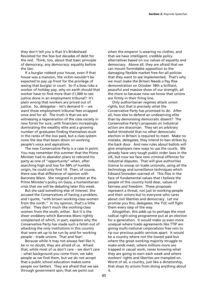they don't tell you is that it's Brideshead Revisited for the few but decades of debt for the rest. Think, too, about that basic principle of democracy, any democracy: equality before the law.

If a burglar robbed your house, even if that house was a mansion, the victim wouldn't be expected to pay up front for the privilege of seeing that burglar in court. So if a boss robs a worker of holiday pay, why on earth should that worker have to find more than £1,000 to see justice done in an employment tribunal? It's plain wrong that workers are priced out of justice. So, delegates – let's demand it -- we want those employment tribunal fees scrapped once and for all. The truth is that we are witnessing a regeneration of the class society in new forms for sure, with financiers increasingly dominating the wealthy elite and a growing number of graduates finding themselves stuck in the ranks of the low paid, but a class system none the less that bears down on working people's voice and aspirations.

The new Conservative Party is a case in point. You may remember this summer that the Prime Minister had to abandon plans to rebrand his party as one of "opportunity" when, after searching high and low for MPs of humble origin, he could only find 14. Then, of course, there was that difference of opinion with Baroness Warsi. She resigned in protest at the Prime Minister's policy on Gaza, a humanitarian crisis that we will be debating later this week.

But she said something else of interest. She accused the Conservatives of having a problem, and I quote, "with brown working-class women from the north." In my opinion, that's a little unfair. They don't much like working-class women from the south, either. But it is the sheer snobbery which Baroness Warsi rightly complained of which, in part, explains why the Conservative Party has made such a fetish out of attacking the only institutions in this country that were set up to be run by and for working people – trade unions. That and fear!

Because while it may not always feel like it, be in no doubt, they are afraid of us. Afraid that, while most of us don't care – we don't care – what background you come from, we take people as we find them, but we do not accept that a public school education makes some people our betters. They are afraid that we see through government spin; that we point out

when the emperor is wearing no clothes, and that we have intelligent, credible policy alternatives based on our values of equality and democracy. Above all, they are afraid that we can mount formidable opposition to the damaging flexible market free-for-all policies that they want to see implemented. That's why we must make the Britain Needs a Pay Rise demonstration on October 18th a brilliant, peaceful and massive show of our strength, all the more so because now we know that unions are firmly in their firing line.

Only authoritarian regimes attack union rights, but that is precisely what the Conservative Party has promised to do. After all, how else to defend an undeserving elite than by demonising democratic dissent? The Conservative Party's proposals on industrial action are draconian. They set an arbitrary ballot threshold that no other democratic election in Britain is required to meet. Make no mistake, delegates, they intend to ban strikes by the back door. And new rules about ballots will give employers new ways to use the courts. We already have very tough public order laws in the UK, but now we face new criminal offences for industrial disputes. That will give authorities licence to snoop on trade unionists, using all the technology and surveillance techniques which Edward Snowden warned of. This flies in the face of fundamental values that I believe the people of this country hold dear, values of fairness and freedom. These proposals represent a threat, not just to working people and their unions but to everyone who cares about civil liberties and democracy. Let me promise you this, delegates: the TUC will fight them every step of the way.

Altogether, this adds up to perhaps the most radical right-wing programme put at an election for a generation. It would make us even more unequal where trade agreements like TTIP are giving multi-national corporations free rein to rip our precious public services apart. It would be a country where not the lowest paid but where the great working majority struggle to make ends meet, where millions more are trapped in casual work, never knowing what they are going to earn each week and where workers' rights and liberties are trampled on. Worst of all, a country, just like a dictatorship, that stops its unions from doing anything about it.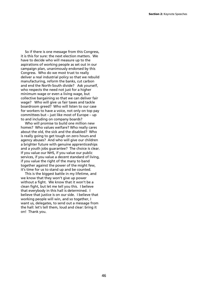So if there is one message from this Congress, it is this for sure: the next election matters. We have to decide who will measure up to the aspirations of working people as set out in our campaign plan, unanimously endorsed by this Congress. Who do we most trust to really deliver a real industrial policy so that we rebuild manufacturing, reform the banks, cut carbon and end the North-South divide? Ask yourself, who respects the need not just for a higher minimum wage or even a living wage, but collective bargaining so that we can deliver fair wage? Who will give us fair taxes and tackle boardroom greed? Who will listen to our case for workers to have a voice, not only on top pay committees but – just like most of Europe – up to and including on company boards?

Who will promise to build one million new homes? Who values welfare? Who really cares about the old, the sick and the disabled? Who is really going to get tough on zero hours and agency abuses? And who will give our children a brighter future with genuine apprenticeships and a youth jobs guarantee? The choice is clear. If you value our NHS, if you value our public services, if you value a decent standard of living, if you value the right of the many to band together against the power of the might few, it's time for us to stand up and be counted.

This is the biggest battle in my lifetime, and we know that they won't give up power without a fight. We know that it won't be a clean fight, but let me tell you this. I believe that everybody in this hall is determined. I believe that justice is on our side. I believe that working people will win, and so together, I want us, delegates, to send out a message from the hall: let's tell them, loud and clear: bring it on! Thank you.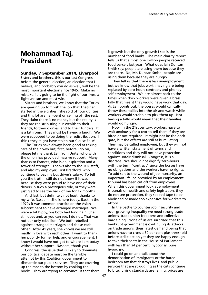# **Mohammad Taj, President**

#### **Sunday, 7 September 2014, Liverpool**

Sisters and brothers, this is our last Congress before the general election, an election that I believe, and probably you do as well, will be the most important election since 1945. Make no mistake, it is going to be the fight of our lives, a fight we can and must win.

Sisters and brothers, we know that the Tories are gearing up to finish the job that Thatcher started in the eighties. She sold off our utilities and this lot are hell-bent on selling off the rest. They claim there is no money but the reality is they are redistributing our wealth to their friends, to their cronies, and to their funders. It is a bit ironic. They must be having a laugh. We were supposed to be doing the redistribution. I think they might have stolen our Clause Four!

The Tories have always been good at taking care of their own but, first, before I go on, please let me thank Len from Unite, who with the union has provided massive support. Many thanks to Frances, who is an inspiration and a tower of strength. Thanks also to the TUC staff, and also my employer, First Bradford, who continue to pay my bus driver's salary. To tell you the truth, I still do not know if it was because they were proud to have one of their drivers in such a prestigious role, or they were just glad to see the back of me for 12 months.

And last, but definitely not least, thanks to my wife, Naseem. She is here today. Back in the 1970s it was common practice on the Asian subcontinent to have arranged marriages. We were a bit hippy, we both had long hair. She still does and, as you can see, I do not. That was not our only rebellion. We both rebelled against arranged marriages and chose each other. After 41 years, she knows we are still madly in love with each other. I want to thank her publicly for her help and encouragement. I know I would have not got to where I am today without her support. Naseem, thank you.

Congress, the issue that is likely to dominate our political debate must be the terrible attempt by this Coalition government to dismantle our public services. They are covering up the race to the bottom by cooking the books. They are trying to convince us that there

is growth but the only growth I see is the number of food banks. The main charity report tells us that almost one million people received food parcels last year. What does Iain Duncan Smith say: people are using them because they are there. No, Mr. Duncan Smith, people are using them because they are hungry.

They tell us that there is less unemployment but we know that jobs worth having are being replaced by zero-hours contracts and phoney self-employment. We are almost back to the times when dock workers were given a brass tally that meant they would have work that day. As Len points out, the bosses would cynically throw these tallies into the air and watch while workers would scrabble to pick them up. Not having a tally would mean that their families would go hungry.

Now, in the 21st century, workers have to wait anxiously for a text to tell them if they are hired or not required. It might not be the dock gate, but the effects are still as humiliating. They may be called employees, but they will not have a written statement of terms and conditions and they will not have protection against unfair dismissal. Congress, it is a disgrace. We should not dignify zero-hours with the term "contract" since the bosses have no obligations and the workers have no rights. To add salt to the wound of job insecurity, an important lifeline provided by an employment tribunal has been cut off from employees. When this government look at employment tribunals or health and safety legislation, they do not see protection, they see red tape to be abolished or made too expensive for workers to afford.

In the battle to counter job insecurity and ever-growing inequality we need strong trade unions, trade union freedoms and collective bargaining. None of us are surprised that this bankrupt government is continuing its attacks on trade unions, their latest demand being that unions have to cross a 50 per cent plus threshold before strike action yet they are happy enough to take their seats in the House of Parliament with less than 24 per cent: hypocrisy, pure hypocrisy.

I could go on and talk about the demonisation of immigrants or the hated bedroom tax that destroys lives, and public services that are struggling as the cuts continue to bite. Living standards are falling, prices are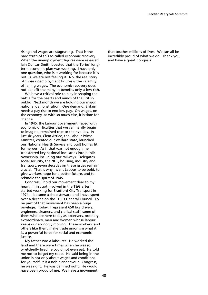rising and wages are stagnating. That is the hard truth of this so-called economic recovery. When the unemployment figures were released, Iain Duncan Smith boasted that the Tories' longterm economic plan was working. I have only one question, who is it working for because it is not us, we are not feeling it. No, the real story of those unemployment figures is the calamity of falling wages. The economic recovery does not benefit the many; it benefits only a few rich.

We have a critical role to play in shaping the battle for the hearts and minds of the British public. Next month we are holding our major national demonstration. One demand, Britain needs a pay rise to end low pay. On wages, on the economy, as with so much else, it is time for change.

In 1945, the Labour government, faced with economic difficulties that we can hardly begin to imagine, remained true to their values. In just six years, Clem Attlee, the Labour Prime Minister, created our welfare state, launched our National Health Service and built homes fit for heroes. As if that was not enough, he transferred key national industries into public ownership, including our railways. Delegates, social security, the NHS, housing, industry and transport, seven decades on these issues remain crucial. That is why I want Labour to be bold, to give workers hope for a better future, and to rekindle the spirit of 1945.

Congress, I hold our movement dear to my heart. I first got involved in the T&G after I started working for Bradford City Transport in 1974. I became a shop steward and I have spent over a decade on the TUC's General Council. To be part of that movement has been a huge privilege. Today, I represent 650 bus drivers, engineers, cleaners, and clerical staff, some of them who are here today as observers, ordinary, extraordinary, men and women whose labour keeps our economy moving. These workers, and others like them, make trade unionism what it is, a powerful force for social and economic justice.

My father was a labourer. He worked the land and there were times when he was so wretchedly tired he could not even eat. He told me not to forget my roots. He said being in the union is not only about wages and conditions for yourself, it is a noble endeavour. Congress, he was right. He was damned right. He would have been proud of me. We have a movement

that touches millions of lives. We can all be incredibly proud of what we do. Thank you, and have a great Congress.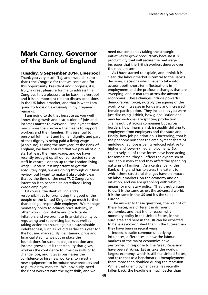# **Mark Carney, Governor of the Bank of England**

# **Tuesday, 9 September 2014, Liverpool**

Thank you very much, Taj, and I would like to thank the Congress for that welcome and for this opportunity. President and Congress, it is, truly, a great pleasure for me to address this Congress, it is a pleasure to be back in Liverpool and it is an important time to discuss conditions in the UK labour market, and that is what I am going to focus on exclusively in my prepared remarks.

I am going to do that because as, you well know, the growth and distribution of jobs and incomes matter to everyone. Employment does much more than provide the means to support workers and their families. It is essential to personal fulfilment and human dignity, and part of that dignity is being paid a living wage. (Applause) During the past year, at the Bank of England, we have ensured that we pay all of our staff at least the living wage, and we have recently brought up all our contracted service staff in central London up to the London living wage. Because it is important to get this absolutely right, we are going through our final review, but I want to make it absolutely clear that by the time of the next TUC Congress our intention is to become an accredited Living Wage employer.

Of course, the Bank of England's responsibilities for promoting the good of the people of the United Kingdom go much further than being a responsible employer. We manage monetary policy to achieve price stability; in other words, low, stable and predictable inflation, and we promote financial stability by regulating and supervising banks as well as taking action to ensure against unsustainable indebtedness, such as we did earlier this year for the housing market. By maintaining price and financial stability we put in place the foundations for sustainable job creation and income growth. It is that stability that gives workers the confidence to invest in skills or to change jobs, and it gives businesses the confidence to hire new workers, to invest in new equipment, to introduce new products and to pursue new markets. We, obviously, need the right workers with the right skills, and we

need our companies taking the strategic initiatives to grow productivity because it is productivity that will secure the real wage increases that the British workers deserve over the medium term.

As I have started to explain, and I think it is clear, the labour market is central to the Bank's decisions, decisions which have to take into account both short-term fluctuations in employment and the profound changes that are sweeping labour markets across the advanced economies. These changes include powerful demographic forces, notably the ageing of the workforce, increases in longevity and increased female participation. They include, as you were just discussing, I think, how globalisation and new technologies are splitting production chains not just across companies but across borders; how financial risk is steadily shifting to employees from employers and the state and, finally, how job polarisation is increasing; that is the phenomenon that the employment share of middle-skilled jobs is being reduced relative to higher and lower-skilled employment. So, collectively, all of these forces have been acting for some time, they all affect the dynamism of our labour market and they affect the spending patterns of families. As a central bank, the Bank of England has to assess the extent to which these structural changes have an impact on labour markets, on the economy and on inflation, and we are grappling with what it means for monetary policy. That is not unique to us, it is the same across the advanced world, it is the same in the US and it's the same in Europe.

The answer to these questions, the weight of these forces, are different in different economies, and that is one reason why monetary policy in the United States, in the euro area and here in the UK can be expected to be less synchronished than in the future than they have been in recent years.

Indeed, despite common underlying influences, differences in how the labour markets of the major economies have performed in response to the Great Recession have been striking. Let us take the world's largest economy, which is still the United States, and take that as a benchmark. Unemployment there more than doubled during the recession. While that unemployment rate has recently fallen back, the headline is much better than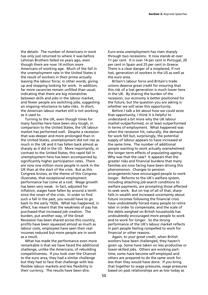the details. The number of Americans in work has only just returned to where it was before Lehman Brothers failed six years ago, even though there are now 14 million more Americans of working age. Much of the fall in the unemployment rate in the United States is the result of workers in their prime actually leaving the labour force; in other words, giving up and stopping looking for work. In addition, far more vacancies remain unfilled than usual, indicating that there are big mismatches between skills and jobs in the labour market, and fewer people are switching jobs, suggesting an ongoing reluctance to take risks. In short, the American labour market still is not working as it used to.

Turning to the UK, even though times for many families here have been very tough, in comparison to the United States, the UK labour market has performed well. Despite a recession that was deeper and more prolonged than in the United States, unemployment did not rise as much in the UK and it has fallen back almost as sharply as it did in the US. More importantly, in contrast to the United States, this rapid fall in unemployment here has been accompanied by significantly higher participation rates. There are now one million more people in work in the UK than at the start of the crisis. But as this Congress knows, as the theme of this Congress illustrates, that exceptional employment performance has come at a cost. Wage growth has been very weak. In fact, adjusted for inflation, wages have fallen by around a tenth since the onset of the crisis. In order to find such a fall in the past, you would have to go back to the early 1920s. What has happened, in effect, has meant that the weakness of pay has purchased that increased job creation. The burden, put another way, of the Great Recession has been shared across this country, profits have been squeezed almost as much as labour costs, employees have seen their real incomes reduced but more people are in work as a result.

What has made the performance even more remarkable is that we have faced the additional challenge, unlike the Americans, of rebuilding competitiveness. If you look over the Channel to the euro area, they had a similar challenge but they had to face that challenge with less flexible labour markets and less flexibility in their currency. The results have been dire.

Euro-area unemployment has risen sharply through two recessions. It now stands at over 11 per cent. It is over 14 per cent in Portugal, 20 per cent in Spain and 25 per cent in Greece. There is a clear danger of a misplaced, if not lost, generation of workers in the US as well as the euro area.

Britain's labour force and Britain's trade unions deserve great credit for ensuring that this risk of a lost generation is much lower here in the UK. By sharing the burden of the recession, our economy is better positioned for the future, but the question you are asking is whether we will seize this opportunity.

Before I talk a bit about how we could seize that opportunity, I think it is helpful to understand a bit more why the UK labour market outperformed, or at least outperformed in terms of employment. What happened was when the recession hit, naturally, the demand for work fell but, surprisingly, the potential supply of labour appears to have increased at the same time. The number of additional people wanting to work actually overwhelmed the longer-term effects of populating ageing. Why was that the case? It appears that the greater risks and financial burdens that many families are now facing have been driving this phenomenon. Changes to pension arrangements have encouraged people to work longer. Reforms to the UK's welfare system, including attaching job-search conditions to welfare payments, are prompting those affected to seek work. But on top of all of that, sharp falls in wealth and increased uncertainty about future incomes following the financial crisis have undoubtedly forced many people to retire later in order to compensate, and the scale of the debts weighed on British households has undoubtedly encouraged more people to work and to work for longer. So the strong performance of the UK's labour market reflects in part people feeling compelled to work for financial or other reasons.

Again, to your great credit, when British workers have been challenged, they haven't given up. Some have taken on less productive or lower-skilled jobs. Others are working parttime, some have become self-employed and others are prepared to do the same work for less than they would have done. If you bring that together to wage pressures, wage pressures based on past relationships are as low today as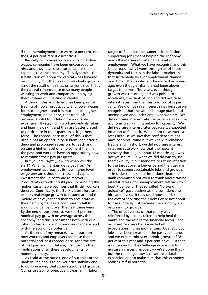if the unemployment rate were 10 per cent, not the 6.4 per cent rate it currently is.

Basically, with more workers at competitive wages, companies have been encouraged to hire, and they have substituted labour for capital across the economy. This dynamic – the substitution of labour for capital – has lowered productivity, but that weak productivity growth is not the result of laziness on anyone's part. It's the natural consequence of so many people wanting to work and companies employing them instead of investing in capital.

Although this adjustment has been painful, trading off lower productivity and lower wages for much higher – and it is much, much higher – employment, on balance, that trade off provides a solid foundation for a durable expansion. By staying in work individuals retain and learn new skills and they are better placed to participate in the expansion as it gathers force. The consequence of all of this is that Britain has an opportunity, seldom seen after a deep and prolonged recession, to reach and sustain a higher level of employment than in the past, and workers have an opportunity now to maximise their pay prospects.

But you are, rightly, asking when will this start? When will Britain get a pay rise? As employment approaches its new higher level, wage pressures should increase and capital investment should continue to recover. Productivity growth should pick up bringing the higher, sustainable pay rises that British workers deserve. Specifically, the Bank's latest forecast expects real wage growth to resume around the middle of next year and then to accelerate as the unemployment rate continues to fall to around 5½ per cent over the next three years. By the end of our forecast, we see 4 per cent nominal pay growth on average across the economy, and this is consistent both with our inflation target, which is our core mandate, and with the economy's potential.

At the end of my remarks, I will touch on how workers and employers can raise that potential and, as a consequence, raise the size of that pay rise. But let me, first, turn to the implications of all these developments for monetary policy.

As I said at the outset, one of our roles at the Bank of England is to deliver price stability and to do so in a way that supports jobs and growth. Our price stability objective is clear: an inflation

target of 2 per cent consumer price inflation. Supporting jobs means helping the economy reach the maximum sustainable level of employment. What we have recognise, and this is the reason why I went through all of those dynamics and forces in the labour market, is that sustainable level of employment changes over time. That is why, a little more than a year ago, even though inflation had been above target for almost five years, even though growth was returning and was poised to accelerate, the Bank of England did not raise interest rates from their historic low of ½ per cent. We did not raise interest rates because we recognised that the UK had a huge number of unemployed and under-employed workers. We did not raise interest rates because we knew the economy was running below full capacity. We did not raise interest rates because we expected inflation to fall back. We did not raise interest rates because we saw that confidence might have been returning but we knew it remained fragile and, in short, we did not raise interest rates because we knew that the nascent recovery that began about 15 months ago was not yet secure. So what we did do was to use the flexibility in our mandate to return inflation to the target over a longer period than usual in order to support sustainable jobs and growth.

In order to make our intentions clear, the Bank committed not even to think about raising interest rates until unemployment fell back to least 7 per cent. That so-called "forward guidance" gave businesses the confidence to hire and invest. It reassured households that the cost of servicing their debts were not about to rise suddenly just because the economy was returning to growth.

The effectiveness of that policy was reinforced by actions taken to help heal the banks and the rest of the financial sector. The resultant recovery has exceeded all expectations. It has momentum. Over 800,000 jobs have been created in the past year alone, and we expect robust economic growth of  $3\frac{1}{2}$ per cent this year and 3 per cent next. But that is not enough. The challenge now is not to nurture a nascent recovery – we've done that – but the challenge now is to secure a durable expansion and to make sure that this economy realises its full potential.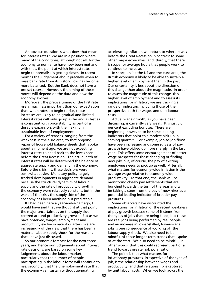An obvious question is what does that mean for interest rates? We are in a position where many of the conditions, although not all, for the economy to normalise have now been met and, with that, the point at which interest rates begin to normalise is getting closer. In recent months the judgement about precisely when to raise bank rate from its historic low has become more balanced. But the Bank does not have a pre-set course. However, the timing of these moves will depend on the data and how the economy evolves.

Moreover, the precise timing of the first rate rise is much less important than our expectation that, when rates do begin to rise, those increases are likely to be gradual and limited. Interest rates will only go up as far and as fast as is consistent with price stability as part of a durable expansion, with the maximum sustainable level of employment.

For a variety of reasons, ranging from the weakness in the euro area, to that ongoing repair of household balance sheets that I spoke about a moment ago, we are not expecting interest rates to head back to the levels seen before the Great Recession. The actual path of interest rates will be determined the balance of aggregate supply and demand in the economy. Before the crisis hit, these decisions were somewhat easier. Monetary policy largely tracked developments in aggregate demand because the structural dynamics of labour supply and the rate of productivity growth in the economy were relatively constant, but in the wake of the crisis the supply side of the economy has been anything but predictable.

If I had been here a year-and-a-half ago, I would have said that we thought at that point the major uncertainties on the supply side centred around productivity growth. But as we have observed, wages, employment and productivity evolve in recent quarters, we are increasingly of the view that there has been a material labour supply shock for the reasons that I have just discussed.

So our economic forecast for the next three years, and hence our judgements about interest rate decisions, are based on some key judgements about the labour market, particularly that the number of people participating in the labour force will continue to rise; secondly, that the unemployment rate that the economy can sustain without generating

accelerating inflation will return to where it was before the Great Recession in contrast to some other major economies, and, thirdly, that there is scope for average hours that people work to continue to increase.

In short, unlike the US and the euro area, the British economy is likely to be able to sustain a higher level of employment than in the past. Our uncertainty is less about the direction of this change than about the magnitude. In order to assess the magnitude of this change, this higher level of employment and to assess its implications for inflation, we are tracking a range of indicators including those of the prospective path for wages and unit labour costs.

Actual wage growth, as you have been discussing, is currently very weak. It is just 0.6 per cent excluding bonuses. There are beginning, however, to be some leading indicators that point to a modest pick-up in coming quarters. For example, job-to-job flows have been increasing and some surveys of pay growth have picked up more sharply in the last year. This offers some encouragement of better wage prospects for those changing or finding new jobs but, of course, the pay of existing employees needs to pick up as well. After all, what matters for economy-wide inflation is the average wage relative to economy-wide productivity. To that end, the Bank will be monitoring closely pay settlements that are bunched towards the turn of the year and will be taking a steer from the pay of new hires as a potential leading indicator of broader pay pressures.

Some observers have discounted the implications for inflation of the recent weakness of pay growth because some of it stems from the types of jobs that are being filled, but these are real jobs being performed by real people, and an increase in lower-skilled, lower-wage jobs is one consequence of working off the labour supply shock. We also need to be mindful of those longer-term trends that I spoke of at the start. We also need to be mindful, in other words, that this could represent part of a trend towards greater job polarisation.

The point is that what matters for inflationary pressures, irrespective of the type of job, is the relationship between wages and productivity, and that relationship is captured by unit labour costs. When we look across the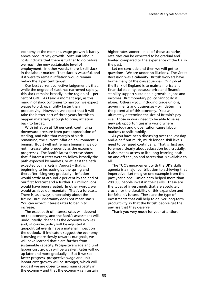economy at the moment, wage growth is barely above productivity growth. Soft unit labour costs indicate that there is further to go before we reach the new sustainable level of employment. In other words, there is still slack in the labour market. That slack is wasteful, and if it were to remain inflation would remain below the 2 per cent target.

Our best current collective judgement is that, while the degree of slack has narrowed rapidly, this slack remains broadly in the region of 1 per cent of GDP. As I said a moment ago, as this margin of slack continues to narrow, we expect wages to pick up slightly faster than productivity. However, we expect that it will take the better part of three years for this to happen materially enough to bring inflation back to target.

With inflation at 1.6 per cent, continuing downward pressure from past appreciation of sterling, and with that margin of slack remaining, the current inflation environment is benign. But it will not remain benign if we do not increase rates prudently as the expansion progresses. The Bank's latest forecasts show that if interest rates were to follow broadly the path expected by markets, or at least the path expected by markets in August – that is, beginning to increasing by the spring and thereafter rising very gradually – inflation would settle at around 2 per cent by the end of our first forecast and a further 1.2 million jobs would have been created. In other words, we would achieve our mandate. That's a forecast. There is, as always, uncertainty about the future. But uncertainty does not mean stasis. You can expect interest rates to begin to increase.

The exact path of interest rates will depend on the economy, and the Bank's assessment will, undoubtedly, change as the economy evolves and, of course, policy will be adjusted if geopolitical events have a material impact on the outlook. If indicators suggest the economy is moving more slowly towards our goals, we will have learned that e are further from sustainable capacity. Prospective wage and unit labour cost growth will be weaker. Rates will go up later and more gradually. But if we see faster progress, prospective wage and unit labour cost growth will be stronger, which will suggest we are closer to maximum capacity in the economy and that the economy can sustain

higher rates sooner. In all of those scenarios, rate rises can be expected to be gradual and limited compared to the experience of the UK in the past.

Let me conclude and then we will get to questions. We are under no illusions. The Great Recession was a calamity. British workers have borne many of the consequences. Our job at the Bank of England is to maintain price and financial stability, because price and financial stability support sustainable growth in jobs and incomes. But monetary policy cannot do it alone. Others – you, including trade unions, governments and businesses – will determine the potential of this economy. You will ultimately determine the size of Britain's pay rise. Those in work need to be able to seize new job opportunities in a world where technology and globalisation cause labour markets to shift rapidly.

As you have been discussing over the last dayand-a-half but much, much longer, skill levels need to be raised continually. That is, first and foremost, clearly about education but, crucially, it also means access to life-long learning both on and off the job and access that is available to all.

The TUC's engagement with the UK's skills agenda is a major contribution to achieving that imperative. Let me give one example from the past year alone. Unionlearn helped more than 200,000 people invest in their skills. These are the types of investments that are absolutely crucial for the durability of this expansion and for Britain's future. These are the type of investments that will help to deliver long-term productivity so that the British people get the pay rise that they deserve.

Thank you very much for your attention.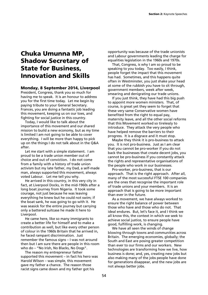# **Chuka Umunna MP, Shadow Secretary of State for Business, Innovation and Skills**

## **Monday, 8 September 2014, Liverpool**

President, Congress, thank you so much for having me to speak. It is an honour to address you for the first time today. Let me begin by paying tribute to your General Secretary. Frances, you are doing a fantastic job leading this movement, keeping us on our toes, and fighting for social justice in this country.

Today, I would like to talk about the importance of this movement and our shared mission to build a new economy, but as my time is limited I am not going to be able to cover everything. I will be more than happy to pick up on the things I do not talk about in the Q&A after.

Let me start with a simple statement. I am proud to be a trade union member out of choice and out of conviction. I do not come from a family with a history of trade union activism but my late father, my Dad, a self-made man, always supported this movement, always voted Labour. Let me tell you why.

He arrived in this country, in this very city in fact, at Liverpool Docks, in the mid-1960s after a long boat journey from Nigeria. It took some courage, not just because he was leaving everything he knew but he could not swim; if the boat sank, he was going to go with it. He was seasick for the entire journey but carrying only a battered suitcase he made it here to Liverpool.

He came here, like so many immigrants to create a better life for himself and to make a contribution as well, but like every other person of colour in the 1960s Britain that he arrived in, he faced rampant discrimination. Just remember the famous signs – I was not around then but I am sure there are people in this room who do – "No Irish, No Blacks, No Dogs".

The reason my entrepreneur father supported this movement – in fact his hero was Harold Wilson – was simple, this movement gave my father a chance. The reason those racist signs came down and my father got his

opportunity was because of the trade unionists and Labour governments leading the charge for equalities legislation in the 1960s and 1970s.

That, Congress, is why I am so proud to be speaking to you today. Too easily, I think, people forget the impact that this movement has had. Sometimes, and this happens quite often in Westminster, you just shake your head at some of the rubbish you have to sit through, government members, week after week, smearing and denigrating our trade unions.

If you just think, they have had this big push to appoint more women ministers. That, of course, is great yet they seem to forget that these very same Conservative women have benefited from the right to equal pay, maternity leave, and all the other social reforms that this Movement worked so tirelessly to introduce. They attack the very people who have helped remove the barriers to their progress. It is a disgrace and it must stop.

Maybe they think it is pro-business to attack you. It is not pro-business. Just as I am clear that you cannot be pro-worker if you do not back the businesses that create decent jobs, you cannot be pro-business if you constantly attack the rights and representative organisations of the people who work in our businesses.

Pro-worker, pro-business, that is our approach. That is the right approach. After all, many of the most successful FTSE 100 companies are the ones that recognise the important role of trade unions and your members. It is an approach that is going to be more important than ever in the future.

As a movement, we have always worked to ensure the right balance of power between those who have and those who do not. That ideal endures. But, let's face it, and I think we all know this, the context in which we seek to achieve social justice, to ensure people have good, fulfilling work, is changing.

We have all seen the winds of change blowing through towns and communities across Britain. The emerging economies, globally; the South and East are posing greater competition than ever to our firms and our workers. New technologies are transforming how we live, how business is done; and, yes, creating new jobs but also making many of the jobs people have done for generations disappear, and the new jobs are not always better jobs.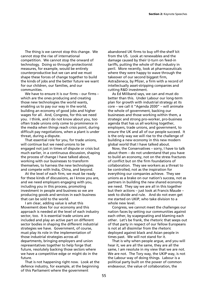The thing is we cannot stop this change. We cannot stop the rise of international competition. We cannot stop the onward of technology. Doing so through protectionist measures, for example, would be entirely counterproductive but we can and we must shape these forces of change together to build the kinds of jobs and the better future we want for our children, our families, and our communities.

We have to ensure it is our firms – our firms – which are the ones producing and creating those new technologies the world wants, enabling us to pay our way in the world, building an economy of good jobs and higher wages for all. And, Congress, for this we need you. I think, and I do not know about you, too often trade unions only come to prominence in the media when things reach crisis point, during difficult pay negotiations, when a plant is under threat, during a dispute.

That essential role for you, for trade unions, will continue but we need unions to be engaged not just in times of dispute or crisis but much earlier, in a continuous discussion, shaping the process of change I have talked about, working with our businesses to transform themselves, to harness the new technologies and compete with India, China, and beyond.

At the level of each firm, we must be ready for these kinds of discussions, as I know you are, and we need employers engaging with you, including you in this process, promoting investment in people and business so we are producing goods and services in each business that can be sold to the world.

I am clear, adding value is what this Movement does for our economy and this approach is needed at the level of each industry sector, too. It is essential trade unions are included and play an active part on different sector bodies in shaping the different industrial strategies we have. Government, of course, must play its role in the implementation of those industrial strategies across all departments, bringing employers and union representatives together to help forge that future, resolutely backing those sectors where we have a competitive edge or might do in the future.

That is not happening right now. Look at the defence industry, for example, at the beginning of this Parliament where the government

abandoned UK firms to buy off-the-shelf kit from the US. Look at renewables and the damage caused by their U-turn on feed-in tariffs, putting the whole of that industry in peril. More recently, look at pharmaceuticals where they were happy to wave through the takeover of our second biggest firm, AstraZeneca, by Pfizer, a firm with a record of intellectually asset-stripping companies and cutting R&D investment.

As Ed Miliband says, we can and must do better than this. Under Labour our long-term plan for growth with industrial strategy at its core – we call it "Agenda 2030" – will animate the whole of government, backing our businesses and those working within them, a strategic and strong pro-worker, pro-business agenda that has us all working together, employers, trade unions, and government, to ensure the UK and all of our people succeed. It is the only way we will rise to the challenge of building a new economy in this new modern global world that I have talked about.

Now, the Conservatives – sorry, I have to talk about them – do not understand that you have to build an economy, not on the stress fractures of conflict but on the firm foundations of collaboration. They see workers as a threat to be controlled, not as the inspiration for everything our companies achieve. They see unions as a brake on our nation's success, not as partners in building the new shared economy we need. They say we are all in this together but their actions – just look at Francis Maude – seek to divide and rule. And do not even get me started on UKIP, who take division to a whole new level.

Congress, we cannot meet the challenges our nation faces by setting our communities against each other, by scapegoating and blaming each other. Let's be frank, the rhetoric that seeps out of that party in respect of our fellow Europeans is not at all dissimilar from the rhetoric deployed against black and Asian people in times past. We will not stand for it.

That is why when people argue, and you will hear it, we are all the same, they are all the same, I am resolute in my view that we are not. We are not. The Tory way, the UKIP way, is not the Labour way of doing things. Labour is a political party built on the power of common endeavour, the value of collaboration, the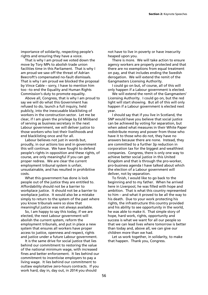importance of solidarity, respecting people's rights and ensuring they have a voice.

That is why I am proud we voted down the move by Tory MPs to abolish trade union facilities time in this Parliament. That is why I am proud we saw off the threat of Adrian Beecroft's compensated no-fault dismissals. That is why I am proud we blocked the proposal by Vince Cable – sorry, I have to mention him too –to end the Equality and Human Rights Commission's duty to promote equality.

Above all, Congress, that is why I am proud to say we will do what this Government has refused to do, launch a full inquiry, held publicly, into the inexcusable blacklisting of workers in the construction sector. Let me be clear, if I am given the privilege by Ed Miliband of serving as business secretary in the next Labour government, we will deliver justice to those workers who lost their livelihoods and end blacklisting once and for all.

Labour believes not just in words but, proudly, in our actions too and in government this will continue. We have fought to defend people's rights in opposition and these rights, of course, are only meaningful if you can get proper redress. We are clear the current employment tribunal system is unfair, unsustainable, and has resulted in prohibitive costs.

What this government has done is lock people out of the justice they are entitled to. Affordability should not be a barrier to workplace justice. It should not be a barrier to workplace justice. It would also be a mistake simply to return to the system of the past where you know tribunals were so slow that meaningful justice was not always available.

So, I am happy to say this today, if we are elected, the next Labour government will abolish the current system, reform the employment tribunals, and put in place a new system that ensures all workers have proper access to justice, openness and respect, rights and justice under a future Labour government.

It is the same drive for social justice that lies behind our commitment to restoring the value of the national minimum wage, with increased fines and better enforcement. It lies behind our commitment to incentivise employers to pay a living wage. It lies behind our commitment to outlaw exploitative zero-hours contracts. If you work hard, day in, day out, in 2014 you should

not have to live in poverty or have insecurity heaped upon you.

There is more. We will take action to ensure agency workers are properly protected and that there are no exemptions from equal treatment on pay, and that includes ending the Swedish derogation. We will extend the remit of the Gangmasters Licensing Authority.

I could go on but, of course, all of this will only happen if a Labour government is elected.

We will extend the remit of the Gangmasters' Licensing Authority. I could go on, but the red light will start showing. But all of this will only happen if a Labour government is elected next year.

I should say that if you live in Scotland, the SNP would have you believe that social justice can be achieved by voting for separation, but when asked what measures in their White Paper redistribute money and power from those who have it to those who do not, they have no answers because there are none. Instead, they are committed to a further 3p reduction in corporation tax for the biggest and wealthiest companies. Congress, there is only one way to achieve better social justice in this United Kingdom and that is through the pro-worker, pro-business agenda I have talked about which the election of a Labour government will deliver, not by separation.

To finish, I would like to go back to the beginning and to my father. When he arrived here in Liverpool, he was filled with hope and ambition. That is what this country represented to him – and what it proved to be all the way to his death. Due to your work protecting his rights, the infrastructure this country provided and his ability to see opportunity in the world, he was able to make it. That simple story of hope, hard work, rights, opportunity and success is what we want for all our people so that we can lead lives where tomorrow is better than today and, above all, we can give our children more than we had.

Let us work together, in solidarity, to make that happen. Thank you, Congress.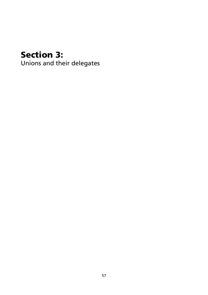# **Section 3:**

Unions and their delegates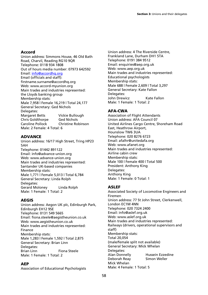# **Accord**

Union address: Simmons House, 46 Old Bath Road, Charvil, Reading RG10 9QR Telephone: 0118 934 1808 Out of hours media number: 07973 642592 Email: info@accordhq.org Email (officials and staff): firstname.surname@accordhq.org Web: www.accord-myunion.org Main trades and industries represented: the Lloyds banking group Membership stats: Male 7,958 | Female 16,219 | Total 24,177 General Secretary: Ged Nichols Delegates: Margaret Betts Vickie Bullough Chris Goldthorpe Ged Nichols Caroline Pollock Christine Robinson Male: 2 Female: 4 Total: 6

# **ADVANCE**

Union address: 16/17 High Street, Tring HP23 5AH Telephone: 01442 891122 Email: info@advance-union.org Web: www.advance-union.org Main trades and industries represented: Santander UK-based companies Membership stats: Male 1,771 | Female 5,013 | Total 6,784 General Secretary: Linda Rolph Delegates: Gerard Moloney Linda Rolph Male: 1 Female: 1 Total: 2

# **AEGIS**

Union address: Aegon UK plc, Edinburgh Park, Edinburgh EH12 9SE Telephone: 0131 549 5665 Email: fiona.steele@aegistheunion.co.uk Web: www.aegistheunion.co.uk Main trades and industries represented: Finance Membership stats: Male 1,283 | Female 1,592 | Total 2,875 General Secretary: Brian Linn Delegates: Brian Linn Fiona Steele Male: 1 Female: 1 Total: 2

# **AEP**

Association of Educational Psychologists

Union address: 4 The Riverside Centre, Frankland Lane, Durham DH1 5TA Telephone: 0191 384 9512 Email: enquiries@aep.org.uk Web: www.aep.org.uk Main trades and industries represented: Educational psychologists Membership stats: Male 688 | Female 2,609 | Total 3,297 General Secretary: Kate Fallon Delegates: John Drewicz Kate Fallon Male: 1 Female: 1 Total: 2

# **AFA-CWA**

Association of Flight Attendants Union address: AFA Council 07 United Airlines Cargo Centre, Shoreham Road East, Heathrow Airport, Hounslow TW6 3UA Telephone: 020 8276 6723 Email: afalhr@unitedafa.org Web: www.afanet.org Main trades and industries represented: Airline cabin crew Membership stats: Male 100 | Female 400 | Total 500 President: Anthony King Delegates: Anthony King Male: 1 Female: 0 Total: 1

# **ASLEF**

Associated Society of Locomotive Engineers and Firemen Union address: 77 St John Street, Clerkenwell, London EC1M 4NN Telephone: 020 7324 2400 Email: info@aslef.org.uk Web: www.aslef.org.uk Main trades and industries represented: Railways (drivers, operational supervisors and staff) Membership stats: Total 20,054 (male/female split not available) General Secretary: Mick Whelan Delegates: Alan Donnelly Hussein Ezzedine Deborah Reay Simon Weller Mick Whelan Male: 4 Female: 1 Total: 5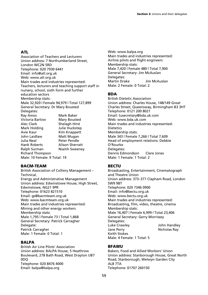# **ATL**

Association of Teachers and Lecturers Union address: 7 Northumberland Street, London WC2N 5RD Telephone: 020 7930 6441 Email: info@atl.org.uk Web: www.atl.org.uk Main trades and industries represented: Teachers, lecturers and teaching support staff in nursery, school, sixth form and further education sectors Membership stats: Male 32,920 | Female 94,979 | Total 127,899 General Secretary: Dr Mary Bousted Delegates: Ray Amos Mark Baker Victoria Barlow Mary Bousted Alec Clark Shelagh Hirst Mark Holding Julie Huckstep Avie Kaur Kim Knappett John Laidlaw Matt Mugan Julia Neal Peter Pendle Hank Roberts Alison Sherratt Ralph Surman Niamh Sweeney Richard Thompson Male: 10 Female: 9 Total: 19

# **BACM-TEAM**

British Association of Colliery Management – Technical, Energy and Administrative Management Union address: Edwinstowe House, High Street, Edwinstowe, NG21 9PR Telephone: 01623 821510 Email: gs@bacmteam.org.uk Web: www.bacmteam.org.uk Main trades and industries represented: Mining and other energy workers Membership stats: Male 1,795 | Female 73 | Total 1,868 General Secretary: Patrick Carragher Delegate: Patrick Carragher Male: 1 Female: 0 Total: 1

# **BALPA**

British Air Line Pilots' Association Union address: BALPA House, 5 Heathrow Boulevard, 278 Bath Road, West Drayton UB7 0DQ Telephone: 020 8476 4000 Email: balpa@balpa.org

Web: www.balpa.org Main trades and industries represented: Airline pilots and flight engineers Membership stats: Male 7,420 | Female 480 | Total 7,900 General Secretary: Jim McAuslan Delegates: Martin Drake Jim McAuslan Male: 2 Female: 0 Total: 2

# **BDA**

British Dietetic Association Union address: Charles House, 148/149 Great Charles Street, Queensway, Birmingham B3 3HT Telephone: 0121 200 8021 Email: tusecretary@bda.uk.com Web: www.bda.uk.com Main trades and industries represented: Dietetics Membership stats: Male 343 | Female 7,266 | Total 7,609 Head of employment relations: Debbie O'Rourke Delegates: Dennis Edmondson Clare Jones Male: 1 Female: 1 Total: 2

# **BECTU**

Broadcasting, Entertainment, Cinematograph and Theatre Union Union address: 373–377 Clapham Road, London SW9 9BT Telephone: 020 7346 0900 Email: info@bectu.org.uk Web: www.bectu.org.uk Main trades and industries represented: Broadcasting, film, video, theatre, cinema Membership stats: Male 16,407 | Female 6,999 | Total 23,406 General Secretary: Gerry Morrissey Delegates: Luke Crawley John Handley Jane Perry **Nicholas Ray** Keith Stokes Male: 4 Female: 1 Total: 5

# **BFAWU**

Bakers, Food and Allied Workers' Union Union address: Stanborough House, Great North Road, Stanborough, Welwyn Garden City AL8 7TA Telephone: 01707 260150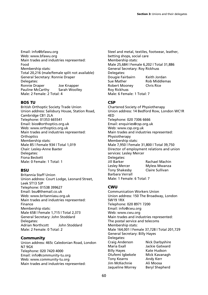Email: info@bfawu.org Web: www.bfawu.org Main trades and industries represented: Food Membership stats: Total 20,216 (male/female split not available) General Secretary: Ronnie Draper Delegates: Ronnie Draper Joe Knapper Pauline McCarthy Sarah Woolley Male: 2 Female: 2 Total: 4

# **BOS TU**

British Orthoptic Society Trade Union Union address: Salisbury House, Station Road, Cambridge CB1 2LA Telephone: 01353 665541 Email: bios@orthoptics.org.uk Web: www.orthoptics.org.uk Main trades and industries represented: **Orthoptics** Membership stats: Male 85 | Female 934 | Total 1,019 Chair: Lesley-Anne Baxter Delegates: Fiona Beckett Male: 0 Female: 1 Total: 1

# **BSU**

Britannia Staff Union Union address: Court Lodge, Leonard Street, Leek ST13 5JP Telephone: 01538 399627 Email: bsu@themail.co.uk Web: www.britanniasu.org.uk Main trades and industries represented: Finance Membership stats: Male 658 | Female 1,715 | Total 2,373 General Secretary: John Stoddard Delegates: Adrian Northcott John Stoddard Male: 2 Female: 0 Total: 2

# **Community**

Union address: 465c Caledonian Road, London N7 9GX Telephone: 020 7420 4000 Email: info@community-tu.org Web: www.community-tu.org Main trades and industries represented:

Steel and metal, textiles, footwear, leather, betting shops, social care Membership stats: Male 25,684 | Female 6,202 | Total 31,886 General Secretary: Roy Rickhuss Delegates: Dougie Fairbairn Keith Jordan Sue Mather Rob Middlemas Robert Mooney Chris Rice Roy Rickhuss Male: 6 Female: 1 Total: 7

# **CSP**

Chartered Society of Physiotherapy Union address: 14 Bedford Row, London WC1R 4ED Telephone: 020 7306 6666 Email: enquiries@csp.org.uk Web: www.csp.org.uk Main trades and industries represented: Physiotherapy Membership stats: Male 7,950 | Female 31,800 | Total 39,750 Director of employment relations and union services: Lesley Mercer Delegates: Jill Barker Rachael Machin Lesley Mercer Myless Mwanza Tony Shakesby Claire Sullivan Barbara Verrall Male: 1 Female: 6 Total: 7

# **CWU**

Communication Workers Union Union address: 150 The Broadway, London SW19 1RX Telephone: 020 8971 7200 Email: info@cwu.org Web: www.cwu.org Main trades and industries represented: The postal service and telecoms Membership stats: Male 164,001 | Female 37,728 | Total 201,729 General Secretary: Billy Hayes Delegates: Craig Anderson Nick Darbyshire Maria Exall Jackie Gatward Billy Hayes Kate Hudson Olufemi Igbekele Mick Kavanagh Tony Kearns **Andy Kerr** Jim McKechnie Ali Moosa Jaqueline Morrey Beryl Shepherd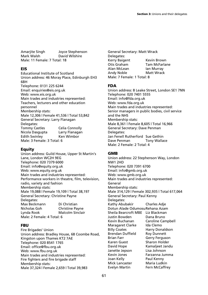Amarjite Singh Joyce Stephenson Mark Walsh David Wilshire Male: 11 Female: 7 Total: 18

#### **EIS**

Educational Institute of Scotland Union address: 46 Moray Place, Edinburgh EH3 6BH Telephone: 0131 225 6244 Email: enquiries@eis.org.uk Web: www.eis.org.uk Main trades and industries represented: Teachers, lecturers and other education personnel Membership stats: Male 12,306 | Female 41,536 | Total 53,842 General Secretary: Larry Flanagan Delegates: Tommy Castles Celia Connolly Nicola Dasgupta Larry Flanagan Edith Swinley Ken Wimbor Male: 3 Female: 3 Total: 6

# **Equity**

Union address: Guild House, Upper St Martin's Lane, London WC2H 9EG Telephone: 020 7379 6000 Email: info@equity.org.uk Web: www.equity.org.uk Main trades and industries represented: Performance workers in theatre, film, television, radio, variety and fashion Membership stats: Male 19,088 | Female 19,109 | Total 38,197 General Secretary: Christine Payne Delegates: Max Beckmann Di Christian Nicholas Goh Christine Payne Lynda Rook Malcolm Sinclair Male: 2 Female: 4 Total: 6

# **FBU**

Fire Brigades' Union Union address: Bradley House, 68 Coombe Road, Kingston upon Thames KT2 7AE Telephone: 020 8541 1765 Email: office@fbu.org.uk Web: www.fbu.org.uk Main trades and industries represented: Fire fighters and fire brigade staff Membership stats: Male 37,324 | Female 2,659 | Total 39,983

General Secretary: Matt Wrack Delegates: Kerry Baigent Kevin Brown<br>Otis Graham Tam McFarlane Otis Graham Alan McLean Ian Murray Andy Noble Matt Wrack Male: 7 Female: 1 Total: 8

## **FDA**

Union address: 8 Leake Street, London SE1 7NN Telephone: 020 7401 5555 Email: info@fda.org.uk Web: www.fda.org.uk Main trades and industries represented: Senior managers in public bodies, civil service and the NHS Membership stats: Male 8,361 | Female 8,605 | Total 16,966 General Secretary: Dave Penman Delegates: Jan Fenell Rutherford Sue Gethin Dave Penman Tony Wallace Male: 2 Female: 2 Total: 4

#### **GMB**

Union address: 22 Stephenson Way, London NW1 2HD Telephone: 020 7391 6700 Email: info@gmb.org.uk Web: www.gmb.org.uk Main trades and industries represented: General Membership stats: Male 314,129 | Female 302,935 | Total 617,064 General Secretary: Paul Kenny Delegates: Kathy Abubakir Charles Adje Dotun Alade Odumosu Rehana Azam Sheila Bearcroft MBE Liz Blackman Justin Bowden Kevin Buchanan Caroline Campbell Maragaret Clarke Ida Clemo Billy Coates **Harry Donaldson** Brendan Duffield Roy Dunnett Brian Farr Gerry Ferguson Karen Guest Sharon Holder David Hope Kamaljeet Jandu Janette Jepson Lisa Johnson Kevin Jones Farzanna Jumma Joan Kelly Paul Kenny Mick Lancaster Maria Ludkin Evelyn Martin Fern McCaffrey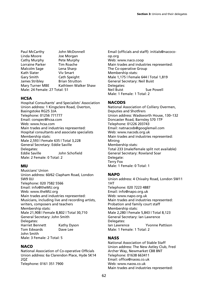Paul McCarthy John McDonnell Linda Moore Joe Morgan Cathy Murphy Pete Murphy Lorraine Parker Tim Roache Malcolm Sage Lena Sharp Kath Slater Viv Smart Gary Smith Cath Speight James Stribley Brian Strutton Mary Turner MBE Kathleen Walker Shaw Male: 24 Female: 27 Total: 51

# **HCSA**

Hospital Consultants' and Specialists' Association Union address: 1 Kingsclere Road, Overton, Basingstoke RG25 3JA Telephone: 01256 771777 Email: conspec@hcsa.com Web: www.hcsa.com Main trades and industries represented: Hospital consultants and associate specialists Membership stats: Male 2,593 | Female 635 | Total 3,228 General Secretary: Eddie Saville Delegates: Eddie Saville John Schofield Male: 2 Female: 0 Total: 2

# **MU**

Musicians' Union Union address: 60/62 Clapham Road, London SW9 0JJ Telephone: 020 7582 5566 Email: info@theMU.org Web: www.theMU.org Main trades and industries represented: Musicians, including live and recording artists, writers, composers and teachers Membership stats: Male 21,908 | Female 8,802 | Total 30,710 General Secretary: John Smith Delegates: Harriet Bennett Kathy Dyson Tom Edwards Dave Lee John Smith Male: 3 Female: 2 Total: 5

# **NACO**

National Association of Co-operative Officials Union address: 6a Clarendon Place, Hyde SK14 2QZ Telephone: 0161 351 7900

Email (officials and staff): initials@nacocoop.org Web: www.naco.coop Main trades and industries represented: The Co-operative Group Membership stats: Male 1,175 | Female 644 | Total 1,819 General Secretary: Neil Buist Delegates: Neil Buist Sue Powell Male: 1 Female: 1 Total: 2

# **NACODS**

National Association of Colliery Overmen, Deputies and Shotfirers Union address: Wadsworth House, 130–132 Doncaster Road, Barnsley S70 1TP Telephone: 01226 203743 Email: natnacods@googlemail.com Web: www.nacods.org.uk Main trades and industries represented: Mining Membership stats: Total 233 (male/female split not available) General Secretary: Rowland Soar Delegate: Terry Fox Male: 1 Female: 0 Total: 1

# **NAPO**

Union address: 4 Chivalry Road, London SW11 1HT Telephone: 020 7223 4887 Email: info@napo.org.uk Web: www.napo.org.uk Main trades and industries represented: Probation and family court staff Membership stats: Male 2,280 | Female 5,843 | Total 8,123 General Secretary: Ian Lawrence Delegates: Ian Lawrence Yvonne Pattison Male: 1 Female: 1 Total: 2

# **NASS**

National Association of Stable Staff Union address: The New Astley Club, Fred Archer Way, Newmarket CB8 8NT Telephone: 01638 663411 Email: office@naoss.co.uk Web: www.naoss.co.uk Main trades and industries represented: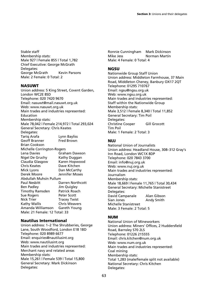Stable staff Membership stats: Male 927 | Female 855 | Total 1,782 Chief Executive: George McGrath Delegates: George McGrath Kevin Parsons Male: 2 Female: 0 Total: 2

#### **NASUWT**

Union address: 5 King Street, Covent Garden, London WC2E 8SD Telephone: 020 7420 9670 Email: nasuwt@mail.nasuwt.org.uk Web: www.nasuwt.org.uk Main trades and industries represented: Education Membership stats: Male 78,042 | Female 214,972 | Total 293,024 General Secretary: Chris Keates Delegates: Tariq Arafa Lynn Bayliss Geoff Branner Fred Brown Brian Cookson Michelle Corrington-Rogers Lena Davies Graham Dawson Nigel De Gruchy Kathy Duggan Claudia Glasgow Karen Hopwood Chris Keates Dave Kitchen Mick Lyons **Dan McCarthy**<br>Derek Moore **Dennifer Moses** Jennifer Moses Abdullah Muhsin Pullum Paul Nesbitt Darren Northcott Ben Padley Jim Quigley Timothy Ramsden Patrick Roach Sue Rogers **Peter Scott** Nick Trier **Tracey Twist** Kathy Wallis Chris Weavers Amanda Williamson Gareth Young Male: 21 Female: 12 Total: 33

#### **Nautilus International**

Union address: 1–2 The Shrubberies, George Lane, South Woodford, London E18 1BD Telephone: 020 8989 6677 Email: enquiries@nautilusint.org Web: www.nautilusint.org Main trades and industries represented: Merchant navy and related areas Membership stats: Male 15,261 | Female 539 | Total 15,800 General Secretary: Mark Dickinson Delegates:

Ronnie Cunningham Mark Dickinson Mike Jess Norman Martin Male: 4 Female: 0 Total: 4

## **NGSU**

Nationwide Group Staff Union Union address: Middleton Farmhouse, 37 Main Road, Middleton Cheney, Banbury OX17 2QT Telephone: 01295 710767 Email: ngsu@ngsu.org.uk Web: www.ngsu.org.uk Main trades and industries represented: Staff within the Nationwide Group Membership stats: Male 3,512 | Female 8,340 | Total 11,852 General Secretary: Tim Poil Delegates: Christine Cooper Gill Grocott Tim Poil Male: 1 Female: 2 Total: 3

## **NUJ**

National Union of Journalists Union address: Headland House, 308–312 Gray's Inn Road, London WC1X 8DP Telephone: 020 7843 3700 Email: info@nuj.org.uk Web: www.nuj.org.uk Main trades and industries represented: Journalism Membership stats: Male 18,669 | Female 11,765 | Total 30,434 General Secretary: Michelle Stanistreet Delegates: David Campanale Alan Gibson Sian Jones **Andy Smith** Michelle Stanistreet Male: 3 Female: 2 Total: 5

#### **NUM**

National Union of Mineworkers Union address: Miners' Offices, 2 Huddersfield Road, Barnsley S70 2LS Telephone: 01226 215555 Email: chris.kitchen@num.org.uk Web: www.num.org.uk Main trades and industries represented: Coal mining Membership stats: Total 1,283 (male/female split not available) National Secretary: Chris Kitchen Delegates: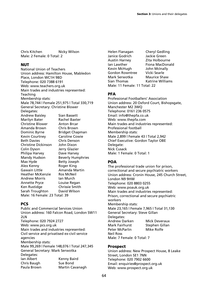Chris Kitchen Nicky Wilson Male: 2 Female: 0 Total: 2

## **NUT**

National Union of Teachers Union address: Hamilton House, Mabledon Place, London WC1H 9BD Telephone: 020 7388 6191 Web: www.teachers.org.uk Main trades and industries represented: Teaching Membership stats: Male 78,744 | Female 251,975 | Total 330,719 General Secretary: Christine Blower Delegates: Andrew Baisley Sian Bassett Marilyn Bater Rachel Baxter Christine Blower Anton Brcar Amanda Brown Chris Brown<br>Dominic Byrne Bridget Chap Bridget Chapman Kevin Courtney Caroline Cowie Beth Davies Chris Denson Christine Dickinson John Dixon Colin Dyson Jerry Glazier Philipa Harvey Dave Harvey Mandy Hudson Beverly Humphries Max Hyde Betty Joseph Alex Kenny Roger King Gawain Little **Amanda Martin**<br>Heather McKenzie Ros McNeil Heather McKenzie Ros McNei<br>Andrew Morris an Murch **Andrew Morris** Annette Pryce Louise Regan Ken Rustidge Chrissie Smith Sarah Troughton David Wilson Male: 16 Female: 23 Total: 39

# **PCS**

Public and Commercial Services Union Union address: 160 Falcon Road, London SW11 2LN Telephone: 020 7924 2727 Web: www.pcs.org.uk Main trades and industries represented: Civil service and privatised ex-civil service agencies Membership stats: Male 99,269 | Female 148,076 | Total 247,345 General Secretary: Mark Serwotka Delegates: Ian Albert Kenny Baird Chris Baugh Sue Bond Paula Brown Martin Cavanagh

Helen Flanagan Cheryl Gedling Janice Godrich Jackie Green Austin Harney Zita Holbourne Ian Lawther Fiona MacDonald Kevin McHugh John McInally Gordon Rowntree Vicki Searle Mark Serwotka Maurice Shaw Sian Thomas Katrine Williams Male: 11 Female: 11 Total: 22

# **PFA**

Professional Footballers' Association Union address: 20 Oxford Court, Bishopsgate, Manchester M2 3WQ Telephone: 0161 236 0575 Email: info@thepfa.co.uk Web: www.thepfa.com Main trades and industries represented: Professional football Membership stats: Male 2,899 | Female 43 | Total 2,942 Chief Executive: Gordon Taylor OBE Delegate: Nick Cusack Male: 1 Female: 0 Total: 1

# **POA**

The professional trade union for prison, correctional and secure psychiatric workers Union address: Cronin House, 245 Church Street, London N9 9HW Telephone: 020 8803 0255 Web: www.poauk.org.uk Main trades and industries represented: Prison, correctional and secure psychiatric workers Membership stats: Male 23,165 | Female 7,965 | Total 31,130 General Secretary: Steve Gillan Delegates: Andrew Darken Mick Deveraux Mark Fairhurst Stephen Gillan Peter McParlin Mike Rolfe Neil Ross Male: 7 Female: 0 Total: 7

# **Prospect**

Union address: New Prospect House, 8 Leake Street, London SE1 7NN Telephone: 020 7902 6600 Email: enquiries@prospect.org.uk Web: www.prospect.org.uk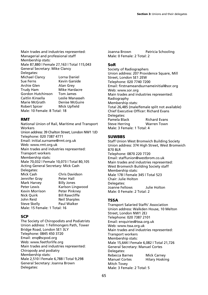Main trades and industries represented: Managerial and professional staff Membership stats: Male 87,880 | Female 27,163 | Total 115,043 General Secretary: Mike Clancy Delegates: Michael Clancy Lorna Daniel Sue Ferns Kevin Garside Archie Glen Alan Grey Trudy Ham Mike Hardacre Gordon Hutchinson Tom James<br>Caitlin Kinsella Leslie Mana Leslie Manasseh Marie McGrath Denise McGuire Robert Spicer Mick Upfield Male: 10 Female: 8 Total: 18

# **RMT**

National Union of Rail, Maritime and Transport Workers Union address: 39 Chalton Street, London NW1 1JD Telephone: 020 7387 4771 Email: initial.surname@rmt.org.uk Web: www.rmt.org.uk Main trades and industries represented: Transport workers Membership stats: Male 70,032 | Female 10,073 | Total 80,105 Acting General Secretary: Mick Cash Delegates: Mick Cash Chris Davidson<br>Jennifer Grav Peter Hall Jennifer Grav Mark Harvey Billy Jones Peter Lewis Karlson Lingwood Kevin Morrison Peter Pinkney Nick Quirk Bill Rawcliffe John Reid Neil Sharples Steve Skelly **Paul Walker** Male: 15 Female: 1 Total: 16

#### **SCP**

The Society of Chiropodists and Podiatrists Union address: 1 Fellmongers Path, Tower Bridge Road, London SE1 3LY Telephone: 0845 450 3720 Email: enq@scpod.org Web: www.feetforlife.org Main trades and industries represented: Chiropody and podiatry Membership stats: Male 2,510 | Female 6,788 | Total 9,298 General Secretary: Joanna Brown Delegates:

Joanna Brown Patricia Schooling Male: 0 Female: 2 Total: 2

## **SoR**

Society of Radiographers Union address: 207 Providence Square, Mill Street, London SE1 2EW Telephone: 020 7740 7200 Email: firstnameandsurnameinitial@sor.org Web: www.sor.org Main trades and industries represented: Radiography Membership stats: Total 26,485 (male/female split not available) Chief Executive Officer: Richard Evans Delegates: Pamela Black Richard Evans Steve Herring Warren Town Male: 3 Female: 1 Total: 4

## **SUWBBS**

Staff Union West Bromwich Building Society Union address: 374 High Street, West Bromwich B70 8LR Telephone: 0870 220 7720 Email: staffunion@westbrom.co.uk Main trades and industries represented: West Bromwich Building Society staff Membership stats: Male 178 | Female 345 | Total 523 Chair: Julie Holton Delegates: Joanne Fellows Julie Holton Male: 0 Female: 2 Total: 2

# **TSSA**

Transport Salaried Staffs' Association Union address: Walkden House, 10 Melton Street, London NW1 2EJ Telephone: 020 7387 2101 Email: enquiries@tssa.org.uk Web: www.tssa.org.uk Main trades and industries represented: Transport workers Membership stats: Male 15,644 | Female 6,082 | Total 21,726 General Secretary: Manuel Cortes Delegates: Rebecca Barnes Mick Carney Manuel Cortes Hilary Hosking Mitch Tovey Male: 3 Female: 2 Total: 5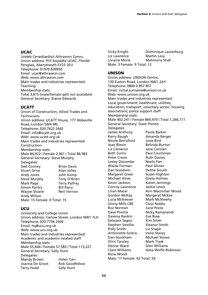# **UCAC**

Undeb Cenedlaethol Athrawon Cymru Union address: Prif Swyddfa UCAC, Ffordd Penglais, Aberystwyth SY23 2EU Telephone: 01970 639950 Email: ucac@athrawon.com Web: www.athrawon.com Main trades and industries represented: Teaching Membership stats: Total 3,815 (male/female split not available) General Secretary: Elaine Edwards

# **UCATT**

Union of Construction, Allied Trades and **Technicians** Union address: UCATT House, 177 Abbeville Road, London SW4 9RL Telephone: 020 7622 2442 Email: info@ucatt.org.uk Web: www.ucatt.org.uk Main trades and industries represented: Construction Membership stats: Male 84,922 | Female 2,061 | Total 86,983 General Secretary: Steve Murphy Delegates: Ged Cooney Brian Davis Stuart Grice Alan Jolley Andy Jones John Kemp Steve Murphy Tony O'Brien Mark Page Terry Palfrey Simon Pantry Bill Parry Wayne Sloane Meil Vernon Andy Wilson Male: 15 Female: 0 Total: 15

# **UCU**

University and College Union Union address: Carlow Street, London NW1 7LH Telephone: 020 7756 2500 Email: hq@ucu.org.uk Web: www.ucu.org.uk Main trades and industries represented: Academic and academic-related staff Membership stats: Male 55,644 | Female 57,583 | Total 113,227 General Secretary: Sally Hunt Delegates: Mandy Brown Helen Carr Joanna De Groot Rob Goodfellow Terry Hoad Sally Hunt

Vicky Knight Dominique Lauterburg Liz Lawrence Martin Levy Loraine Monk Mahmona Shah Male: 3 Female: 9 Total: 12

# **UNISON**

Union address: UNISON Centre, 130 Euston Road, London NW1 2AY Telephone: 0800 0 857 857 Email: initial.surname@unison.co.uk Web: www.unison.org.uk Main trades and industries represented: Local government; healthcare; utilities; education; transport; voluntary sector; housing associations; police support staff Membership stats: Male 402,241 | Female 864,470 | Total 1,266,711 General Secretary: Dave Prentis Delegates: James Anthony Paula Barker Kerry Baugh Amanda Berger Nicole Berrisford Josie Bird Jean Blevin Belinda Burton Liz Cameron Jane Carolan Beth Corris Paul Couchman Peter Crews **Ruth Davies** Lesley Discombe Neelo Farr Waida Forman Paul Glover Dan Goodwin Dettie Gould Margaret Greer Susan Highton<br>Michael Hines Greta Holmes Michael Hines Kevin Jackson Karen Jennings Conroy Lawrence Jackie Lewis Lilian Macer Ann Macmillan Wood Gordon McKay Margarat Mckee Lucia McKeever Mark McSheehy Gloria Mills CBE Caryl Nobbs Roz Norman June Poole Dave Prentis Nicky Ramanandi Davena Rankin Eve Rose Satwant Sagoo Kim Silver<br>Stephen Smellie Bleanor Smith Stephen Smellie Polly Smith Liz Snape Antoinette Solera Irene Stacey Sian Stockham Michael Stowe Chris Tansley Mark Trask Denise Ward Glen Williams Clare Williams Asha Wolfe-Robinson Rena Wood

Male: 17 Female: 42 Total: 59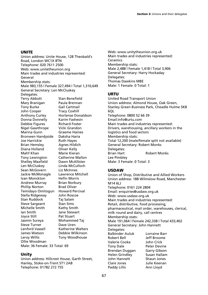#### **UNITE**

Union address: Unite House, 128 Theobald's Road, London WC1X 8TN Telephone: 020 7611 2500 Web: www.unitetheunion.org Main trades and industries represented: General Membership stats: Male 983,155 | Female 327,494 | Total 1,310,649 General Secretary: Len McCluskey Delegates: Terry Abbott Stan Benefield Mary Branigan Paula Brennan Tony Burke Gail Cartmail John Cooper Tracy Coxhill Anthony Curley Hortense Donaldson Donna Donnelly Karim Fashesin Debbie Figures Richard Foster Nigel Gawthrope Vicki Grandon Marina Gunn Bronwen Handyside Daksha Haria Joe Harrickie Ruth Hayes Brian Hemsley Agnes Hildich Diana Holland Oliver Kelly Mahf Khan Marie Kieran Tony Lewington Catherine Mallon Shelley Maxfield Dawn McAllister Len McCluskey Linda McCulloch Sean McGovern Liz McInnes Jackie McMonagle Lawrence Mitchell Ivan Monckton Hefin Morris Andrew Murray Brian Norbury Phillip Norton Brad Oliver Temidayo Omitogun Howard Percival Stella Ridgeway John Roscoe Stan Ruddock Taj Salam Steve Sargeant Stan Sims Michelle Smith Kathy Smith Ian Smith Jane Stewart Joyce Still Pat Stuart Jasmin Sureya Mohammed Taj Steve Turner Dave Uren Lenford Vassell Katherine Walters James Watson Debbie Wilkinson Leroy Willis Tony Woodhouse Ollie Woodman

Male: 36 Female: 33 Total: 69

# **Unity**

Union address: Hillcrest House, Garth Street, Hanley, Stoke-on-Trent ST1 2AB Telephone: 01782 272 755

Web: www.unitytheunion.org.uk Main trades and industries represented: Ceramics Membership stats: Male 2,488 | Female 1,418 | Total 3,906 General Secretary: Harry Hockaday Delegates: Thomas Dawkins MBE Male: 1 Female: 0 Total: 1

# **URTU**

United Road Transport Union Union address: Almond House, Oak Green, Stanley Green Business Park, Cheadle Hulme SK8 6QL Telephone: 0800 52 66 39 Email:info@urtu.com Main trades and industries represented: Drivers, warehousing, ancillary workers in the logistics and food sectors Membership stats: Total 12,200 (male/female split not available) General Secretary: Robert Monks Delegates: Brian Hart Robert Monks Lee Pimbley Male: 3 Female: 0 Total: 3

# **USDAW**

Union of Shop, Distributive and Allied Workers Union address: 188 Wilmslow Road, Manchester M14 6LJ Telephone: 0161 224 2804 Email: enquiries@usdaw.org.uk Web: www.usdaw.org.uk Main trades and industries represented: Retail, distributive, food processing, pharmaceutical, mail order, warehouses, clerical, milk round and dairy, call centres Membership stats: Male 191,064 | Female 242,338 | Total 433,402 General Secretary: John Hannett Delegates: Balbinder Auluk Lorraine Barr Robert Bell Jeff Broome Valerie Cooke John Crick Tony Dale Peter Devine Brendan Duggan Garry Gibson Helen Grindley Susan Hallam John Hannett Shaun Jones<br>Clare Jones Shaun Julie Keenan Julie Keenan Paddy Lillis **Ann Lloyd**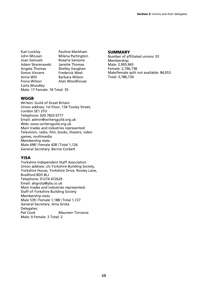Karl Lockley **Pauline Markham**<br>John McLean Milena Partington John McLean Milena Partington<br>Joan Samuels Rosaria Sansone Adam Skwierawski Angela Thomas Shelley Vaughan Simon Vincent Frederick West<br>Anne Will Barbara Wilson Anne Will **Barbara Wilson**<br>Fiona Wilson **Barbara Alan Woodhou** Carla Woodley Male: 17 Female: 18 Total: 35

Rosaria Sansone<br>Janette Thomas Alan Woodhouse

#### **WGGB**

Writers' Guild of Great Britain Union address: 1st Floor, 134 Tooley Street, London SE1 2TU Telephone: 020 7833 0777 Email: admin@writersguild.org.uk Web: www.writersguild.org.uk Main trades and industries represented: Television, radio, film, books, theatre, video games, multimedia Membership stats: Male 698 | Female 428 | Total 1,126 General Secretary: Bernie Corbett

#### **YISA**

Yorkshire Independent Staff Association Union address: c/o Yorkshire Building Society, Yorkshire House, Yorkshire Drive, Rooley Lane, Bradford BD5 8LJ Telephone: 01274 472629 Email: ahgrota@ybs.co.uk Main trades and industries represented: Staff of Yorkshire Building Society Membership stats: Male 539 | Female 1,188 | Total 1,727 General Secretary: Ania Grota Delegates:<br>Pat Cook **Maureen Torrance** Male: 0 Female: 2 Total: 2

#### **SUMMARY**

Number of affiliated unions: 53 Membership: Male: 2,905,943 Female: 2,796,738 Male/female split not available: 84,053 Total: 5,786,734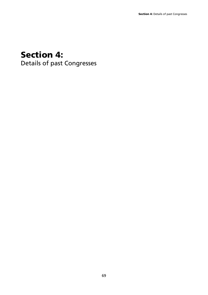# **Section 4:**

Details of past Congresses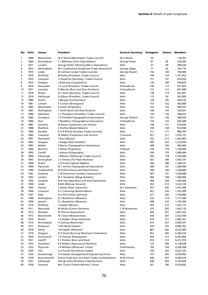|                | No. Date     | <b>Venue</b>          | President                                         | <b>General Secretary</b> | <b>Delegates</b> | Unions     | <b>Members</b>         |
|----------------|--------------|-----------------------|---------------------------------------------------|--------------------------|------------------|------------|------------------------|
| 1              | 1868         | Manchester            | W H Wood (Manchester Trades Council)              | W H Wood                 | 34               |            | 118,367                |
| $\overline{2}$ | 1869         | Birmingham            | T J Wilkinson (Flint Glass Makers)                | George Potter            | 47               | 40         | 250,000                |
| 3              | 1871         | London                | George Potter (Working Men's Association)         | ditto                    | 57               | 49         | 289,430                |
| 4              | 1872         | Nottingham            | W H Leatherland (Organised Trade Association)     | George Odger             | 77               | 63         | 255,710                |
| 5              | 1873         | Leeds                 | W Lishman (Leeds Trades Councils)                 | George Howell            | 132              | 140        | 750,000                |
| 6              | 1874         | Sheffield             | W Rolley (President, Trades Council)              | ditto                    | 169              | 153        | 1,191,922              |
| 7              | 1875         | Liverpool             | J Fitzpatrick (Secretary, Trades Council)         | ditto                    | 151              | 107        | 818,032                |
| 8              | 1875         | Glasgow               | J Battersby (Compositors)                         | ditto                    | 139              | 109        | 539,823                |
| 9              | 1876         | Newcastle             | J C Laird (President, Trades Council)             | H Broadhurst             | 140              | 113        | 557,823                |
| 10             | 1877         | Leicester             | D Merrick (Boot and Shoe Finishers)               | H Broadhurst             | 152              | 112        | 691,089                |
| 11             | 1878         | <b>Bristol</b>        | G F Jones (Secretary, Trades Council)             | ditto                    | 136              | 114        | 623,957                |
| 12             | 1879         | Edinburgh             | D Gibson (President, Trades Council)              | ditto                    | 115              | 92         | 541,892                |
| 13             | 1880         | Dublin                | J Murphy (Ironfounders)                           | ditto                    | 120              | 105        | 494,222                |
| 14             | 1881         | London                | E Coulson (Bricklayers)                           | ditto                    | 157              | 122        | 463,899                |
| 15             | 1882         | Manchester            | R Austin (Engineers)                              | ditto                    | 153              | 126        | 509,307                |
| 16             | 1883         | Nottingham            | T Smith (Boot and Shoe Riveters)                  | ditto                    | 166              | 134        | 520,091                |
| 17             | 1884         | Aberdeen              | J C Thompson (President, Trades Council)          | ditto                    | 142              | 126        | 598,033                |
| 18             | 1885         | Southport             | T R Threlfall (Typographical Association)         | George Shipton           | 161              | 136        | 580,976                |
| 19             | 1886         | Hull                  | F Maddison (Typographical Association)            | H Broadhurst             | 143              | 122        | 635,580                |
| 20             | 1887         | Swansea               | W Bevan (Carpenters and Joiners)                  | ditto                    | 156              | 131        | 674,034                |
| 21             | 1888         | <b>Bradford</b>       | S Shaftoe (Basket Makers)                         | ditto                    | 165              | 138        | 816,944                |
| 22             | 1889         | Dundee                | R D B Ritchie (Dundee Trades Councils)            | ditto                    | 211              | 171        | 885,055                |
| 23             | 1890         | Liverpool             | W Matkin (Carpenters and Joiners)                 | C Fenwick                | 457              | 211        | 1,470,191              |
| 24             | 1891         | Newcastle             | T Burt (Miners)                                   | ditto                    | 552              | 213        | 1,302,855              |
| 25             | 1892         | Glasgow               | J Hodge (Steel Smelters)                          | ditto                    | 495              | 225        | 1,219,934              |
| 26             | 1893         | <b>Belfast</b>        | S Munro (Typographical Association)               | ditto                    | 380              | 226        | 900,000                |
| 27             | 1894         | Norwich               | F Delves (Engineers)                              | S Woods                  | 378              | 179        | 1,100,000              |
| 28             | 1895         | Cardiff               | J Jenkins (Shipwrights)                           | ditto                    | 330              | 170        | 1,000,000              |
| 29             | 1896         | Edinburgh             | J Mallison (Edinburgh Trades Council)             | ditto                    | 343              | 178        | 1,076,000              |
| 30             | 1897         | Birmingham            | J V Stevens (Tin Plate Workers)                   | ditto                    | 381              | 180        | 1,093,191              |
| 31             | 1898         | <b>Bristol</b>        | J O'Grady (Cabinet Makers)                        | ditto                    | 406              | 188        | 1,184,241              |
| 32             | 1899         | Plymouth              | W J Vernon (Typographical Association)            | ditto                    | 384              | 181        | 1,200,000              |
| 33             | 1900         | Huddersfield          | W Pickles (House and Ship Painters)               | ditto                    | 386              | 184        | 1,250,000              |
| 34             | 1901         | Swansea               | C W Bowerman (London Compositors)                 | ditto                    | 407              | 191        | 1,200,000              |
| 35             | 1902         | London                | W C Steadman (Barge Builders)                     | ditto                    | 485              | 198        | 1,400,000              |
| 36             | 1903         | Leicester             | W R Hornidge (Boot and Shoe Operatives)           | ditto                    | 460              | 204        | 1,500,000              |
| 37             | 1904         | Leeds                 | R Bell (Railway Servants)                         | ditto                    | 453              | 212        | 1,422,518              |
| 38             | 1905         | Hanley                | J Sexton (Dock Labourers)                         | W C Steadman             | 457              | 205        | 1,541,000              |
| 39             | 1906         | Liverpool             | D C Cummings (Boilermakers)                       | ditto                    | 491              | 226        | 1,555,000              |
| 40             | 1907         | Bath                  | A H Gill (Cotton Spinners)                        | ditto                    | 521              | 236        | 1,700,000              |
| 41             | 1908         | Nottingham            | D J Shackleton (Weavers)                          | ditto                    | 522              | 214        | 1,777,000              |
| 42             | 1909         | Ipswich               | D J Shackleton (Weavers)                          | ditto                    | 498              | 219        | 1,705,000              |
| 43             | 1910         | Sheffield             | J Haslam (Miners)                                 | ditto                    | 505              | 212        | 1,647,715              |
| 44             | 1911         | Newcastle             | W Mullin (Cotton Spinners)                        | C W Bowerman             | 523              | 202        | 1,662,133              |
| 45             | 1912         | Newport<br>Manchester | W Thorne (Gasworkers)<br>W J Davis (Brassworkers) | ditto                    | 495              | 201        | 2,001,633              |
| 46             | 1913         |                       |                                                   | ditto                    | 560              | 207        | 2,232,446              |
| 47<br>48       | 1915<br>1916 | Bristol<br>Birmingham | J A Seddon (Shop Assistants)                      | ditto<br>ditto           | 610<br>673       | 215        | 2,682,357              |
| 49             | 1917         | Blackpool             | H Gosling (Waterman)<br>J Hill (Boilermakers)     | ditto                    | 679              | 227<br>235 | 2,850,547              |
| 50             | 1918         | Derby                 | J W Ogden (Weavers)                               | ditto                    | 881              | 262        | 3,082,352              |
| 51             | 1919         | Glasgow               | G H Stuart-Bunning (Postmen's Federation)         | ditto                    | 851              | 266        | 4,532,085<br>5,283,676 |
| 52             | 1920         | Portsmouth            | J H Thomas (Railwaymen)                           | ditto                    | 955              | 215        | 6,505,482              |
| 53             | 1921         | Cardiff               | E L Poulton (Boot and Shoe)                       | ditto                    | 810              | 213        | 6,417,910              |
| 54             | 1922         | Southport             | R B Walker (Agricultural Workers)                 | ditto                    | 723              | 206        | 5,128,648              |
| 55             | 1923         | Plymouth              | J B Williams (Musicians' Union)                   | <b>Fred Bramley</b>      | 702              | 194        | 4,369,268              |
| 56             | 1924         | Hull                  | A A Purcell (Furnishing Trades)                   | ditto                    | 724              | 203        | 4,327,235              |
| 57             | 1925         | Scarborough           | A B Swales (Amalgamated Engineering Union)        | ditto                    | 727              | 205        | 4,350,982              |
| 58             | 1926         | Bournemouth           | Arthur Pugh (Iron and Steel Trades Confederation) | W M Citrine              | 696              | 207        | 4,365,619              |
| 59             | 1927         | Edinburgh             | George Hicks (Building Trade Workers)             | ditto                    | 646              | 204        | 4,163,994              |
| 60             | 1928         | Swansea               | Ben Turner (Textile Workers' Union)               | ditto                    | 621              | 196        | 3,874,842              |
|                |              |                       |                                                   |                          |                  |            |                        |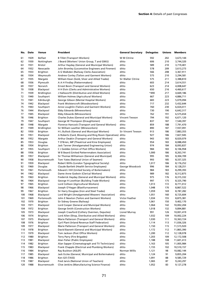| No.        | Date         | Venue                                 | President                                                                                         | <b>General Secretary</b>  | Delegates      | Unions     | <b>Members</b>           |
|------------|--------------|---------------------------------------|---------------------------------------------------------------------------------------------------|---------------------------|----------------|------------|--------------------------|
| 61         | 1929         | <b>Belfast</b>                        | <b>B Tillet (Transport Workers)</b>                                                               | W M Citrine               | 592            | 202        | 3,673,144                |
| 62         | 1930         | Nottingham                            | J Beard (Workers' Union Group, T and GWU)                                                         | ditto                     | 606            | 210        | 3,744,320                |
| 63         | 1931         | <b>Bristol</b>                        | Arthur Hayday (General and Municipal Workers)                                                     | ditto                     | 589            | 210        | 3,719,401                |
| 64         | 1932         | Newcastle                             | John Bromley (Locomotive Engineers and Firemen)                                                   | ditto                     | 578            | 209        | 3,613,273                |
| 65         | 1933         | <b>Brighton</b>                       | A G Walkden (Railway Clerks Association)                                                          | ditto                     | 566            | 208        | 3,367,911                |
| 66         | 1934         | Weymouth                              | Andrew Conley (Tailors and Garment Workers)                                                       | ditto                     | 575            | 210        | 3,294,581                |
| 67         | 1935         | Margate                               | William Kean (Gold, Silver and Allied Trades)                                                     | <b>Sir Walter Citrine</b> | 575            | 211        | 3,388,810                |
| 68         | 1936         | Plymouth                              | A A H Findlay (Patternmakers)                                                                     | ditto                     | 603            | 214        | 3,614,551                |
| 69         | 1937         | Norwich                               | Ernest Bevin (Transport and General Workers)                                                      | ditto                     | 623            | 214        | 4,008,647                |
| 70         | 1938         | Blackpool                             | H H Elvin (Clerks and Administrative Workers)                                                     | ditto                     | 650            | 216        | 4,460,617                |
| 71         | 1939         | <b>Bridlington</b>                    | J Hallsworth (Distributive and Allied Workers)                                                    | ditto                     | *490           | 217        | 4,669,186                |
| 72         | 1940         | Southport                             | William Holmes (Agricultural Workers)                                                             | ditto                     | 667            | 223        | 4,886,711                |
| 73         | 1941         | Edinburgh                             | George Gibson (Mental Hospital Workers)                                                           | ditto                     | 683            | 223        | 5,079,094                |
| 74         | 1942         | Blackpool                             | Frank Wolstencroft (Woodworkers)                                                                  | ditto                     | 717            | 232        | 5,432,644                |
| 75         | 1943         | Southport                             | Anne Loughlin (Tailors and Garment Workers)                                                       | ditto                     | 760            | 230        | 6,024,411                |
| 76         | 1944         | Blackpool                             | Ebby Edwards (Mineworkers)                                                                        | ditto                     | 730            | 190        | 6,642,317                |
| 77         | 1945         | Blackpool                             | Ebby Edwards (Mineworkers)                                                                        | ditto                     | 762            | 191        | 6,575,654                |
| 78         | 1946         | Brighton                              | <b>Charles Dukes (General and Municipal Workers)</b>                                              | <b>Vincent Tewson</b>     | 794            | 192        | 6,671,120                |
| 79         | 1947         | Southport                             | George W Thompson (Draughtsmen)                                                                   | ditto                     | 837            | 187        | 7,540,397                |
| 80         | 1948         | Margate                               | Florence Hancock (Transport and General Workers)<br>Sir William Lawther (Mineworkers)             | ditto<br>ditto            | 859<br>890     | 188<br>187 | 7,791,470                |
| 81<br>82   | 1949<br>1950 | <b>Bridlington</b><br><b>Brighton</b> | H L Bullock (General and Municipal Workers)                                                       | <b>Sir Vincent Tewson</b> | 913            | 186        | 7,937,091<br>7,883,355   |
| 83         | 1951         | Blackpool                             | A Roberts (Card, Blowing and Ring Room Operatives)                                                | ditto                     | 927            | 186        | 7,827,945                |
| 84         | 1952         | Margate                               | Arthur Deakin (Transport and General Workers)                                                     | ditto                     | 943            | 183        | 8,020,079                |
| 85         | 1953         | Douglas                               | T O'Brien, MP (Theatrical and Kine Employees)                                                     | ditto                     | 954            | 183        | 8,088,450                |
| 86         | 1954         | <b>Brighton</b>                       | Jack Tanner (Amalgamated Engineering Union)                                                       | ditto                     | 974            | 184        | 8,093,837                |
| 87         | 1955         | Southport                             | C J Geddes (Union of Post Office Workers)                                                         | ditto                     | 984            | 183        | 8,106,958                |
| 88         | 1956         | <b>Brighton</b>                       | W B Beard (United Patternmakers Association)                                                      | ditto                     | 1,000          | 186        | 8,263,741                |
| 89         | 1957         | Blackpool                             | Sir Thomas Williamson (General and Municipal)                                                     | ditto                     | 995            | 185        | 8,304,709                |
| 90         | 1958         | Bournemouth                           | Tom Yates (National Union of Seamen)                                                              | ditto                     | 993            | 185        | 8,337,325                |
| 91         | 1959         | Blackpool                             | Robert Willis (London Typographical Society)                                                      | ditto                     | 1,017          | 186        | 8,176,252                |
| 92         | 1960         | Douglas                               | Claude Bartlett (Health Service Employees)                                                        | George Woodcock           | 996            | 184        | 8,128,251                |
| 93         | 1961         | Portsmouth                            | Edward J Hill (United Society of Boilermakers)                                                    | ditto                     | 984            | 183        | 8,299,393                |
| 94         | 1962         | Blackpool                             | Dame Anne Godwin (Clerical Workers)                                                               | ditto                     | 989            | 182        | 8,312,875                |
| 95         | 1963         | <b>Brighton</b>                       | Frederick Hayday (General and Municipal Workers)                                                  | ditto                     | 975            | 176        | 8,315,332                |
| 96         | 1964         | Blackpool                             | George H Lowthian (Building Trade Workers)                                                        | ditto                     | 997            | 175        | 8,325,790                |
| 97         | 1965         | <b>Brighton</b>                       | Lord Collison (Agricultural Workers)                                                              | ditto                     | 1,013          | 172        | 8,771,012                |
| 98         | 1966         | Blackpool                             | Joseph O'Hagan (Blastfurnacemen)                                                                  | ditto                     | 1,048          | 170        | 8,867,522                |
| 99         | 1967         | <b>Brighton</b>                       | Sir Harry Douglass (Iron and Steel Trades)                                                        | ditto                     | 1,059          | 169        | 8,787,282                |
| 100        | 1968         | Blackpool                             | Lord Wright (Amalgamated Weavers' Association)                                                    | ditto                     | 1,051          | 160        | 8,725,604                |
| 101        | 1969         | Portsmouth                            | John E Newton (Tailors and Garment Workers)                                                       | Victor Feather            | 1,034          | 155        | 8,875,381                |
| 102        | 1970         | <b>Brighton</b>                       | Sir Sidney Greene (Railway)                                                                       | ditto                     | 1,061          | 150        | 9,402,170                |
| 103        | 1971         | Blackpool                             | Lord Cooper (General and Municipal Workers)                                                       | ditto                     | 1,064          | 142        | 10,002,204               |
| 104        | 1972         | Brighton                              | George Smith (Construction Workers)                                                               | ditto                     | 1,018          | 132        | 9,894,881                |
| 105        | 1973         | Blackpool                             | Joseph Crawford (Colliery Overmen, Deputies)                                                      | Lionel Murray             | 991            | 126        | 10,001,419               |
| 106        | 1974         | <b>Brighton</b>                       | Lord Allen (Shop, Distributive and Allied Workers)                                                | ditto                     | 1,032          | 109        | 10,002,224               |
| 107        | 1975         | Blackpool                             | Marie Patterson (Transport and General Workers)                                                   | ditto                     | 1,030          | 111        | 10,363,724               |
| 108        | 1976         | <b>Brighton</b>                       | Cyril Plant (Inland Revenue Staff Federation)                                                     | ditto                     | 1,114          | 113        | 11,036,326               |
| 109        | 1977         | Blackpool                             | Marie Patterson (Transport and General Workers)                                                   | ditto                     | 1,150          | 115        | 11,515,920               |
| 110        | 1978         | Brighton                              | David Basnett (General and Municipal Workers)                                                     | ditto                     | 1,172          | 112        | 11,865,390               |
| 111        | 1979         | Blackpool                             | Tom Jackson (Post Office Workers)                                                                 | ditto                     | 1,200          | 112        | 12,128,078               |
| 112        | 1980         | <b>Brighton</b>                       | Terry Parry (Fire Brigades)                                                                       | ditto                     | 1,203          | 109        | 12,172,508               |
| 113        | 1981         | Blackpool<br><b>Brighton</b>          | Alan Fisher (Public Employees)                                                                    | ditto                     | 1,188          | 108        | 11,601,413               |
| 114<br>115 | 1982<br>1983 | Blackpool                             | Alan Sapper (Cinematograph and TV Technicians)<br>Frank Chapple (Electrical and Plumbing Workers) | ditto<br>ditto            | 1,163          | 105<br>102 | 11,005,984<br>10,510,157 |
| 116        | 1984         | <b>Brighton</b>                       | Ray Buckton (ASLEF)                                                                               | Norman Willis             | 1,155<br>1,121 | 98         | 10,082,144               |
| 117        | 1985         | Blackpool                             | Jack Eccles (General, Municipal and Boilermakers)                                                 | ditto                     | 1,124          | 91         | 9,855,204                |
| 118        | 1986         | <b>Brighton</b>                       | Ken Gill (TASS)                                                                                   | ditto                     | 1,091          | 88         | 9,585,729                |
| 119        | 1987         | Blackpool                             | Fred Jarvis (National Union of Teachers)                                                          | ditto                     | 1,065          | 87         | 9,243,297                |
| 120        | 1988         | Bournemouth                           | Clive Jenkins (Manufacturing Science Finance)                                                     | ditto                     | 1,052          | 83         | 9,127,278                |
|            |              |                                       |                                                                                                   |                           |                |            |                          |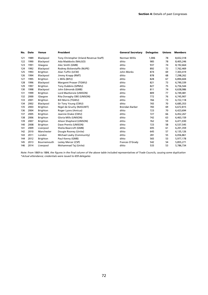| No. | <b>Date</b> | <b>Venue</b>    | President                               | <b>General Secretary</b> | <b>Delegates</b> | <b>Unions</b> | <b>Members</b> |
|-----|-------------|-----------------|-----------------------------------------|--------------------------|------------------|---------------|----------------|
| 121 | 1989        | Blackpool       | Tony Christopher (Inland Revenue Staff) | Norman Willis            | 1,006            | 78            | 8,652,318      |
| 122 | 1990        | Blackpool       | Ada Maddocks (NALGO)                    | ditto                    | 985              | 78            | 8,405,246      |
| 123 | 1991        | Glasgow         | Alec Smith (GMB)                        | ditto                    | 937              | 74            | 8,192,664      |
| 124 | 1992        | Blackpool       | Rodney Bickerstaffe (NUPE)              | ditto                    | 892              | 72            | 7,762,469      |
| 125 | 1993        | Brighton        | Alan Tuffin (UCW)                       | John Monks               | 874              | 69            | 7,303,419      |
| 126 | 1994        | Blackpool       | Jimmy Knapp (RMT)                       | ditto                    | 878              | 68            | 7,298,262      |
| 127 | 1995        | Brighton        | L Mills (BIFU)                          | ditto                    | 828              | 67            | 6,894,604      |
| 128 | 1996        | Blackpool       | Margaret Prosser (TGWU)                 | ditto                    | 821              | 73            | 6,790,339      |
| 129 | 1997        | Brighton        | Tony Dubbins (GPMU)                     | ditto                    | 827              | 75            | 6,756,544      |
| 130 | 1998        | Blackpool       | John Edmonds (GMB)                      | ditto                    | 811              | 74            | 6,638,986      |
| 131 | 1999        | <b>Brighton</b> | Lord MacKenzie (UNISON)                 | ditto                    | 809              | 77            | 6,749,481      |
| 132 | 2000        | Glasgow         | Rita Donaghy OBE (UNISON)               | ditto                    | 772              | 76            | 6,745,907      |
| 133 | 2001        | <b>Brighton</b> | <b>Bill Morris (TGWU)</b>               | ditto                    | 766              | 73            | 6,722,118      |
| 134 | 2002        | Blackpool       | Sir Tony Young (CWU)                    | ditto                    | 765              | 70            | 6,685,353      |
| 135 | 2003        | <b>Brighton</b> | Nigel de Gruchy (NASUWT)                | Brendan Barber           | 783              | 69            | 6,672,815      |
| 136 | 2004        | <b>Brighton</b> | Roger Lyons (Amicus)                    | ditto                    | 723              | 70            | 6,423,694      |
| 137 | 2005        | <b>Brighton</b> | Jeannie Drake (CWU)                     | ditto                    | 727              | 66            | 6,452,267      |
| 138 | 2006        | <b>Brighton</b> | Gloria Mills (UNISON)                   | ditto                    | 742              | 63            | 6,463,159      |
| 139 | 2007        | <b>Brighton</b> | Alison Shepherd (UNISON)                | ditto                    | 762              | 59            | 6,471,030      |
| 140 | 2008        | <b>Brighton</b> | Dave Prentis (UNISON)                   | ditto                    | 723              | 58            | 6,537,545      |
| 141 | 2009        | Liverpool       | Sheila Bearcroft (GMB)                  | ditto                    | 695              | 61            | 6,201,359      |
| 142 | 2010        | Manchester      | Dougie Rooney (Unite)                   | ditto                    | 645              | 57            | 6,135,126      |
| 143 | 2011        | London          | Michael Leahy (Community)               | ditto                    | 281              | 55            | 6,056,861      |
| 144 | 2012        | <b>Brighton</b> | Paul Kenny (GMB)                        | ditto                    | 565              | 53            | 5,977,178      |
| 145 | 2013        | Bournemouth     | Lesley Mercer (CSP)                     | Frances O'Grady          | 542              | 54            | 5,855,271      |
| 146 | 2014        | Liverpool       | Mohammad Taj (Unite)                    | ditto                    | 533              | 53            | 5,786,734      |

*Note: From 1869 to 1884, the figures in the final column of the above table included representatives of Trade Councils, causing some duplication \*Actual attendance; credentials were issued to 659 delegates*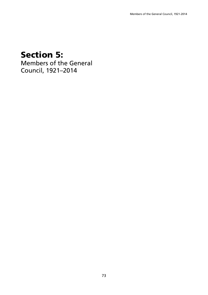## **Section 5:**

Members of the General Council, 1921–2014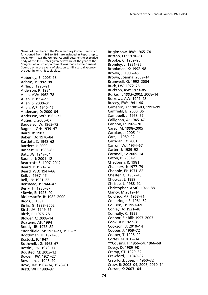Names of members of the Parliamentary Committee which functioned from 1868 to 1921 are included in Reports up to 1976. From 1921 the General Council became the executive body of the TUC. Dates given below are of the year of the Congress at which appointment was made to the General Council, or in the event of election to fill a casual vacancy the year in which it took place.

Abberley, B: 2005–13 Adams, J: 1992–98 Airlie, J: 1990–91 Alderson, R: 1984 Allen, AW: 1962–78 Allen, J: 1994–95 Allen, S: 2000–01 Allen, WP: 1940–47 Anderson, D: 2000–04 Anderson, WC: 1965–72 Auger, L: 2005–07 Baddeley, W: 1963–72 Bagnall, GH: 1939–47 Baird, R: 1987 Baker, FA: 1976–84 Bartlett, C: 1948–62 Bartlett, J: 2009 Basnett, D: 1966–85 Baty, JG: 1947–54 Baume, J: 2001–12 Bearcroft, S: 1997–2012 Beard, J: 1921–34 Beard, WD: 1947–66 Bell, J: 1937–45 Bell, JN: 1921–22 Benstead, J: 1944–47 Berry, H: 1935–37 \*Bevin, E: 1925–40 Bickerstaffe, R: 1982–2000 Biggs, J: 1991 Binks, G: 1998–2002 Birch, JA: 1949–61 Birch, R: 1975–78 Blower, C: 2008–14 Boateng, AF: 1994 Boddy, JR: 1978–82 \*Bondfield, M: 1921–23, 1925–29 Boothman, H: 1921–35 Bostock, F: 1947 Bothwell, JG: 1963–67 Bottini, RN: 1970–77 Bousted, M: 2003–12 Bowen, JW: 1921–27 Bowman, J: 1946–49 Boyd, JM: 1967–74, 1978–81 Brett, WH: 1989–97

Briginshaw, RW: 1965–74 Britton, EL: 1970–73 Brooke, C: 1989–95 Bromley, J: 1921–35 Brookman, K: 1992–98 Brown, J: 1936–45 Brown, Joanna: 2009–14 Brumwell, G: 1992–2004 Buck, LW: 1972–76 Buckton, RW: 1973–85 Burke, T: 1993–2002, 2008–14 Burrows, AW: 1947–48 Bussey, EW: 1941–46 Cameron, K: 1981–83, 1991–99 Camfield, B: 2000: 06 Campbell, J: 1953–57 Callighan, A: 1945–47 Cannon, L: 1965–70 Carey, M: 1998–2005 Carolan, J: 2005–14 Carr, J: 1989–92 Carrigan, D: 2001 Carron, WJ: 1954–67 Carter, J: 1989–92 Cartmail, G: 2005–14 Caton, B: 2001–9 Chadburn, R: 1981 Chalmers, J: 1977–79 Chapple, FJ: 1971–82 Chester, G: 1937–48 Chowcat J: 1998 Christie, L: 1988–92 Christopher, AMG: 1977–88 Clancy, M 2012–14 Coldrick, AP: 1968–71 Collinridge, F: 1961–62 Collison, H: 1953–69 Conley, A: 1921–48 Connolly, C: 1995 Connor, Sir Bill: 1997–2003 Cook, AJ: 1927–31 Cookson, B: 2010–14 Cooper, J: 1959–72 Cooper, T: 1996–99 Cortes, M 2012–14 \*\*Cousins, F: 1956–64, 1966–68 Covey, D: 1989–98 Cramp, CT: 1929–32 Crawford, J: 1949–32 Crawford, Joseph: 1960–72 Crow, R: 2003–04, 2006, 2010–14 Curran, K: 2003– 04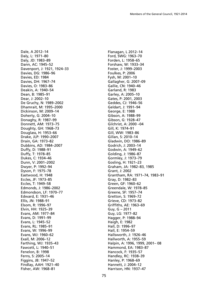Dale, A 2012–14 Daly, L: 1971–80 Daly, JD: 1983–89 Dann, AC: 1945–52 Davenport, J: 1921, 1924–33 Davies, DG: 1986–96 Davies, ED: 1984 Davies, DH: 1967–74 Davies, O: 1983–86 Deakin, A: 1940–54 Dean, B: 1985–91 Dear, J: 2002–10 De Gruchy, N: 1989–2002 Dhamrait, M: 1995–2000 Dickinson, M: 2009–14 Doherty, G: 2004–10 Donaghy, R: 1987–99 Donnett, AM: 1973–75 Doughty, GH: 1968–73 Douglass, H: 1953–66 Drake, JLP: 1990–2007 Drain, GA: 1973–82 Dubbins, AD: 1984–2007 Duffy, D: 1988–91 Duffy, T: 1978–85 Dukes, C: 1934–46 Dunn, V: 2001–2002 Dwyer, P: 1992–94 Dyson, F: 1975–78 Eastwood, H: 1948 Eccles, JF: 1973–85 Eccles, T: 1949–58 Edmonds, J: 1986–2002 Edmondson, LF: 1970–77 Edward, E: 1931–46 Ellis, JN: 1988–91 Elsom, R: 1996–97 Elvin, HH: 1925–39 Evans, AM: 1977–84 Evans, D: 1991–99 Evans, L: 1945–52 Evans, RL: 1985–91 Evans, W: 1996–99 Evans, WJ: 1960–62 Exall, M: 2006–12 Farthing, WJ: 1935–43 Fawcett, L: 1940–51 Fenelon, B: 1998 Ferns, S: 2005–14 Figgins, JB: 1947–52 Findlay, AAH: 1921–40 Fisher, AW: 1968–81

Flanagan, L 2012–14 Ford, SWG: 1963–70 Forden, L: 1958–65 Forshaw, W: 1933–34 Foster, J: 1999–2003 Foulkes, P: 2006 Fysh, M: 2001–10 Gallagher, G: 2007–09 Gallie, CN: 1940–46 Garland, R: 1983 Garley, A: 2005–10 Gates, P: 2001, 2003 Geddes, CJ: 1946–56 Geldart, J: 1991–94 George, E: 1988 Gibson, A: 1988–99 Gibson, G: 1928–47 Gilchrist, A: 2000 –04 Gill, K: 1974–91 Gill, WW: 1983–86 Gillan, S: 2010–14 Gladwin, DO: 1986–89 Godrich, J: 2003–14 Godwin, A: 1949–62 Golding, J: 1986–87 Gormley, J: 1973–79 Gosling, H: 1921–23 Graham, JA: 1982–83, 1985 Grant, J: 2002 Grantham, RA: 1971–74, 1983–91 Gray, D: 1982–83 Green, GF: 1960–62 Greendale, W: 1978–85 Greene, SF: 1957–74 Gretton, S: 1969–72 Grieve, CD: 1973–82 Griffiths, AE: 1963–69 Guy, G – 2011 Guy, LG: 1977–82 Hagger, P: 1988–94 Haigh, E: 1982 Hall, D: 1996–97 Hall, E: 1954–59 Hallsworth, J: 1926–46 Hallworth, A: 1955–59 Halpin, A: 1996, 1999, 2001– 08 Hammond, EA: 1983–87 Hancock, F: 1935–57 Handley, RC: 1938–39 Hanley, P: 1968–69 Hannett, J: 2004–12 Harrison, HN: 1937–47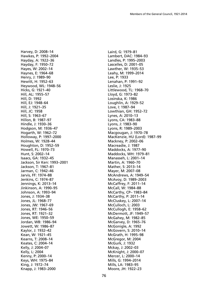Harvey, D: 2008–14 Hawkes, P: 1992–2004 Hayday, A: 1922–36 Hayday, F: 1950–72 Hayes, W: 2002–14 Haynes, E: 1964–68 Henry, J: 1989–90 Hewitt, H: 1952–63 Heywood, WL: 1948–56 Hicks, G: 1921–40 Hill, AL: 1955–57 Hill, D: 1992 Hill, EJ: 1948–64 Hill, J: 1921–35 Hill, JC: 1958 Hill, S: 1963–67 Hillon, B: 1987–97 Hindle, J: 1930–36 Hodgson, M: 1936–47 Hogarth, W: 1962–72 Holloway, P: 1997–2000 Holmes, W: 1928–44 Houghton, D: 1952–59 Howell, FL: 1970–73 Hunt, S: 2002–14 Isaacs, GA: 1932–45 Jackson, Sir Ken: 1993–2001 Jackson, T: 1967–81 Jarman, C: 1942–46 Jarvis, FF: 1974–88 Jenkins, C: 1974–87 Jennings, K: 2013–14 Jinkinson, A: 1990–95 Johnson, A: 1993–94 Jones, J: 1934–38 Jones, JL: 1968–77 Jones, JW: 1967–69 Jones, RT: 1946–56 Jones, RT: 1921–32 Jones, WE: 1950–59 Jordan, WB: 1986–94 Jowett, W: 1986–87 Kaylor, J: 1932–42 Kean, W: 1921–45 Kearns, T: 2008–14 Keates, C: 2004–14 Kelly, J: 2004–07 Kelly, L: 2004 Kenny, P: 2000–14 Keys, WH: 1975–84 King, J: 1972–74 Knapp, J: 1983–2000

Laird, G: 1979–81 Lambert, DAC: 1984–93 Landles, P: 1995–2003 Lascelles, D: 2001–05 Lawther, W: 1935–53 Leahy, M: 1999–2014 Lee, P: 1933 Lenahan, P: 1991–92 Leslie, J: 1925 Littlewood, TL: 1968–70 Lloyd, G: 1973–82 Losinska, K: 1986 Loughlin, A: 1929–52 Love, I: 1987–94 Lowthian, GH: 1952–72 Lynes, A: 2010–13 Lyons, CA: 1983–88 Lyons, J: 1983–90 Lyons, R: 1989–2003 Macgougan, J: 1970–78 MacKenzie, HU (Lord): 1987–99 Mackney, P: 2002–06 Macreadie, J: 1987 Maddocks, A: 1977–90 Maddocks, WH: 1979–81 Manasseh, L: 2001–14 Martin, A: 1960–70 Mather, S: 2013–14 Mayer, M: 2007–08 McAndrews, A: 1949–54 McAvoy, D: 1989–2003 McCaffrey, F: 2011–14 McCall, W: 1984–88 McCarthy, CP– 1983–84 McCarthy, P: 2011–14 McCluskey, L: 2007–14 McCulloch, L: 2003 McCullogh, E: 1958–62 McDermott, JF: 1949–57 McGahey, M: 1982–85 McGarvey, D: 1965–76 McGonigle, A: 1992 McGovern, S: 2010–14 McGrath, H: 1995–98 McGregor, M: 2004 McGurk, J: 1932 Mckay, J: 2002–03 McKnight, J: 2000–07 Mercer, L: 2000–14 Mills, G: 1994–2014 Mills, LA: 1983–95 Moore, JH: 1922–23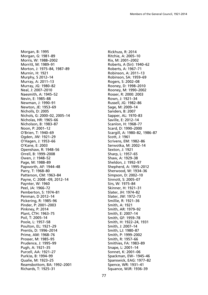Morgan, B: 1995 Morgan, G: 1981–89 Morris, W: 1988–2002 Morritt, M: 1989–91 Morton, J: 1975–84, 1987–89 Murnin, H: 1921 Murphy, S 2012–14 Murray, A: 2011–13 Murray, JG: 1980–82 Neal, J: 2007–2010 Naesmith, A: 1945–52 Nevin, E: 1985–88 Newman, J: 1990–91 Newton, JE: 1953–69 Nicholls, D: 2005 Nichols, G: 2000–02, 2005–14 Nicholas, HR: 1965–66 Nicholson, B: 1983–87 Noon, P: 2001–12 O'Brien, T: 1940–69 Ogden, JW: 1921–29 O'Hagen, J: 1953–66 O'Kane, E: 2003 Openshaw, R: 1948–56 Orrell, B: 1999–2008 Owen, J: 1948–52 Page, M: 1988–89 Papworth, AF: 1944–48 Parry, T: 1968–80 Patterson, CM: 1963–84 Payne, C: 2008 –09, 2012–14 Paynter, W: 1960 Peel, JA: 1966–72 Pemberton, S: 1974–81 Penman, D 2012–14 Pickering, R: 1985–96 Pinder, P: 2001–2003 Pinkney, P: 2014 Plant, CTH: 1963–75 Poil, T: 2005–14 Poole, L: 1957–58 Poulton, EL: 1921–29 Prentis, D: 1996–2014 Prime, AM: 1968–76 Prosser, M: 1985–95 Prudence, J: 1995–99 Pugh, A: 1921–35 Purcell, AA: 1921–27 Purkiss, B: 1994–99 Qualie, M: 1923–25 Reamsbottom, BA: 1992–2001 Richards, T: 1925–31

Rickhuss, R: 2014 Ritchie, A: 2005–10 Rix, M: 2001–2002 Roberts, A (Sir): 1940–62 Roberts, A: 1967–71 Robinson, A: 2011–13 Robinson, SA: 1959–69 Rogers, S: 2002–08 Rooney, D: 1998–2010 Rooney, M: 1990–2002 Rosser, R: 2000: 2003 Rown, J: 1921–34 Russell, JG: 1982–86 Sage, M: 2009–14 Sanders, B: 2007 Sapper, AL: 1970–83 Saville, E: 2012–14 Scanlon, H: 1968–77 Scard, D: 1990–2000 Scargill, A: 1980–82, 1986–87 Scott, J: 1961 Scrivens, EM: 1982–86 Serwotka, M: 2002–14 Sexton, J: 1921 Sharp, L: 1957–65 Shaw, A: 1929–38 Sheldon, J: 1992–97 Shepherd, A: 1995–2012 Sherwood, W: 1934–36 Simpson, D: 2002–10 Sinnott, S: 2005–07 Sirs, W: 1975–84 Skinner, H: 1921–31 Slater, JH: 1974–82 Slater, JW: 1972–73 Smillie, R: 1921–36 Smith, A: 1921 Smith, AR: 1979–92 Smith, E: 2007–14 Smith, GF: 1959–78 Smith, H: 1922–24, 1931 Smith, J: 2007–14 Smith, LJ: 1980–87 Smith, P: 1999–2002 Smith, R: 1957–66 Smithies, FA: 1983–89 Snape, L: 2001–14 Sonnet, K: 2001–06 Spackman, EW– 1945–46 Spanswick, EAG: 1977–82 Spence, WR: 1931–41 Squance, WJR: 1936–39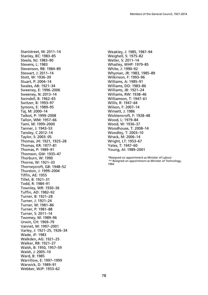Stanistreet, M: 2011–14 Stanley, BC: 1983–85 Steele, NJ: 1983–90 Stevens, L: 1983 Stevenson, RB: 1984–89 Stewart, J: 2011–14 Stott, W: 1936–39 Stuart, P: 2004–14 Swales, AB: 1921–34 Sweeney, E: 1996–2006 Sweeney, N: 2013–14 Swindell, B: 1962–65 Switzer, B: 1993–97 Symons, E: 1989–95 Taj, M: 2000–14 Talbot, P: 1999–2008 Tallon, WM: 1957–66 Tami, M: 1999–2000 Tanner, J: 1943–53 Tansley, C 2012–14 Taylor, S: 2003: 05 Thomas, JH: 1921, 1925–28 Thomas, KR: 1977–81 Thomas, P: 1989–91 Thomson, GW: 1935–47 Thorburn, W: 1990 Thorne, W: 1921–33 Thorneycroft, GB: 1948–52 Thurston, J: 1999–2004 Tiffin, AE: 1955 Tillet, B: 1921–31 Todd, R: 1984–91 Townley, WR: 1930–36 Tuffin, AD: 1982–92 Turner, B: 1921–28 Turner, J: 1921–24 Turner, M: 1981–86 Turner, P: 1981–88 Turner, S: 2011–14 Twomey, M: 1989–96 Urwin, CH: 1969–79 Vannet, M: 1997–2001 Varley, J: 1921–25, 1926–34 Wade, JF: 1983 Walkden, AG: 1921–25 Walker, RB: 1921–27 Walsh, B: 1950, 1957–59 Walsh, J: 2005–10 Ward, B: 1985 Warrillow, E: 1997–1999 Warwick, D: 1989–91 Webber, WJP: 1953–62

Weakley, J: 1985, 1987–94 Weighell, S: 1975–82 Weller, S: 2011–14 Whatley, WHP: 1979–85 White, J: 1990–92 Whyman, JR: 1983, 1985–89 Wilkinson, F: 1993–96 Williams, A: 1985–91 Williams, DO: 1983–86 Williams, JB: 1921–24 Williams, RW: 1938–46 Williamson, T: 1947–61 Willis, R: 1947–64 Wilson, F: 2007–14 Winsett, J: 1986 Wolstencroft, F: 1928–48 Wood, L: 1979–84 Wood, W: 1936–37 Woodhouse, T: 2008–14 Woodley, T: 2003–10 Wrack, M: 2006–14 Wright, LT: 1953–67 Yates, T: 1947–60 Young, AI: 1989–2001

\*Resigned on appointment as Minister of Labour \*\* Resigned on appointment as Minister of Technology, 1964